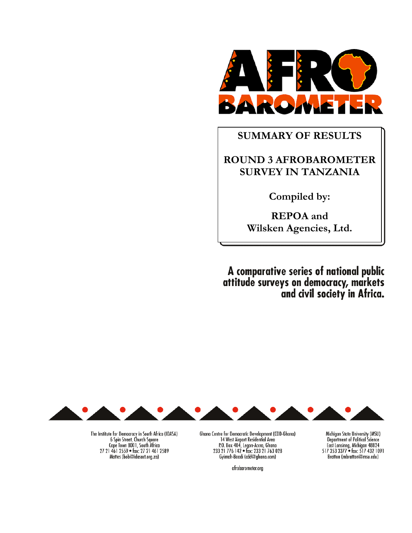

# SUMMARY OF RESULTS

# ROUND 3 AFROBAROMETER SURVEY IN TANZANIA

Compiled by:

REPOA and Wilsken Agencies, Ltd.

A comparative series of national public<br>attitude surveys on democracy, markets<br>and civil society in Africa.



The Institute for Democracy in South Africa (IDASA)<br>6 Spin Street, Church Square<br>Cape Town 8001, South Africa<br>27 21 461 2559 • fax: 27 21 461 2589 Mattes (bob@idasact.org.za)

Ghana Centre for Democratic Development (CDD-Ghana) 14 West Airport Residential Area<br>
P.O. Box 404, Legon-Accra, Ghana<br>
233 21 776 142 • fax: 233 21 763 028 Gyimah-Boadi (cdd@ghana.com)

afrobarometer.org

Michigan State University (MSU) Department of Political Science<br>East Lansinng, Michigan 48824<br>517 353 3377 • fax: 517 432 1091 Bratton (mbratton@msu.edu)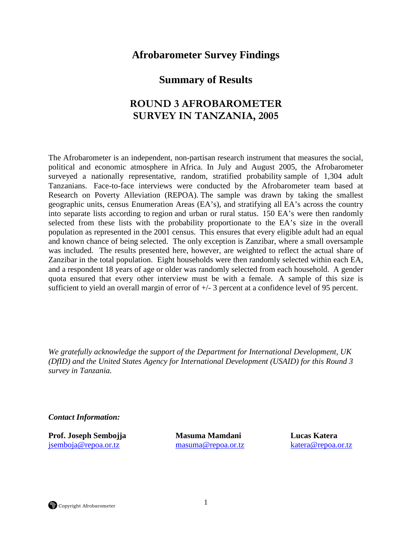# **Afrobarometer Survey Findings**

# **Summary of Results**

# ROUND 3 AFROBAROMETER SURVEY IN TANZANIA, 2005

The Afrobarometer is an independent, non-partisan research instrument that measures the social, political and economic atmosphere in Africa. In July and August 2005, the Afrobarometer surveyed a nationally representative, random, stratified probability sample of 1,304 adult Tanzanians. Face-to-face interviews were conducted by the Afrobarometer team based at Research on Poverty Alleviation (REPOA). The sample was drawn by taking the smallest geographic units, census Enumeration Areas (EA's), and stratifying all EA's across the country into separate lists according to region and urban or rural status. 150 EA's were then randomly selected from these lists with the probability proportionate to the EA's size in the overall population as represented in the 2001 census. This ensures that every eligible adult had an equal and known chance of being selected. The only exception is Zanzibar, where a small oversample was included. The results presented here, however, are weighted to reflect the actual share of Zanzibar in the total population. Eight households were then randomly selected within each EA, and a respondent 18 years of age or older was randomly selected from each household. A gender quota ensured that every other interview must be with a female. A sample of this size is sufficient to yield an overall margin of error of +/- 3 percent at a confidence level of 95 percent.

*We gratefully acknowledge the support of the Department for International Development, UK (DfID) and the United States Agency for International Development (USAID) for this Round 3 survey in Tanzania.* 

*Contact Information:* 

**Prof. Joseph Sembojja Masuma Mamdani Lucas Katera**  jsemboja@repoa.or.tz masuma@repoa.or.tz katera@repoa.or.tz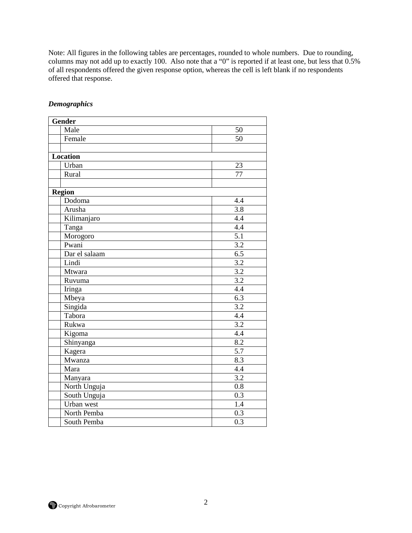Note: All figures in the following tables are percentages, rounded to whole numbers. Due to rounding, columns may not add up to exactly 100. Also note that a "0" is reported if at least one, but less that 0.5% of all respondents offered the given response option, whereas the cell is left blank if no respondents offered that response.

| <b>Gender</b>                |                  |
|------------------------------|------------------|
| Male                         | 50               |
| Female                       | 50               |
|                              |                  |
| <b>Location</b>              |                  |
| Urban                        | 23               |
| Rural                        | $\overline{77}$  |
|                              |                  |
| <b>Region</b>                |                  |
| Dodoma                       | 4.4              |
| Arusha                       | $\overline{3.8}$ |
| Kilimanjaro                  | 4.4              |
| Tanga                        | $\overline{4.4}$ |
| Morogoro                     | 5.1              |
| Pwani                        | 3.2              |
| Dar el salaam                | $\overline{6.5}$ |
| Lindi                        | $\overline{3.2}$ |
| Mtwara                       | 3.2              |
| Ruvuma                       | $\overline{3.2}$ |
| Iringa                       | 4.4              |
| Mbeya                        | $\overline{6.3}$ |
| $\overline{\text{S}}$ ingida | 3.2              |
| Tabora                       | 4.4              |
| Rukwa                        | 3.2              |
| Kigoma                       | 4.4              |
| Shinyanga                    | 8.2              |
| Kagera                       | $\overline{5.7}$ |
| Mwanza                       | $\overline{8.3}$ |
| Mara                         | 4.4              |
| Manyara                      | 3.2              |
| North Unguja                 | 0.8              |
| South Unguja                 | 0.3              |
| Urban west                   | 1.4              |
| North Pemba                  | 0.3              |
| South Pemba                  | $\overline{0.3}$ |

### *Demographics*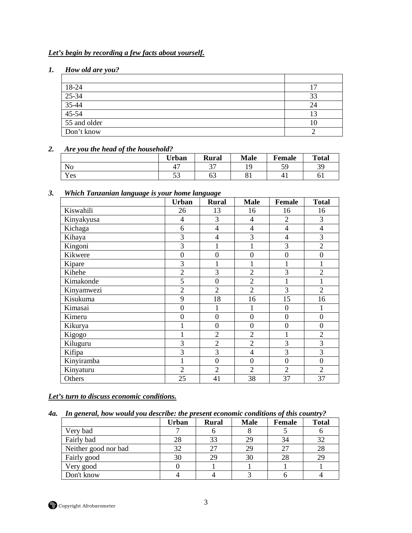# *Let's begin by recording a few facts about yourself.*

# *1. How old are you?*

| 18-24        |    |
|--------------|----|
| $25-34$      | 33 |
| $35-44$      |    |
| $45-54$      |    |
| 55 and older |    |
| Don't know   |    |

## *2. Are you the head of the household?*

|     | <b>Urban</b>        | <b>Rural</b> | <b>Male</b>      | Female    | <b>Total</b> |
|-----|---------------------|--------------|------------------|-----------|--------------|
| No  | . –                 | $\sim$       |                  | 5ο<br>ر ب | 30<br>J -    |
| Yes | $\sim$ $\sim$<br>ັບ | ບບ           | $\Omega$ 1<br>υī |           | UΙ           |

## *3. Which Tanzanian language is your home language*

|            | <b>Urban</b>   | <b>Rural</b>     | <b>Male</b>    | <b>Female</b>  | <b>Total</b>     |
|------------|----------------|------------------|----------------|----------------|------------------|
| Kiswahili  | 26             | 13               | 16             | 16             | 16               |
| Kinyakyusa | 4              | 3                | 4              | $\overline{2}$ | 3                |
| Kichaga    | 6              | 4                | $\overline{4}$ | $\overline{4}$ | 4                |
| Kihaya     | 3              | $\overline{4}$   | 3              | $\overline{4}$ | 3                |
| Kingoni    | 3              |                  | 1              | 3              | $\overline{2}$   |
| Kikwere    | $\overline{0}$ | $\mathbf{0}$     | $\mathbf{0}$   | $\overline{0}$ | $\boldsymbol{0}$ |
| Kipare     | 3              | 1                |                |                | 1                |
| Kihehe     | $\overline{2}$ | 3                | $\overline{2}$ | 3              | $\overline{2}$   |
| Kimakonde  | 5              | $\boldsymbol{0}$ | $\overline{2}$ | 1              |                  |
| Kinyamwezi | $\overline{2}$ | $\overline{2}$   | $\overline{2}$ | 3              | $\overline{2}$   |
| Kisukuma   | 9              | 18               | 16             | 15             | 16               |
| Kimasai    | $\overline{0}$ | 1                | 1              | $\theta$       |                  |
| Kimeru     | $\overline{0}$ | $\mathbf{0}$     | $\mathbf{0}$   | $\overline{0}$ | $\overline{0}$   |
| Kikurya    |                | $\mathbf{0}$     | $\mathbf{0}$   | $\overline{0}$ | $\boldsymbol{0}$ |
| Kigogo     | 1              | $\overline{2}$   | $\overline{2}$ | $\mathbf{1}$   | $\overline{2}$   |
| Kiluguru   | 3              | $\overline{2}$   | $\overline{2}$ | 3              | 3                |
| Kifipa     | $\overline{3}$ | 3                | $\overline{4}$ | 3              | 3                |
| Kinyiramba | 1              | $\overline{0}$   | $\theta$       | $\overline{0}$ | $\boldsymbol{0}$ |
| Kinyaturu  | $\overline{2}$ | $\overline{2}$   | $\overline{2}$ | $\overline{2}$ | $\overline{2}$   |
| Others     | 25             | 41               | 38             | 37             | 37               |

*Let's turn to discuss economic conditions.*

#### *4a. In general, how would you describe: the present economic conditions of this country?*

|                      | <b>Urban</b> | <b>Rural</b> | <b>Male</b> | <b>Female</b> | $\checkmark$<br><b>Total</b> |
|----------------------|--------------|--------------|-------------|---------------|------------------------------|
| Very bad             |              |              |             |               |                              |
| Fairly bad           | 28           | 33           | 29          | 34            | 32                           |
| Neither good nor bad | 32           | 27           | 29          | 27            | 28                           |
| Fairly good          | 30           | 29           | 30          | 28            | 29                           |
| Very good            |              |              |             |               |                              |
| Don't know           |              |              |             |               |                              |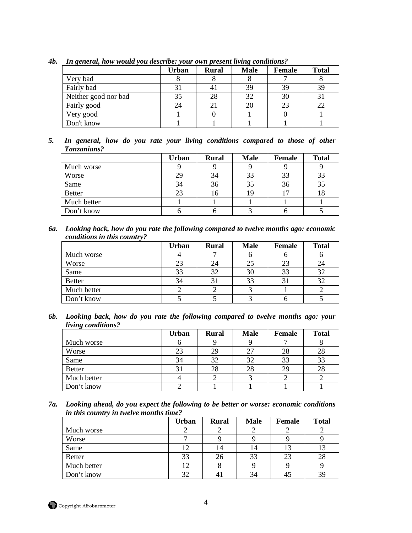|                      | <b>Urban</b> | <b>Rural</b> | <b>Male</b> | <b>Female</b> | <b>Total</b> |
|----------------------|--------------|--------------|-------------|---------------|--------------|
| Very bad             |              |              |             |               |              |
| Fairly bad           |              |              | 39          | 39            | 39           |
| Neither good nor bad | 35           | 28           | 32          | 30            |              |
| Fairly good          | 24           |              | 20          | 23            | 22           |
| Very good            |              |              |             |               |              |
| Don't know           |              |              |             |               |              |

*4b. In general, how would you describe: your own present living conditions?* 

*5. In general, how do you rate your living conditions compared to those of other Tanzanians?* 

|               | Urban | <b>Rural</b> | <b>Male</b> | <b>Female</b> | <b>Total</b> |
|---------------|-------|--------------|-------------|---------------|--------------|
| Much worse    |       |              |             |               |              |
| Worse         | 29    | 34           | 33          | 33            | 33           |
| Same          | 34    | 36           | 35          | 36            | 35           |
| <b>Better</b> | 23    | 16           |             |               | 18           |
| Much better   |       |              |             |               |              |
| Don't know    |       |              |             |               |              |

*6a. Looking back, how do you rate the following compared to twelve months ago: economic conditions in this country?* 

|               | <b>Urban</b> | <b>Rural</b> | <b>Male</b> | <b>Female</b> | <b>Total</b> |
|---------------|--------------|--------------|-------------|---------------|--------------|
| Much worse    |              |              |             |               |              |
| Worse         | 23           | 24           |             | 23            | 24           |
| Same          | 33           | 32           | 30          | 33            | 32           |
| <b>Better</b> | 34           | 31           | 33          | 31            | 32           |
| Much better   |              |              |             |               |              |
| Don't know    |              |              |             |               |              |

*6b. Looking back, how do you rate the following compared to twelve months ago: your living conditions?* 

|               | Urban | <b>Rural</b> | <b>Male</b> | <b>Female</b> | <b>Total</b> |
|---------------|-------|--------------|-------------|---------------|--------------|
| Much worse    |       |              |             |               |              |
| Worse         | 23    | 29           |             | 28            | 28           |
| Same          | 34    | 32           |             | 33            | 33           |
| <b>Better</b> | 31    | 28           | 28          | 29            | 28           |
| Much better   |       |              |             |               |              |
| Don't know    |       |              |             |               |              |

*7a. Looking ahead, do you expect the following to be better or worse: economic conditions in this country in twelve months time?* 

|               | <b>Urban</b> | <b>Rural</b> | <b>Male</b> | Female | <b>Total</b> |
|---------------|--------------|--------------|-------------|--------|--------------|
| Much worse    |              |              |             |        |              |
| Worse         |              |              |             |        |              |
| Same          | 12           | 14           | 14          |        | 13           |
| <b>Better</b> | 33           | 26           | 33          | 23     | 28           |
| Much better   | 12           |              |             |        |              |
| Don't know    | 32           |              | 34          |        | 39           |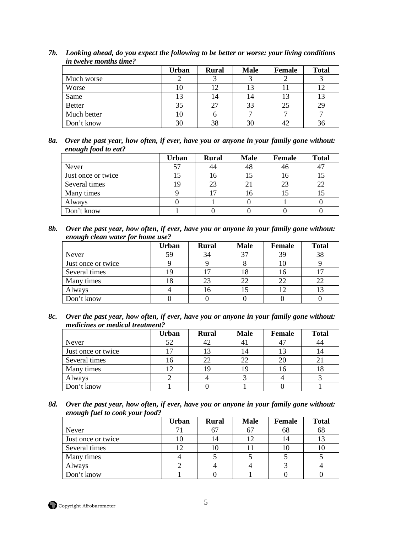|               | Urban | <b>Rural</b> | <b>Male</b> | <b>Female</b> | <b>Total</b> |
|---------------|-------|--------------|-------------|---------------|--------------|
| Much worse    |       |              |             |               |              |
| Worse         | 10    | 12           |             |               | 12           |
| Same          | 13    | 14           | 14          |               | 13           |
| <b>Better</b> | 35    | 27           | 33          | 25            | 29           |
| Much better   | 10    |              |             |               |              |
| Don't know    | 30    | 38           |             |               | 36           |

*7b. Looking ahead, do you expect the following to be better or worse: your living conditions in twelve months time?* 

*8a. Over the past year, how often, if ever, have you or anyone in your family gone without: enough food to eat?* 

|                    | Urban | <b>Rural</b>   | <b>Male</b> | Female | <b>Total</b> |
|--------------------|-------|----------------|-------------|--------|--------------|
| Never              | 57    |                | 48          | -46    | 47           |
| Just once or twice |       | l 6            |             |        |              |
| Several times      | 19    | 23             |             | 23     | 22           |
| Many times         |       | $\overline{ }$ |             |        | IJ           |
| Always             |       |                |             |        |              |
| Don't know         |       |                |             |        |              |

*8b. Over the past year, how often, if ever, have you or anyone in your family gone without: enough clean water for home use?* 

|                    | <b>Urban</b> | <b>Rural</b> | <b>Male</b> | <b>Female</b> | <b>Total</b> |
|--------------------|--------------|--------------|-------------|---------------|--------------|
| Never              | 59           | 34           | 37          | 39            | 38           |
| Just once or twice |              |              |             |               |              |
| Several times      | ١q           |              | 18          |               |              |
| Many times         | 18           | 23           | 22          | 22            |              |
| Always             |              |              |             |               |              |
| Don't know         |              |              |             |               |              |

*8c. Over the past year, how often, if ever, have you or anyone in your family gone without: medicines or medical treatment?* 

|                    | <b>Urban</b> | <b>Rural</b> | <b>Male</b> | Female | <b>Total</b> |
|--------------------|--------------|--------------|-------------|--------|--------------|
| Never              | 52           | 42           | 4 I         |        |              |
| Just once or twice |              |              | ι4          |        |              |
| Several times      | - G          | 22           |             |        |              |
| Many times         |              |              |             | 16     | 10           |
| Always             |              |              |             |        |              |
| Don't know         |              |              |             |        |              |

*8d. Over the past year, how often, if ever, have you or anyone in your family gone without: enough fuel to cook your food?* 

|                    | Urban | <b>Rural</b> | <b>Male</b> | Female | <b>Total</b> |
|--------------------|-------|--------------|-------------|--------|--------------|
| Never              |       | 67           |             | 68     | 68           |
| Just once or twice | ГU    | 14           |             |        |              |
| Several times      |       | TŪ           |             |        | ΙU           |
| Many times         |       |              |             |        |              |
| Always             |       |              |             |        |              |
| Don't know         |       |              |             |        |              |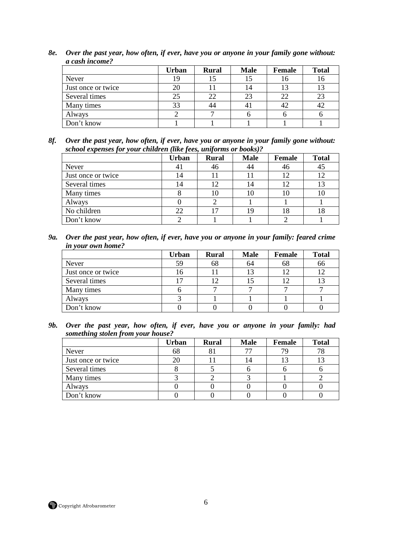|                    | Urban | <b>Rural</b> | <b>Male</b> | Female | <b>Total</b> |
|--------------------|-------|--------------|-------------|--------|--------------|
| Never              | 19    |              |             | 16     | 16           |
| Just once or twice | 20    |              | 14          | 13     |              |
| Several times      | 25    |              |             | 22     | 23           |
| Many times         | 33    |              |             | 42     | 42           |
| Always             |       |              |             |        |              |
| Don't know         |       |              |             |        |              |

*8e. Over the past year, how often, if ever, have you or anyone in your family gone without: a cash income?* 

*8f. Over the past year, how often, if ever, have you or anyone in your family gone without: school expenses for your children (like fees, uniforms or books)?* 

|                    | <b>Urban</b> | <b>Rural</b> | <b>Male</b> | <b>Female</b> | <b>Total</b> |
|--------------------|--------------|--------------|-------------|---------------|--------------|
| Never              | 41           | 46           |             | 46            | 45           |
| Just once or twice | 14           |              |             |               | 12           |
| Several times      | 14           | 12           | 14          |               | 13           |
| Many times         |              | 10           |             | 10            | 10           |
| Always             |              |              |             |               |              |
| No children        | 22           |              |             | 18            | 18           |
| Don't know         |              |              |             |               |              |

*9a. Over the past year, how often, if ever, have you or anyone in your family: feared crime in your own home?* 

|                    | Urban | <b>Rural</b> | <b>Male</b> | <b>Female</b> | <b>Total</b> |
|--------------------|-------|--------------|-------------|---------------|--------------|
| Never              | 59    | 68           | 64          | 68            | 66           |
| Just once or twice | Iб    |              |             |               | 12           |
| Several times      |       |              |             |               | 13           |
| Many times         |       |              |             |               |              |
| Always             |       |              |             |               |              |
| Don't know         |       |              |             |               |              |

*9b. Over the past year, how often, if ever, have you or anyone in your family: had something stolen from your house?* 

|                    | <b>Urban</b> | <b>Rural</b> | <b>Male</b> | Female | <b>Total</b> |
|--------------------|--------------|--------------|-------------|--------|--------------|
| <b>Never</b>       | 68           |              |             | 79     | 78           |
| Just once or twice |              |              |             |        |              |
| Several times      |              |              |             |        |              |
| Many times         |              |              |             |        |              |
| Always             |              |              |             |        |              |
| Don't know         |              |              |             |        |              |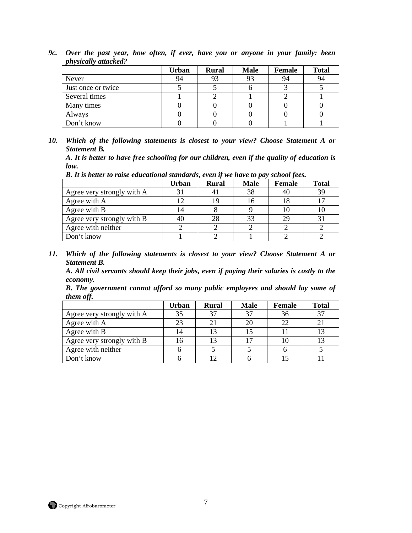|                    | Urban | <b>Rural</b> | <b>Male</b> | Female | <b>Total</b> |
|--------------------|-------|--------------|-------------|--------|--------------|
| <b>Never</b>       | 94    | 93           |             | 94     | 94           |
| Just once or twice |       |              |             |        |              |
| Several times      |       |              |             |        |              |
| Many times         |       |              |             |        |              |
| Always             |       |              |             |        |              |
| Don't know         |       |              |             |        |              |

*9c. Over the past year, how often, if ever, have you or anyone in your family: been physically attacked?* 

*10. Which of the following statements is closest to your view? Choose Statement A or Statement B.* 

*A. It is better to have free schooling for our children, even if the quality of education is low.* 

| D. It is better to raise eaucuitonul standards, even if we have to pay school fees. |       |       |             |        |              |  |  |  |
|-------------------------------------------------------------------------------------|-------|-------|-------------|--------|--------------|--|--|--|
|                                                                                     | Urban | Rural | <b>Male</b> | Female | <b>Total</b> |  |  |  |
| Agree very strongly with A                                                          |       |       | 38          | 40     | 39           |  |  |  |
| Agree with A                                                                        |       |       |             |        |              |  |  |  |
| Agree with B                                                                        |       |       |             |        |              |  |  |  |
| Agree very strongly with B                                                          | 40    |       |             | 20     |              |  |  |  |

Agree very strongly with B  $\begin{array}{|c|c|c|c|c|c|c|c|}\n\hline\n\text{Agree} & \text{with } \text{neither} & \text{if } 2 & \text{if } 2 & \text{if } 2 & \text{if } 2 & \text{if } 2 & \text{if } 2 & \text{if } 2 & \text{if } 2 & \text{if } 2 & \text{if } 2 & \text{if } 2 & \text{if } 2 & \text{if } 2 & \text{if } 2 & \text{if } 2 & \text{if } 2 & \text{if } 2 & \text{if } 2 & \text{$ Agree with neither 2 2 2 2 2 Don't know 1 1 2 1 2 2

*B. It is better to raise educational standards, even if we have to pay school fees.* 

*11. Which of the following statements is closest to your view? Choose Statement A or Statement B.* 

*A. All civil servants should keep their jobs, even if paying their salaries is costly to the economy.* 

*B. The government cannot afford so many public employees and should lay some of them off.* 

|                            | Urban | <b>Rural</b> | <b>Male</b> | <b>Female</b> | <b>Total</b> |
|----------------------------|-------|--------------|-------------|---------------|--------------|
| Agree very strongly with A | 35    |              |             | 36            | 37           |
| Agree with A               | 23    |              |             | 22            |              |
| Agree with B               | 14    | 12           |             |               |              |
| Agree very strongly with B |       |              |             |               |              |
| Agree with neither         |       |              |             |               |              |
| Don't know                 |       |              |             |               |              |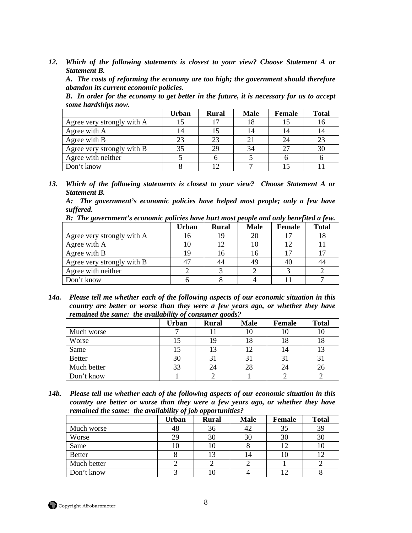*A. The costs of reforming the economy are too high; the government should therefore abandon its current economic policies.* 

*B. In order for the economy to get better in the future, it is necessary for us to accept some hardships now.* 

|                            | <b>Urban</b> | <b>Rural</b> | <b>Male</b> | Female | <b>Total</b> |
|----------------------------|--------------|--------------|-------------|--------|--------------|
| Agree very strongly with A |              |              |             |        | 16           |
| Agree with A               |              |              |             |        | 14           |
| Agree with B               |              | 23           |             |        | 23           |
| Agree very strongly with B | 35           | 29           |             | 25     | 30           |
| Agree with neither         |              |              |             |        |              |
| Don't know                 |              |              |             |        |              |

*13. Which of the following statements is closest to your view? Choose Statement A or Statement B.* 

*A: The government's economic policies have helped most people; only a few have suffered.* 

*B: The government's economic policies have hurt most people and only benefited a few.*

|                            | Urban | <b>Rural</b> | <b>Male</b> | Female | <b>Total</b> |
|----------------------------|-------|--------------|-------------|--------|--------------|
| Agree very strongly with A | 16    | 19           | 20          |        | 18           |
| Agree with A               |       |              |             | 12     |              |
| Agree with B               |       | 16           |             |        |              |
| Agree very strongly with B |       |              | 49          |        | 44           |
| Agree with neither         |       |              |             |        |              |
| Don't know                 |       |              |             |        |              |

*14a. Please tell me whether each of the following aspects of our economic situation in this country are better or worse than they were a few years ago, or whether they have remained the same: the availability of consumer goods?* 

|               | <b>Urban</b> | <b>Rural</b> | <b>Male</b>    | <b>Female</b> | <b>Total</b> |
|---------------|--------------|--------------|----------------|---------------|--------------|
| Much worse    |              |              | 10             | 10            | 10           |
| Worse         | 15           |              | 18             | 18            | 18           |
| Same          |              | 13           |                | 14            | 13           |
| <b>Better</b> | 30           |              | 3 <sup>1</sup> | 31            |              |
| Much better   | 33           | 24           | 28             | 24            | 26           |
| Don't know    |              |              |                |               |              |

*14b. Please tell me whether each of the following aspects of our economic situation in this country are better or worse than they were a few years ago, or whether they have remained the same: the availability of job opportunities?* 

|               | <b>Urban</b> | <b>Rural</b> | <b>Male</b> | <b>Female</b> | <b>Total</b> |
|---------------|--------------|--------------|-------------|---------------|--------------|
| Much worse    | 48           | 36           | 42          | 35            | 39           |
| Worse         |              | 30           | 30          | 30            | 30           |
| Same          | 1 V          | 1∪           | Ω           |               | 10           |
| <b>Better</b> |              |              |             | 10            |              |
| Much better   |              |              |             |               |              |
| Don't know    |              |              |             |               |              |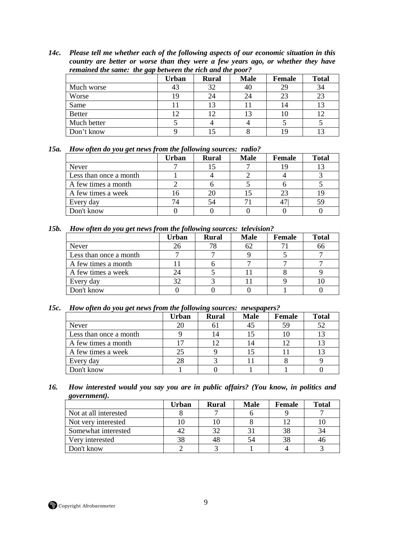*14c. Please tell me whether each of the following aspects of our economic situation in this country are better or worse than they were a few years ago, or whether they have remained the same: the gap between the rich and the poor?* 

| remained the same. The gup beth cent the rich and the poor . |       |              |             |               |              |  |  |  |
|--------------------------------------------------------------|-------|--------------|-------------|---------------|--------------|--|--|--|
|                                                              | Urban | <b>Rural</b> | <b>Male</b> | <b>Female</b> | <b>Total</b> |  |  |  |
| Much worse                                                   | 43    | 32           | 40          | 29            | 34           |  |  |  |
| Worse                                                        |       | 24           | 24          | 23            | 23           |  |  |  |
| Same                                                         |       |              |             | 14            | 13           |  |  |  |
| <b>Better</b>                                                |       |              |             |               | 12           |  |  |  |
| Much better                                                  |       |              |             |               |              |  |  |  |
| Don't know                                                   |       |              |             |               |              |  |  |  |

| 15a. How often do you get news from the following sources: radio? |  |  |
|-------------------------------------------------------------------|--|--|
|                                                                   |  |  |

|                        | <b>Urban</b> | <b>Rural</b> | <b>Male</b> | <b>Female</b> | <b>Total</b> |
|------------------------|--------------|--------------|-------------|---------------|--------------|
| Never                  |              |              |             |               |              |
| Less than once a month |              |              |             |               |              |
| A few times a month    |              |              |             |               |              |
| A few times a week     |              |              |             | 23            |              |
| Every day              |              |              |             |               | 59           |
| Don't know             |              |              |             |               |              |

#### *15b. How often do you get news from the following sources: television?*

| . .                    |       |              |             |        |              |
|------------------------|-------|--------------|-------------|--------|--------------|
|                        | Urban | <b>Rural</b> | <b>Male</b> | Female | <b>Total</b> |
| Never                  |       |              |             |        | 66           |
| Less than once a month |       |              |             |        |              |
| A few times a month    |       |              |             |        |              |
| A few times a week     |       |              |             |        |              |
| Every day              | 32    |              |             |        |              |
| Don't know             |       |              |             |        |              |

#### *15c. How often do you get news from the following sources: newspapers?*

|                        | Urban | <b>Rural</b> | <b>Male</b> | Female | <b>Total</b> |
|------------------------|-------|--------------|-------------|--------|--------------|
| Never                  | 20    | n i          |             | 59     | 52           |
| Less than once a month |       | 4            |             |        | 13           |
| A few times a month    |       |              |             |        | 13           |
| A few times a week     | 25    |              |             |        | 13           |
| Every day              | 28    |              |             |        |              |
| Don't know             |       |              |             |        |              |

#### *16. How interested would you say you are in public affairs? (You know, in politics and government).*

|                       | Urban | <b>Rural</b> | <b>Male</b> | <b>Female</b> | <b>Total</b> |
|-----------------------|-------|--------------|-------------|---------------|--------------|
| Not at all interested |       |              |             |               |              |
| Not very interested   |       |              |             |               |              |
| Somewhat interested   |       | 32           |             | 38            | 34           |
| Very interested       |       | 48           |             | 38            | 46           |
| Don't know            |       |              |             |               |              |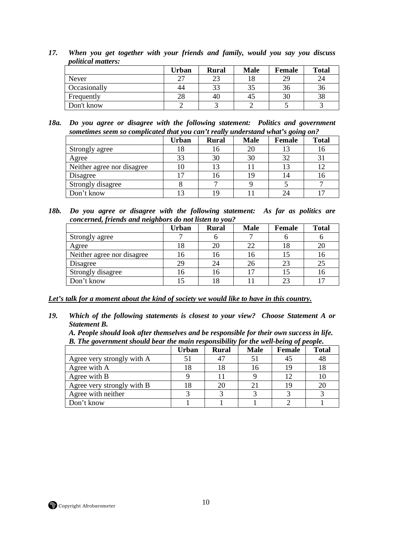|              | Urban | <b>Rural</b> | <b>Male</b> | <b>Female</b> | <b>Total</b> |
|--------------|-------|--------------|-------------|---------------|--------------|
| Never        | ົ     | 23           |             | 29            | 24           |
| Occasionally | 44    | 33           |             | 36            | 36           |
| Frequently   | 28    | 40           | 40          | 30            | 38           |
| Don't know   |       |              |             |               |              |

- *17. When you get together with your friends and family, would you say you discuss political matters:*
- *18a. Do you agree or disagree with the following statement: Politics and government sometimes seem so complicated that you can't really understand what's going on?*

|                            | Urban | <b>Rural</b> | <b>Male</b> | $\mathbf{v}$<br><b>Female</b> | <b>Total</b> |
|----------------------------|-------|--------------|-------------|-------------------------------|--------------|
| Strongly agree             |       | 16           |             |                               | l6           |
| Agree                      | 33    | 30           |             | 32                            |              |
| Neither agree nor disagree | 10    | 13           |             |                               |              |
| Disagree                   |       | l 6          |             |                               | 16           |
| Strongly disagree          |       |              |             |                               |              |
| Don't know                 |       | ١q           |             |                               |              |

*18b. Do you agree or disagree with the following statement: As far as politics are concerned, friends and neighbors do not listen to you?* 

|                            | <b>Urban</b> | <b>Rural</b> | <b>Male</b> | Female      | <b>Total</b> |
|----------------------------|--------------|--------------|-------------|-------------|--------------|
| Strongly agree             |              |              |             |             |              |
| Agree                      |              | 20           | つつ          |             | 20           |
| Neither agree nor disagree | 16           | Iб           |             |             | 16           |
| Disagree                   | 29           | 24           |             | 23          | 25           |
| Strongly disagree          |              | l6           |             |             | 16           |
| Don't know                 |              | 8            |             | $2^{\circ}$ | $1 -$        |

*Let's talk for a moment about the kind of society we would like to have in this country.*

*19. Which of the following statements is closest to your view? Choose Statement A or Statement B.* 

*A. People should look after themselves and be responsible for their own success in life. B. The government should bear the main responsibility for the well-being of people.* 

|                            | 70 J F T |              |             |        |              |
|----------------------------|----------|--------------|-------------|--------|--------------|
|                            | Urban    | <b>Rural</b> | <b>Male</b> | Female | <b>Total</b> |
| Agree very strongly with A |          |              |             |        | 48           |
| Agree with A               |          | 18           |             |        |              |
| Agree with B               |          |              |             |        |              |
| Agree very strongly with B |          | 20           | $2^{\circ}$ |        | 20           |
| Agree with neither         |          |              |             |        |              |
| Don't know                 |          |              |             |        |              |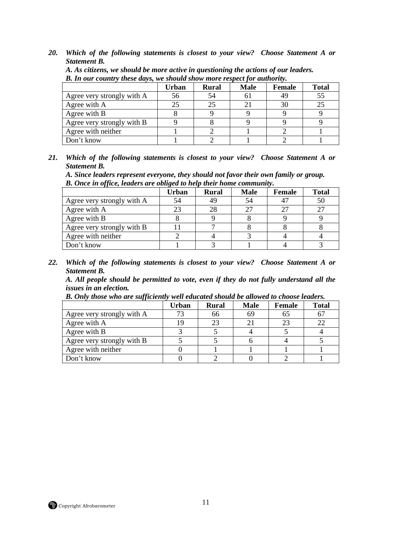|                            | <b>Urban</b> | <b>Rural</b> | <b>Male</b>               | Female | <b>Total</b> |
|----------------------------|--------------|--------------|---------------------------|--------|--------------|
| Agree very strongly with A | 56           |              | 61                        | 49     | 55           |
| Agree with A               | 25           |              | $\mathbf{2}^{\mathsf{i}}$ | 30     | 25           |
| Agree with B               |              |              |                           |        |              |
| Agree very strongly with B |              |              |                           |        |              |
| Agree with neither         |              |              |                           |        |              |
| Don't know                 |              |              |                           |        |              |

*A. As citizens, we should be more active in questioning the actions of our leaders. B. In our country these days, we should show more respect for authority.* 

*21. Which of the following statements is closest to your view? Choose Statement A or Statement B.* 

*A. Since leaders represent everyone, they should not favor their own family or group. B. Once in office, leaders are obliged to help their home community.* 

|                            | Urban | <b>Rural</b> | <b>Male</b> | Female | <b>Total</b> |
|----------------------------|-------|--------------|-------------|--------|--------------|
| Agree very strongly with A | 54    | 49           |             |        | 50           |
| Agree with A               | 23    | 28           |             | 27     | つフ           |
| Agree with B               |       |              |             |        |              |
| Agree very strongly with B |       |              |             |        |              |
| Agree with neither         |       |              |             |        |              |
| Don't know                 |       |              |             |        |              |

*22. Which of the following statements is closest to your view? Choose Statement A or Statement B.* 

*A. All people should be permitted to vote, even if they do not fully understand all the issues in an election.* 

|  |  |  |  |  |  |  | B. Only those who are sufficiently well educated should be allowed to choose leaders. |
|--|--|--|--|--|--|--|---------------------------------------------------------------------------------------|
|--|--|--|--|--|--|--|---------------------------------------------------------------------------------------|

|                            | Urban | <b>Rural</b> | <b>Male</b> | Female | Total |
|----------------------------|-------|--------------|-------------|--------|-------|
| Agree very strongly with A |       | 66           |             |        | 67    |
| Agree with A               |       | 23           |             | 23     | 22    |
| Agree with B               |       |              |             |        |       |
| Agree very strongly with B |       |              |             |        |       |
| Agree with neither         |       |              |             |        |       |
| Don't know                 |       |              |             |        |       |

**Copyright Afrobarometer** 11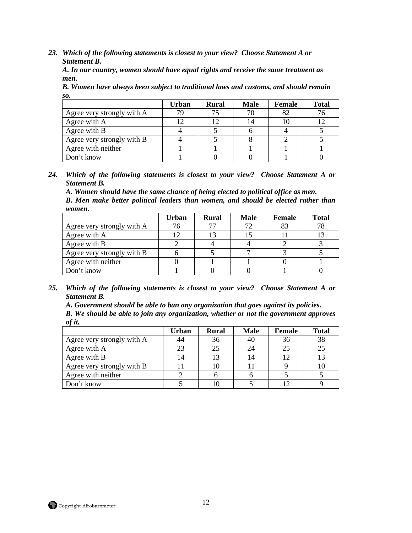*A. In our country, women should have equal rights and receive the same treatment as men.* 

*B. Women have always been subject to traditional laws and customs, and should remain so.* 

|                            | <b>Urban</b> | <b>Rural</b> | <b>Male</b> | Female | <b>Total</b> |
|----------------------------|--------------|--------------|-------------|--------|--------------|
| Agree very strongly with A |              | 75           |             | 82     | 76           |
| Agree with A               |              | 12           | 14          |        | 12           |
| Agree with B               |              |              |             |        |              |
| Agree very strongly with B |              |              |             |        |              |
| Agree with neither         |              |              |             |        |              |
| Don't know                 |              |              |             |        |              |

*24. Which of the following statements is closest to your view? Choose Statement A or Statement B.* 

*A. Women should have the same chance of being elected to political office as men. B. Men make better political leaders than women, and should be elected rather than women.* 

|                            | Urban | <b>Rural</b> | <b>Male</b> | Female | <b>Total</b> |
|----------------------------|-------|--------------|-------------|--------|--------------|
| Agree very strongly with A | 76    |              |             | 83     | 78           |
| Agree with A               |       |              |             |        |              |
| Agree with B               |       |              |             |        |              |
| Agree very strongly with B |       |              |             |        |              |
| Agree with neither         |       |              |             |        |              |
| Don't know                 |       |              |             |        |              |

*25. Which of the following statements is closest to your view? Choose Statement A or Statement B.* 

*A. Government should be able to ban any organization that goes against its policies. B. We should be able to join any organization, whether or not the government approves of it.* 

|                            | <b>Urban</b> | <b>Rural</b> | <b>Male</b> | Female | <b>Total</b> |
|----------------------------|--------------|--------------|-------------|--------|--------------|
| Agree very strongly with A |              | 36           | 40          | 36     | 38           |
| Agree with A               | 23           | 25           | 24          | 25     | 25           |
| Agree with B               |              | 13           |             |        | 13           |
| Agree very strongly with B |              | 10           |             |        | 10           |
| Agree with neither         |              |              |             |        |              |
| Don't know                 |              |              |             |        |              |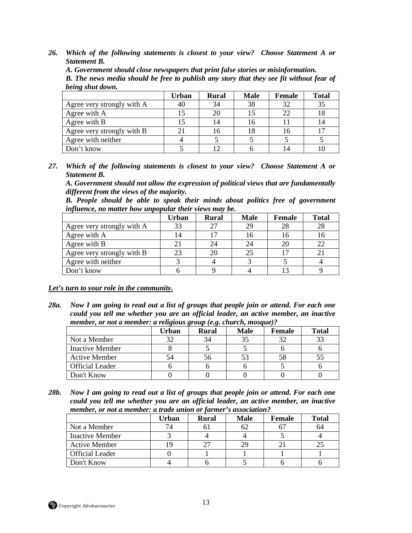*A. Government should close newspapers that print false stories or misinformation.* 

*B. The news media should be free to publish any story that they see fit without fear of being shut down.* 

|                            | <b>Urban</b> | <b>Rural</b> | <b>Male</b> | Female | <b>Total</b> |
|----------------------------|--------------|--------------|-------------|--------|--------------|
| Agree very strongly with A |              | 34           | 38          |        | 35           |
| Agree with A               |              | 20           |             |        | 18           |
| Agree with B               |              |              | 16          |        | 14           |
| Agree very strongly with B |              |              | 18          |        | 17           |
| Agree with neither         |              |              |             |        |              |
| Don't know                 |              |              |             |        |              |

*27. Which of the following statements is closest to your view? Choose Statement A or Statement B.* 

*A. Government should not allow the expression of political views that are fundamentally different from the views of the majority.* 

*B. People should be able to speak their minds about politics free of government influence, no matter how unpopular their views may be.* 

|                            | <b>Urban</b> | <b>Rural</b> | <b>Male</b> | Female | <b>Total</b> |
|----------------------------|--------------|--------------|-------------|--------|--------------|
| Agree very strongly with A | 33           |              | 29          | 28     | 28           |
| Agree with A               | 14           |              |             |        | 16           |
| Agree with B               | 21           | 24           |             | 20     | 22           |
| Agree very strongly with B | 23           | 20           | 25          |        |              |
| Agree with neither         |              |              |             |        |              |
| Don't know                 |              |              |             |        |              |

*Let's turn to your role in the community.*

*28a. Now I am going to read out a list of groups that people join or attend. For each one could you tell me whether you are an official leader, an active member, an inactive member, or not a member: a religious group (e.g. church, mosque)?* 

|                        | Urban | <b>Rural</b> | <b>Male</b> | Female | <b>Total</b> |
|------------------------|-------|--------------|-------------|--------|--------------|
| Not a Member           | 27    | 34           | 35          |        |              |
| <b>Inactive Member</b> |       |              |             |        |              |
| <b>Active Member</b>   |       | 56           |             |        |              |
| <b>Official Leader</b> |       |              |             |        |              |
| Don't Know             |       |              |             |        |              |

*28b. Now I am going to read out a list of groups that people join or attend. For each one could you tell me whether you are an official leader, an active member, an inactive member, or not a member: a trade union or farmer's association?* 

|                        | Urban | <b>Rural</b> | <b>Male</b> | <b>Female</b> | <b>Total</b> |
|------------------------|-------|--------------|-------------|---------------|--------------|
| Not a Member           | 74    |              |             |               | 64           |
| <b>Inactive Member</b> |       |              |             |               |              |
| <b>Active Member</b>   |       |              |             |               |              |
| <b>Official Leader</b> |       |              |             |               |              |
| Don't Know             |       |              |             |               |              |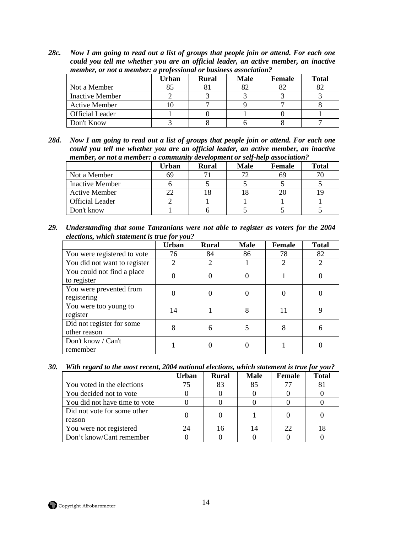*28c. Now I am going to read out a list of groups that people join or attend. For each one could you tell me whether you are an official leader, an active member, an inactive member, or not a member: a professional or business association?* 

|                        | <b>Male</b><br><b>Total</b><br>Urban<br><b>Female</b><br>Rural |    |    |  |  |  |  |  |
|------------------------|----------------------------------------------------------------|----|----|--|--|--|--|--|
|                        |                                                                |    |    |  |  |  |  |  |
| Not a Member           |                                                                | 82 | 82 |  |  |  |  |  |
| Inactive Member        |                                                                |    |    |  |  |  |  |  |
| <b>Active Member</b>   |                                                                |    |    |  |  |  |  |  |
| <b>Official Leader</b> |                                                                |    |    |  |  |  |  |  |
| Don't Know             |                                                                |    |    |  |  |  |  |  |

*28d. Now I am going to read out a list of groups that people join or attend. For each one could you tell me whether you are an official leader, an active member, an inactive member, or not a member: a community development or self-help association?* 

|                        | Urban | <b>Rural</b> | <b>Male</b> | <b>Female</b> | <b>Total</b> |
|------------------------|-------|--------------|-------------|---------------|--------------|
| Not a Member           | 69    |              |             |               |              |
| <b>Inactive Member</b> |       |              |             |               |              |
| <b>Active Member</b>   |       |              |             |               |              |
| <b>Official Leader</b> |       |              |             |               |              |
| Don't know             |       |              |             |               |              |

*29. Understanding that some Tanzanians were not able to register as voters for the 2004 elections, which statement is true for you?* 

|                                           | <b>Urban</b> | <b>Rural</b> | <b>Male</b> | Female | <b>Total</b> |
|-------------------------------------------|--------------|--------------|-------------|--------|--------------|
| You were registered to vote               | 76           | 84           | 86          | 78     | 82           |
| You did not want to register              | 2            | 2            |             | 2      | 2            |
| You could not find a place<br>to register |              |              | 0           |        |              |
| You were prevented from<br>registering    |              |              | 0           |        |              |
| You were too young to<br>register         | 14           |              | 8           | 11     |              |
| Did not register for some<br>other reason |              | 6            | 5           | 8      | 6            |
| Don't know / Can't<br>remember            |              |              |             |        |              |

*30. With regard to the most recent, 2004 national elections, which statement is true for you?* 

|                               | <b>Urban</b> | <b>Rural</b> | <b>Male</b> | Female | <b>Total</b> |
|-------------------------------|--------------|--------------|-------------|--------|--------------|
| You voted in the elections    | 75           | 83           | 85          |        | 81           |
| You decided not to vote       |              |              |             |        |              |
| You did not have time to vote |              |              |             |        |              |
| Did not vote for some other   |              |              |             |        |              |
| reason                        |              |              |             |        |              |
| You were not registered       | 24           | 16           | 14          | 22     |              |
| Don't know/Cant remember      |              |              |             |        |              |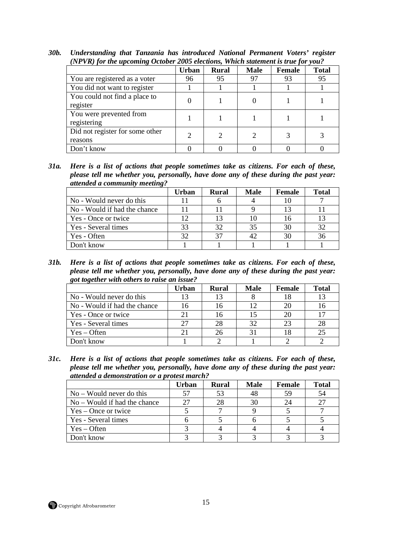| (IVI-VIX) for the apcolling October 2003 elections, which statement is true for you; |       |              |             |        |              |  |
|--------------------------------------------------------------------------------------|-------|--------------|-------------|--------|--------------|--|
|                                                                                      | Urban | <b>Rural</b> | <b>Male</b> | Female | <b>Total</b> |  |
| You are registered as a voter                                                        | 96    | 95           | 97          | 93     | 95           |  |
| You did not want to register                                                         |       |              |             |        |              |  |
| You could not find a place to<br>register                                            |       |              |             |        |              |  |
| You were prevented from<br>registering                                               |       |              |             |        |              |  |
| Did not register for some other<br>reasons                                           |       |              |             |        |              |  |
| Don't know                                                                           |       |              |             |        |              |  |

*30b. Understanding that Tanzania has introduced National Permanent Voters' register (NPVR) for the upcoming October 2005 elections, Which statement is true for you?* 

*31a. Here is a list of actions that people sometimes take as citizens. For each of these, please tell me whether you, personally, have done any of these during the past year: attended a community meeting?* 

|                              | Urban | <b>Rural</b> | <b>Male</b> | Female | <b>Total</b> |
|------------------------------|-------|--------------|-------------|--------|--------------|
| No - Would never do this     |       |              |             | 10     |              |
| No - Would if had the chance |       |              |             |        |              |
| Yes - Once or twice          | 12    | 13           |             |        | 13           |
| Yes - Several times          | 33    | 32           | 35          | 30     | 32           |
| Yes - Often                  | 32    | 37           | 42          | 30     | 36           |
| Don't know                   |       |              |             |        |              |

*31b. Here is a list of actions that people sometimes take as citizens. For each of these, please tell me whether you, personally, have done any of these during the past year: got together with others to raise an issue?* 

|                              | Urban | Rural | <b>Male</b> | Female | <b>Total</b> |
|------------------------------|-------|-------|-------------|--------|--------------|
| No - Would never do this     | 13    |       |             |        | 13           |
| No - Would if had the chance | 16    |       | 12          |        | 16           |
| Yes - Once or twice          |       |       | 15          |        | 17           |
| Yes - Several times          | 27    |       | 32          | 23     | 28           |
| $Yes - Often$                |       | 26    |             |        | 25           |
| Don't know                   |       |       |             |        |              |

*31c. Here is a list of actions that people sometimes take as citizens. For each of these, please tell me whether you, personally, have done any of these during the past year: attended a demonstration or a protest march?* 

|                                | Urban | <b>Rural</b> | <b>Male</b> | Female | Total |
|--------------------------------|-------|--------------|-------------|--------|-------|
| $No - Would never do this$     | 57    | 53           | 48          | 59     | 54    |
| $No - Would if had the chance$ | 27    |              | 30          |        | 27    |
| $Yes - Once or twice$          |       |              |             |        |       |
| Yes - Several times            |       |              |             |        |       |
| $Yes - Often$                  |       |              |             |        |       |
| Don't know                     |       |              |             |        |       |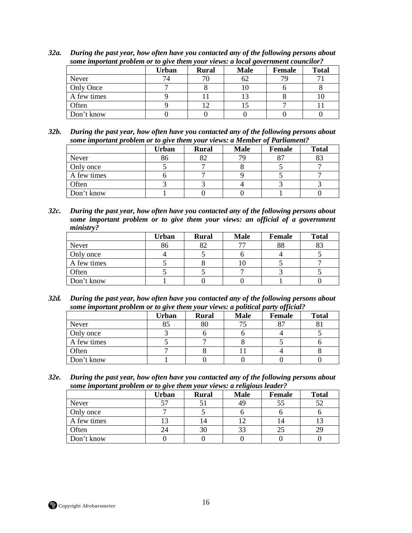|             | Urban | <b>Rural</b> | <b>Male</b> | Female | <b>Total</b> |
|-------------|-------|--------------|-------------|--------|--------------|
| Never       |       |              | 62          | 79.    |              |
| Only Once   |       |              |             |        |              |
| A few times |       |              |             |        |              |
| Often       |       |              |             |        |              |
| Don't know  |       |              |             |        |              |

*32a. During the past year, how often have you contacted any of the following persons about some important problem or to give them your views: a local government councilor?* 

*32b. During the past year, how often have you contacted any of the following persons about some important problem or to give them your views: a Member of Parliament?* 

| . .         |       |              |             |        |              |  |
|-------------|-------|--------------|-------------|--------|--------------|--|
|             | Urban | <b>Rural</b> | <b>Male</b> | Female | <b>Total</b> |  |
| Never       | 86    | o^           | 79          |        | ററ           |  |
| Only once   |       |              |             |        |              |  |
| A few times |       |              |             |        |              |  |
| Often       |       |              |             |        |              |  |
| Don't know  |       |              |             |        |              |  |

*32c. During the past year, how often have you contacted any of the following persons about some important problem or to give them your views: an official of a government ministry?* 

|             | Urban | <b>Rural</b> | <b>Male</b> | <b>Female</b> | <b>Total</b> |
|-------------|-------|--------------|-------------|---------------|--------------|
| Never       | 86    |              |             | 88            | o٥           |
| Only once   |       |              |             |               |              |
| A few times |       |              |             |               |              |
| Often       |       |              |             |               |              |
| Don't know  |       |              |             |               |              |

*32d. During the past year, how often have you contacted any of the following persons about some important problem or to give them your views: a political party official?* 

|             | Urban | <b>Rural</b> | <b>Male</b> | Female | <b>Total</b> |
|-------------|-------|--------------|-------------|--------|--------------|
| Never       |       | 80           |             |        |              |
| Only once   |       |              |             |        |              |
| A few times |       |              |             |        |              |
| Often       |       |              |             |        |              |
| Don't know  |       |              |             |        |              |

*32e. During the past year, how often have you contacted any of the following persons about some important problem or to give them your views: a religious leader?* 

|             | Urban | <b>Rural</b> | <b>Male</b> | Female | <b>Total</b> |
|-------------|-------|--------------|-------------|--------|--------------|
| Never       | 57    |              |             |        |              |
| Only once   |       |              |             |        |              |
| A few times |       | 14           |             |        |              |
| Often       | 24    | 30           | 33          |        |              |
| Don't know  |       |              |             |        |              |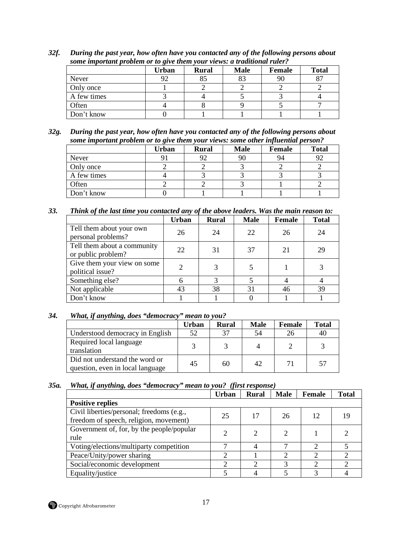|              | some important problem or to give them your views, a traditional ruler. |              |             |        |              |  |  |  |
|--------------|-------------------------------------------------------------------------|--------------|-------------|--------|--------------|--|--|--|
|              | Urban                                                                   | <b>Rural</b> | <b>Male</b> | Female | <b>Total</b> |  |  |  |
| <b>Never</b> | 92                                                                      |              |             | 90     |              |  |  |  |
| Only once    |                                                                         |              |             |        |              |  |  |  |
| A few times  |                                                                         |              |             |        |              |  |  |  |
| Often        |                                                                         |              |             |        |              |  |  |  |
| Don't know   |                                                                         |              |             |        |              |  |  |  |

*32f. During the past year, how often have you contacted any of the following persons about some important problem or to give them your views: a traditional ruler?* 

*32g. During the past year, how often have you contacted any of the following persons about some important problem or to give them your views: some other influential person?* 

|             | Urban | <b>Rural</b> | <b>Male</b> | <b>Female</b> | <b>Total</b> |
|-------------|-------|--------------|-------------|---------------|--------------|
| Never       |       | ۹.           | 90          | 94            |              |
| Only once   |       |              |             |               |              |
| A few times |       |              |             |               |              |
| Often       |       |              |             |               |              |
| Don't know  |       |              |             |               |              |

*33. Think of the last time you contacted any of the above leaders. Was the main reason to:* 

|                                                   | <b>Urban</b> | <b>Rural</b> | <b>Male</b> | <b>Female</b> | <b>Total</b> |
|---------------------------------------------------|--------------|--------------|-------------|---------------|--------------|
| Tell them about your own<br>personal problems?    | 26           | 24           | 22          | 26            | 24           |
| Tell them about a community<br>or public problem? | 22           | 31           | 37          | 21            | 29           |
| Give them your view on some<br>political issue?   |              |              |             |               |              |
| Something else?                                   |              |              |             |               |              |
| Not applicable                                    | 43           | 38           | 31          | 46            | 39           |
| Don't know                                        |              |              |             |               |              |

# *34. What, if anything, does "democracy" mean to you?*

|                                                                    | Urban | Rural | <b>Male</b> | Female | <b>Total</b> |
|--------------------------------------------------------------------|-------|-------|-------------|--------|--------------|
| Understood democracy in English                                    | 52    | 37    | 54          |        | -46          |
| Required local language<br>translation                             |       |       |             |        |              |
| Did not understand the word or<br>question, even in local language | 45    | 60    | 42          |        | $5^{\circ}$  |

# *35a. What, if anything, does "democracy" mean to you? (first response)*

|                                                                                     | <b>Urban</b> | <b>Rural</b> | <b>Male</b> | Female | <b>Total</b> |  |
|-------------------------------------------------------------------------------------|--------------|--------------|-------------|--------|--------------|--|
| <b>Positive replies</b>                                                             |              |              |             |        |              |  |
| Civil liberties/personal; freedoms (e.g.,<br>freedom of speech, religion, movement) | 25           | 17           | 26          | 12     |              |  |
| Government of, for, by the people/popular<br>rule                                   |              |              |             |        |              |  |
| Voting/elections/multiparty competition                                             | ┑            |              | ⇁           |        |              |  |
| Peace/Unity/power sharing                                                           | ◠            |              | ◠           |        |              |  |
| Social/economic development                                                         | ◠            |              | 3           |        |              |  |
| Equality/justice                                                                    |              |              |             |        |              |  |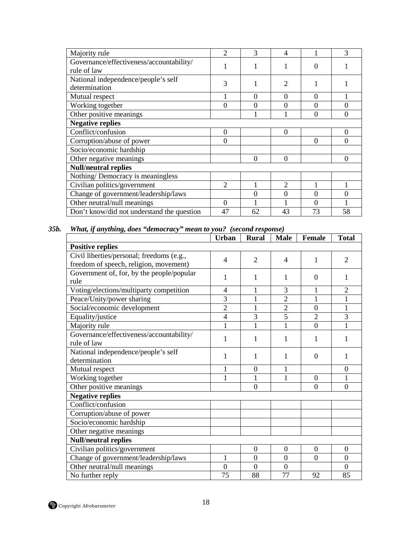| Majority rule                              | $\overline{c}$ | 3  | 4                             |          | 3              |
|--------------------------------------------|----------------|----|-------------------------------|----------|----------------|
| Governance/effectiveness/accountability/   |                |    |                               | 0        |                |
| rule of law                                |                |    |                               |          |                |
| National independence/people's self        | 3              |    | $\overline{2}$                |          |                |
| determination                              |                |    |                               |          |                |
| Mutual respect                             |                | 0  | $\Omega$                      | 0        |                |
| Working together                           | $\overline{0}$ | 0  | 0                             | 0        |                |
| Other positive meanings                    |                |    |                               | 0        | $\theta$       |
| <b>Negative replies</b>                    |                |    |                               |          |                |
| Conflict/confusion                         | $\overline{0}$ |    | $\Omega$                      |          | 0              |
| Corruption/abuse of power                  | $\overline{0}$ |    |                               | $\theta$ | 0              |
| Socio/economic hardship                    |                |    |                               |          |                |
| Other negative meanings                    |                | 0  | $\Omega$                      |          | $\overline{0}$ |
| <b>Null/neutral replies</b>                |                |    |                               |          |                |
| Nothing/Democracy is meaningless           |                |    |                               |          |                |
| Civilian politics/government               | 2              |    | $\mathfrak{D}_{\mathfrak{p}}$ |          |                |
| Change of government/leadership/laws       |                | 0  | 0                             | 0        |                |
| Other neutral/null meanings                | $\Omega$       |    |                               | 0        |                |
| Don't know/did not understand the question | 47             | 62 | 43                            | 73       | 58             |
|                                            |                |    |                               |          |                |

# *35b. What, if anything, does "democracy" mean to you? (second response)*

| $\overline{4}$       |                      |                      |                |                      |
|----------------------|----------------------|----------------------|----------------|----------------------|
|                      |                      |                      |                |                      |
|                      | $\overline{2}$       | $\overline{4}$       | $\mathbf{1}$   | $\overline{2}$       |
|                      |                      |                      |                |                      |
| 1                    | 1                    | 1                    | $\Omega$       |                      |
| 4                    |                      | 3                    | 1              | $\overline{2}$       |
| 3                    | 1                    | $\overline{2}$       | 1              | 1                    |
| $\overline{2}$       | $\mathbf{1}$         | $\overline{2}$       | $\overline{0}$ | $\mathbf{1}$         |
| $\overline{4}$       | 3                    | $\overline{5}$       | $\overline{2}$ | 3                    |
| 1                    | 1                    | 1                    | $\overline{0}$ |                      |
| 1                    | 1                    | 1                    | 1              | 1                    |
| 1                    | 1                    | 1                    | $\Omega$       |                      |
| 1                    | $\overline{0}$       | 1                    |                | $\overline{0}$       |
| $\mathbf{1}$         | 1                    | 1                    | $\overline{0}$ |                      |
|                      | $\Omega$             |                      | $\Omega$       | $\Omega$             |
|                      |                      |                      |                |                      |
|                      |                      |                      |                |                      |
|                      |                      |                      |                |                      |
|                      |                      |                      |                |                      |
|                      |                      |                      |                |                      |
|                      |                      |                      |                |                      |
|                      | $\boldsymbol{0}$     | $\boldsymbol{0}$     | $\overline{0}$ | $\boldsymbol{0}$     |
| $\mathbf{1}$         | $\overline{0}$       | $\overline{0}$       | $\overline{0}$ | $\overline{0}$       |
|                      |                      |                      |                |                      |
| $\overline{0}$<br>75 | $\overline{0}$<br>88 | $\overline{0}$<br>77 |                | $\overline{0}$<br>85 |
|                      |                      |                      |                |                      |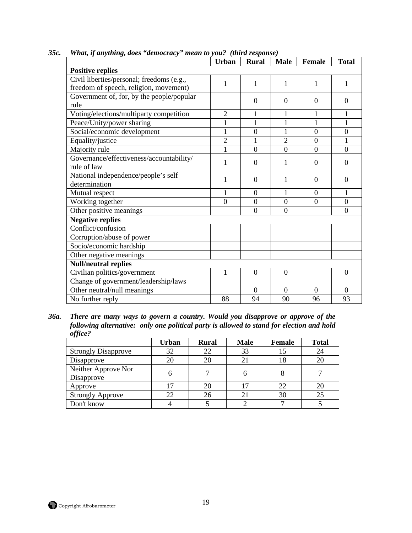| JJt.<br>тии, у инуттg, aves - аетостасу - теан w уои: - (ти теѕропѕе)<br><b>Urban</b><br><b>Rural</b><br><b>Male</b><br><b>Female</b> |                  |                  |                  |                  |                  |  |  |
|---------------------------------------------------------------------------------------------------------------------------------------|------------------|------------------|------------------|------------------|------------------|--|--|
|                                                                                                                                       |                  |                  |                  |                  | <b>Total</b>     |  |  |
| <b>Positive replies</b>                                                                                                               |                  |                  |                  |                  |                  |  |  |
| Civil liberties/personal; freedoms (e.g.,                                                                                             | $\mathbf{1}$     | 1                | 1                | 1                |                  |  |  |
| freedom of speech, religion, movement)                                                                                                |                  |                  |                  |                  |                  |  |  |
| Government of, for, by the people/popular                                                                                             |                  | $\boldsymbol{0}$ | $\Omega$         | $\overline{0}$   | $\Omega$         |  |  |
| rule                                                                                                                                  |                  |                  |                  |                  |                  |  |  |
| Voting/elections/multiparty competition                                                                                               | $\overline{2}$   | 1                | $\mathbf{1}$     | 1                |                  |  |  |
| Peace/Unity/power sharing                                                                                                             | $\mathbf{1}$     | 1                | 1                | 1                | 1                |  |  |
| Social/economic development                                                                                                           | $\mathbf{1}$     | $\overline{0}$   | 1                | $\overline{0}$   | $\overline{0}$   |  |  |
| Equality/justice                                                                                                                      | $\overline{2}$   | 1                | $\overline{2}$   | $\boldsymbol{0}$ |                  |  |  |
| Majority rule                                                                                                                         | $\mathbf{1}$     | $\theta$         | $\theta$         | $\overline{0}$   | $\overline{0}$   |  |  |
| Governance/effectiveness/accountability/                                                                                              | 1                | $\overline{0}$   | 1                | $\overline{0}$   | $\theta$         |  |  |
| rule of law                                                                                                                           |                  |                  |                  |                  |                  |  |  |
| National independence/people's self                                                                                                   | 1                | $\overline{0}$   | 1                | $\Omega$         | $\Omega$         |  |  |
| determination                                                                                                                         |                  |                  |                  |                  |                  |  |  |
| Mutual respect                                                                                                                        | $\mathbf{1}$     | $\overline{0}$   | 1                | $\overline{0}$   | 1                |  |  |
| Working together                                                                                                                      | $\boldsymbol{0}$ | $\boldsymbol{0}$ | $\boldsymbol{0}$ | $\boldsymbol{0}$ | $\boldsymbol{0}$ |  |  |
| Other positive meanings                                                                                                               |                  | $\overline{0}$   | $\overline{0}$   |                  | $\overline{0}$   |  |  |
| <b>Negative replies</b>                                                                                                               |                  |                  |                  |                  |                  |  |  |
| Conflict/confusion                                                                                                                    |                  |                  |                  |                  |                  |  |  |
| Corruption/abuse of power                                                                                                             |                  |                  |                  |                  |                  |  |  |
| Socio/economic hardship                                                                                                               |                  |                  |                  |                  |                  |  |  |
| Other negative meanings                                                                                                               |                  |                  |                  |                  |                  |  |  |
| <b>Null/neutral replies</b>                                                                                                           |                  |                  |                  |                  |                  |  |  |
| Civilian politics/government                                                                                                          | $\mathbf{1}$     | $\overline{0}$   | $\overline{0}$   |                  | $\boldsymbol{0}$ |  |  |
| Change of government/leadership/laws                                                                                                  |                  |                  |                  |                  |                  |  |  |
| Other neutral/null meanings                                                                                                           |                  | $\overline{0}$   | $\overline{0}$   | $\Omega$         | $\Omega$         |  |  |
| No further reply                                                                                                                      | 88               | 94               | 90               | 96               | 93               |  |  |
|                                                                                                                                       |                  |                  |                  |                  |                  |  |  |

*35c. What, if anything, does "democracy" mean to you? (third response)* 

*<sup>36</sup>a. There are many ways to govern a country. Would you disapprove or approve of the following alternative: only one political party is allowed to stand for election and hold office?* 

|                                   | <b>Urban</b> | <b>Rural</b> | <b>Male</b> | Female | <b>Total</b> |
|-----------------------------------|--------------|--------------|-------------|--------|--------------|
| <b>Strongly Disapprove</b>        | 32           | 22           | 33          |        | 24           |
| Disapprove                        | 20           | 20           |             | 18     | 20           |
| Neither Approve Nor<br>Disapprove |              |              |             |        |              |
| Approve                           |              | 20           |             | 22     | 20           |
| <b>Strongly Approve</b>           | 22           | 26           |             | 30     | 25           |
| Don't know                        |              |              |             |        |              |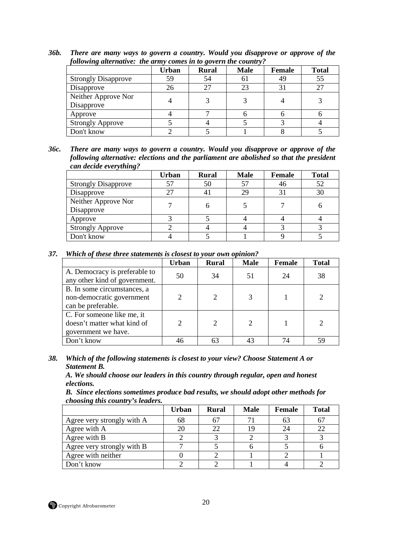| following duernalive. The army comes in to govern the country: |       |              |             |               |              |
|----------------------------------------------------------------|-------|--------------|-------------|---------------|--------------|
|                                                                | Urban | <b>Rural</b> | <b>Male</b> | <b>Female</b> | <b>Total</b> |
| <b>Strongly Disapprove</b>                                     | 59    | 54           | 61          | 49            | 55           |
| Disapprove                                                     | 26    | 27           | 23          |               |              |
| Neither Approve Nor<br>Disapprove                              |       |              |             |               |              |
| Approve                                                        |       |              |             |               |              |
| <b>Strongly Approve</b>                                        |       |              |             |               |              |
| Don't know                                                     |       |              |             |               |              |

*36b. There are many ways to govern a country. Would you disapprove or approve of the following alternative: the army comes in to govern the country?* 

*36c. There are many ways to govern a country. Would you disapprove or approve of the following alternative: elections and the parliament are abolished so that the president can decide everything?* 

|                                   | <b>Urban</b> | <b>Rural</b> | <b>Male</b> | <b>Female</b> | <b>Total</b> |
|-----------------------------------|--------------|--------------|-------------|---------------|--------------|
| <b>Strongly Disapprove</b>        | 57           | 50           | 57          | 46            | 52           |
| Disapprove                        |              |              | 29          |               | 30           |
| Neither Approve Nor<br>Disapprove |              |              |             |               |              |
| Approve                           |              |              |             |               |              |
| <b>Strongly Approve</b>           |              |              |             |               |              |
| Don't know                        |              |              |             |               |              |

*37. Which of these three statements is closest to your own opinion?* 

|                                                                                  | <b>Urban</b> | <b>Rural</b> | <b>Male</b> | Female | <b>Total</b> |
|----------------------------------------------------------------------------------|--------------|--------------|-------------|--------|--------------|
| A. Democracy is preferable to<br>any other kind of government.                   | 50           | 34           | 51          | 24     | 38           |
| B. In some circumstances, a<br>non-democratic government<br>can be preferable.   |              | 2            |             |        |              |
| C. For someone like me, it<br>doesn't matter what kind of<br>government we have. |              | 2            |             |        |              |
| Don't know                                                                       | 46           | 63           |             | 74     | 59           |

*38. Which of the following statements is closest to your view? Choose Statement A or Statement B.* 

*A. We should choose our leaders in this country through regular, open and honest elections.* 

*B. Since elections sometimes produce bad results, we should adopt other methods for choosing this country's leaders.* 

|                            | <b>Urban</b> | <b>Rural</b> | <b>Male</b> | Female | <b>Total</b> |
|----------------------------|--------------|--------------|-------------|--------|--------------|
| Agree very strongly with A | 68           | 67           |             | 63     | 67           |
| Agree with A               |              | 22           |             |        | 22           |
| Agree with B               |              |              |             |        |              |
| Agree very strongly with B |              |              |             |        |              |
| Agree with neither         |              |              |             |        |              |
| Don't know                 |              |              |             |        |              |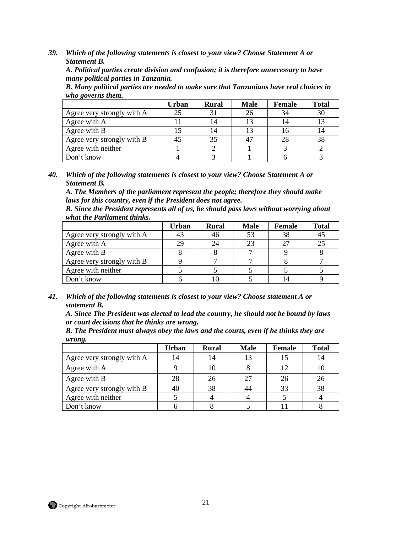*A. Political parties create division and confusion; it is therefore unnecessary to have many political parties in Tanzania.* 

*B. Many political parties are needed to make sure that Tanzanians have real choices in who governs them.* 

|                            | Urban | <b>Rural</b> | <b>Male</b> | Female | <b>Total</b> |
|----------------------------|-------|--------------|-------------|--------|--------------|
| Agree very strongly with A | 25    |              |             | 34     | 30           |
| Agree with A               |       |              |             | 14     |              |
| Agree with B               |       |              |             |        |              |
| Agree very strongly with B | 45    | 35           |             | 28     | 38           |
| Agree with neither         |       |              |             |        |              |
| Don't know                 |       |              |             |        |              |

*40. Which of the following statements is closest to your view? Choose Statement A or Statement B.* 

*A. The Members of the parliament represent the people; therefore they should make laws for this country, even if the President does not agree.* 

*B. Since the President represents all of us, he should pass laws without worrying about what the Parliament thinks.* 

|                            | <b>Urban</b> | <b>Rural</b> | <b>Male</b> | Female     | <b>Total</b> |
|----------------------------|--------------|--------------|-------------|------------|--------------|
| Agree very strongly with A |              | 46           |             | 38         | 45           |
| Agree with A               | 29           | 24           |             | $2^{\sim}$ | 25           |
| Agree with B               |              |              |             |            |              |
| Agree very strongly with B |              |              |             |            |              |
| Agree with neither         |              |              |             |            |              |
| Don't know                 |              | 10           |             |            |              |

*41. Which of the following statements is closest to your view? Choose statement A or statement B.* 

*A. Since The President was elected to lead the country, he should not be bound by laws or court decisions that he thinks are wrong.* 

*B. The President must always obey the laws and the courts, even if he thinks they are wrong.* 

|                            | Urban | <b>Rural</b> | <b>Male</b> | <b>Female</b> | <b>Total</b> |
|----------------------------|-------|--------------|-------------|---------------|--------------|
| Agree very strongly with A |       | 14           | 13          |               | 14           |
| Agree with A               |       |              |             | 12            | 10           |
| Agree with B               | 28    | 26           | 27          | 26            | 26           |
| Agree very strongly with B | 40    | 38           |             | 33            | 38           |
| Agree with neither         |       |              |             |               |              |
| Don't know                 |       |              |             |               |              |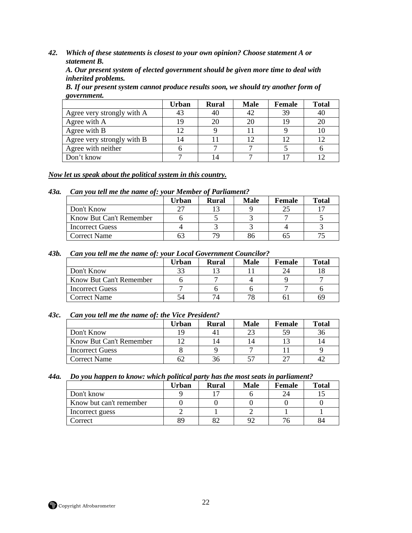*42. Which of these statements is closest to your own opinion? Choose statement A or statement B.* 

*A. Our present system of elected government should be given more time to deal with inherited problems.* 

*B. If our present system cannot produce results soon, we should try another form of government.* 

|                            | <b>Urban</b> | <b>Rural</b> | <b>Male</b> | Female | <b>Total</b> |
|----------------------------|--------------|--------------|-------------|--------|--------------|
| Agree very strongly with A |              | 40           |             | 39     | 40           |
| Agree with A               |              | 20           |             | 19     | 20           |
| Agree with B               |              |              |             |        | 10           |
| Agree very strongly with B | 14           |              |             |        | 12           |
| Agree with neither         |              |              |             |        |              |
| Don't know                 |              |              |             |        |              |

#### *Now let us speak about the political system in this country.*

#### *43a. Can you tell me the name of: your Member of Parliament?*

|                         | Urban | <b>Rural</b> | <b>Male</b> | Female | <b>Total</b> |
|-------------------------|-------|--------------|-------------|--------|--------------|
| Don't Know              | າາ    |              |             |        |              |
| Know But Can't Remember |       |              |             |        |              |
| <b>Incorrect Guess</b>  |       |              |             |        |              |
| <b>Correct Name</b>     | n.    | 70,          |             | n:     |              |

#### *43b. Can you tell me the name of: your Local Government Councilor?*

|                         | Urban | Rural | <b>Male</b> | Female | <b>Total</b> |
|-------------------------|-------|-------|-------------|--------|--------------|
| Don't Know              |       |       |             |        |              |
| Know But Can't Remember |       |       |             |        |              |
| <b>Incorrect Guess</b>  |       |       |             |        |              |
| Correct Name            |       |       |             |        | 69           |

#### *43c. Can you tell me the name of: the Vice President?*

|                         | Urban | Rural | <b>Male</b> | <b>Female</b> | <b>Total</b> |
|-------------------------|-------|-------|-------------|---------------|--------------|
| Don't Know              |       |       |             | 59            | 36           |
| Know But Can't Remember |       | 14    |             |               | 14           |
| <b>Incorrect Guess</b>  |       |       |             |               |              |
| <b>Correct Name</b>     |       | 36    |             | $\cap$        |              |

#### *44a. Do you happen to know: which political party has the most seats in parliament?*

|                         | Urban | <b>Rural</b> | <b>Male</b> | Female | <b>Total</b> |
|-------------------------|-------|--------------|-------------|--------|--------------|
| Don't know              |       |              |             |        |              |
| Know but can't remember |       |              |             |        |              |
| Incorrect guess         |       |              |             |        |              |
| Correct                 | 89    | റി           |             |        |              |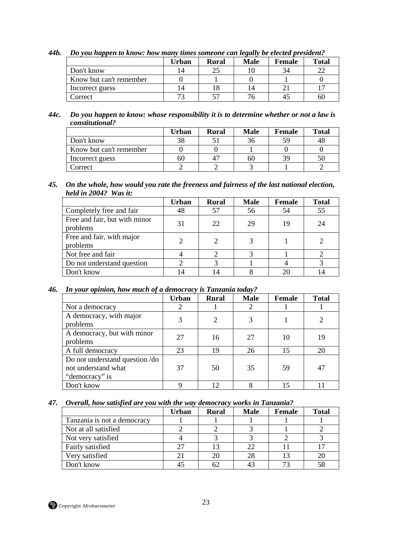|                         | Urban | <b>Rural</b> | <b>Male</b> | <b>Female</b> | <b>Total</b> |
|-------------------------|-------|--------------|-------------|---------------|--------------|
| Don't know              |       | 25           |             | 34            | າາ           |
| Know but can't remember |       |              |             |               |              |
| Incorrect guess         |       |              |             |               |              |
| Correct                 |       | 57           |             |               | 6U           |

*44b. Do you happen to know: how many times someone can legally be elected president?* 

#### *44c. Do you happen to know: whose responsibility it is to determine whether or not a law is constitutional?*

|                         | Urban | <b>Rural</b> | <b>Male</b> | Female | <b>Total</b> |
|-------------------------|-------|--------------|-------------|--------|--------------|
| Don't know              | 38    |              |             | 59     | 48           |
| Know but can't remember |       |              |             |        |              |
| Incorrect guess         | 60    |              | ערי         | 39     | 50           |
| Correct                 |       |              |             |        |              |

### *45. On the whole, how would you rate the freeness and fairness of the last national election, held in 2004? Was it:*

|                                           | <b>Urban</b> | <b>Rural</b> | <b>Male</b> | <b>Female</b> | <b>Total</b> |
|-------------------------------------------|--------------|--------------|-------------|---------------|--------------|
| Completely free and fair                  | 48           | 57           | 56          | 54            | 55           |
| Free and fair, but with minor<br>problems | 31           | 22           | 29          | 19            | 24           |
| Free and fair, with major<br>problems     |              | 2            |             |               |              |
| Not free and fair                         |              |              |             |               |              |
| Do not understand question                |              |              |             |               |              |
| Don't know                                |              | 14           |             | 20            | 14           |

### *46. In your opinion, how much of a democracy is Tanzania today?*

|                                                                         | <b>Urban</b> | <b>Rural</b>   | <b>Male</b> | <b>Female</b> | <b>Total</b> |
|-------------------------------------------------------------------------|--------------|----------------|-------------|---------------|--------------|
| Not a democracy                                                         |              |                |             |               |              |
| A democracy, with major<br>problems                                     | 3            | $\overline{2}$ | 3           |               |              |
| A democracy, but with minor<br>problems                                 | 27           | 16             | 27          | 10            | 19           |
| A full democracy                                                        | 23           | 19             | 26          | 15            | 20           |
| Do not understand question /do<br>not understand what<br>"democracy" is | 37           | 50             | 35          | 59            | 47           |
| Don't know                                                              | Ω            | 12             |             |               |              |

#### *47. Overall, how satisfied are you with the way democracy works in Tanzania?*

|                             | Urban | <b>Rural</b> | <b>Male</b> | <b>Female</b> | <b>Total</b> |
|-----------------------------|-------|--------------|-------------|---------------|--------------|
| Tanzania is not a democracy |       |              |             |               |              |
| Not at all satisfied        |       |              |             |               |              |
| Not very satisfied          |       |              |             |               |              |
| Fairly satisfied            |       | 13           | 22          |               |              |
| Very satisfied              |       | 20           | 28          |               | 20           |
| Don't know                  |       | 62           |             |               | 58           |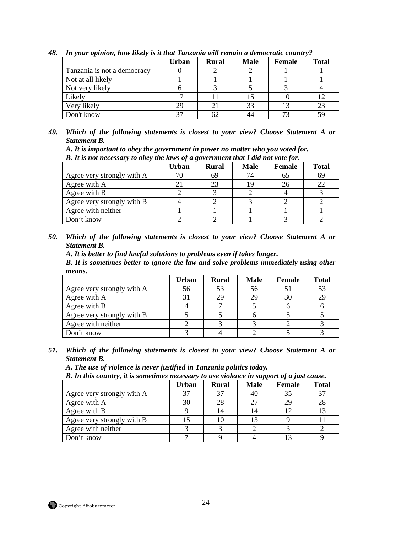|                             | Urban | <b>Rural</b> | <b>Male</b> | <b>Female</b> | <b>Total</b> |
|-----------------------------|-------|--------------|-------------|---------------|--------------|
| Tanzania is not a democracy |       |              |             |               |              |
| Not at all likely           |       |              |             |               |              |
| Not very likely             |       |              |             |               |              |
| Likely                      |       |              |             |               |              |
| Very likely                 | 29    | 21           | 33          |               | 23           |
| Don't know                  | 37    | 62           |             | $7^{\circ}$   | 59           |

*48. In your opinion, how likely is it that Tanzania will remain a democratic country?* 

*A. It is important to obey the government in power no matter who you voted for.* 

*B. It is not necessary to obey the laws of a government that I did not vote for.* 

|                            | Urban | <b>Rural</b> | <b>Male</b> | <b>Female</b> | <b>Total</b> |
|----------------------------|-------|--------------|-------------|---------------|--------------|
| Agree very strongly with A | 70    | 69           | 74          | 65            | 69           |
| Agree with A               |       | 23           |             |               | 22           |
| Agree with B               |       |              |             |               |              |
| Agree very strongly with B |       |              |             |               |              |
| Agree with neither         |       |              |             |               |              |
| Don't know                 |       |              |             |               |              |

*50. Which of the following statements is closest to your view? Choose Statement A or Statement B.* 

*A. It is better to find lawful solutions to problems even if takes longer.* 

*B. It is sometimes better to ignore the law and solve problems immediately using other means.* 

|                            | Urban | <b>Rural</b> | <b>Male</b> | Female | <b>Total</b> |
|----------------------------|-------|--------------|-------------|--------|--------------|
| Agree very strongly with A | 56    |              | 56          |        | 53           |
| Agree with A               | 31    | 29           | 29          |        | 29           |
| Agree with B               |       |              |             |        |              |
| Agree very strongly with B |       |              |             |        |              |
| Agree with neither         |       |              |             |        |              |
| Don't know                 |       |              |             |        |              |

*51. Which of the following statements is closest to your view? Choose Statement A or Statement B.* 

*A. The use of violence is never justified in Tanzania politics today.* 

*B. In this country, it is sometimes necessary to use violence in support of a just cause.* 

|                            | Urban | <b>Rural</b> | <b>Male</b> | Female | <b>Total</b> |
|----------------------------|-------|--------------|-------------|--------|--------------|
| Agree very strongly with A | 37    |              | 40          | 35     | 37           |
| Agree with A               | 30    |              | 27          | 29     | 28           |
| Agree with B               |       |              | 14          |        |              |
| Agree very strongly with B |       |              | 13          |        |              |
| Agree with neither         |       |              |             |        |              |
| Don't know                 |       |              |             |        |              |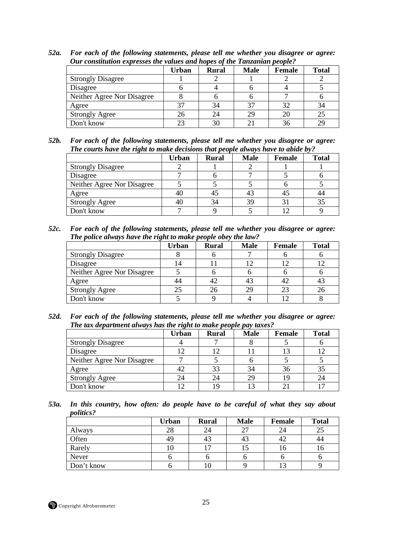|                            | Urban | Rural | <b>Male</b> | Female | <b>Total</b> |
|----------------------------|-------|-------|-------------|--------|--------------|
| <b>Strongly Disagree</b>   |       |       |             |        |              |
| Disagree                   |       |       |             |        |              |
| Neither Agree Nor Disagree |       |       |             |        |              |
| Agree                      |       | 34    | 37          | 32     | 34           |
| <b>Strongly Agree</b>      |       | 24    | 29          | 20     | 25           |
| Don't know                 | 23    | 30    |             | 36     | 29           |

*52a. For each of the following statements, please tell me whether you disagree or agree: Our constitution expresses the values and hopes of the Tanzanian people?* 

*52b. For each of the following statements, please tell me whether you disagree or agree: The courts have the right to make decisions that people always have to abide by?* 

|                            | Urban | <b>Rural</b> | <b>Male</b> | <b>Female</b> | <b>Total</b> |
|----------------------------|-------|--------------|-------------|---------------|--------------|
| <b>Strongly Disagree</b>   |       |              |             |               |              |
| Disagree                   |       |              |             |               |              |
| Neither Agree Nor Disagree |       |              |             |               |              |
| Agree                      | 40    |              |             | 45            | 44           |
| <b>Strongly Agree</b>      | 40    | 34           | 39          |               | 35           |
| Don't know                 |       |              |             |               |              |

*52c. For each of the following statements, please tell me whether you disagree or agree: The police always have the right to make people obey the law?* 

|                            | Urban | <b>Rural</b> | <b>Male</b> | <b>Female</b> | <b>Total</b> |
|----------------------------|-------|--------------|-------------|---------------|--------------|
| <b>Strongly Disagree</b>   |       |              |             |               |              |
| Disagree                   | l 4   |              |             |               |              |
| Neither Agree Nor Disagree |       |              |             |               |              |
| Agree                      | 44    |              |             | -42           | 43           |
| <b>Strongly Agree</b>      | 25    |              |             | 23            | 26           |
| Don't know                 |       |              |             |               |              |

*52d. For each of the following statements, please tell me whether you disagree or agree: The tax department always has the right to make people pay taxes?* 

|                            | Urban | <b>Rural</b> | <b>Male</b> | <b>Female</b> | <b>Total</b>   |
|----------------------------|-------|--------------|-------------|---------------|----------------|
| <b>Strongly Disagree</b>   |       |              |             |               |                |
| Disagree                   |       |              |             |               |                |
| Neither Agree Nor Disagree |       |              |             |               |                |
| Agree                      |       | 33           | 34          | 36            | 35             |
| <b>Strongly Agree</b>      | 24    | 24           |             |               | 24             |
| Don't know                 |       | 19           |             |               | $\blacksquare$ |

*53a. In this country, how often: do people have to be careful of what they say about politics?* 

|            | <b>Urban</b> | <b>Rural</b> | <b>Male</b> | Female | <b>Total</b> |
|------------|--------------|--------------|-------------|--------|--------------|
| Always     | 28           | 24           |             | 24     | دے           |
| Often      | 49           | 43           | 43          | 42     |              |
| Rarely     | ιv           | ╶            |             | ιo     |              |
| Never      |              |              |             |        |              |
| Don't know |              | ιv           |             |        |              |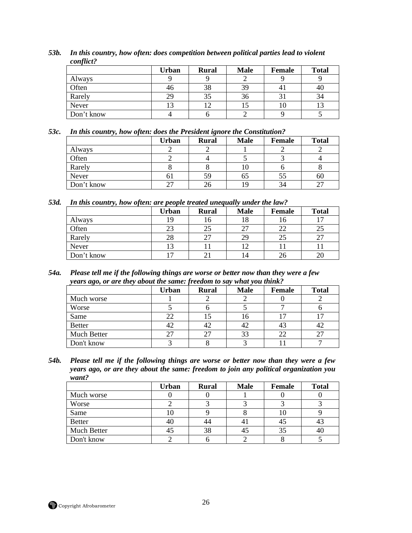|            | <b>Urban</b> | <b>Rural</b> | <b>Male</b> | <b>Female</b> | <b>Total</b> |
|------------|--------------|--------------|-------------|---------------|--------------|
| Always     |              |              |             |               |              |
| Often      | 46           | 38           | 39          |               | 46           |
| Rarely     | 29           | 35           | 36          |               | 34           |
| Never      |              | 12           | IJ          | 10            |              |
| Don't know |              |              |             |               |              |

*53b. In this country, how often: does competition between political parties lead to violent conflict?* 

#### *53c. In this country, how often: does the President ignore the Constitution?*

|            | <b>Urban</b> | <b>Rural</b> | <b>Male</b> | <b>Female</b> | <b>Total</b> |
|------------|--------------|--------------|-------------|---------------|--------------|
| Always     |              |              |             |               |              |
| Often      |              |              |             |               |              |
| Rarely     |              |              | ιv          |               |              |
| Never      | ОI           | 59           | OЭ          |               | 60           |
| Don't know |              | 26           |             | 34            |              |

*53d. In this country, how often: are people treated unequally under the law?* 

|            | <b>Urban</b> | <b>Rural</b> | <b>Male</b> | <b>Female</b> | <b>Total</b> |
|------------|--------------|--------------|-------------|---------------|--------------|
| Always     | 19           | 16           | 18          | 10            |              |
| Often      | 23           | 25           |             | 22            |              |
| Rarely     | 28           | 27           | 29          | 25            | רר<br>، کے   |
| Never      | 13           |              |             |               |              |
| Don't know | −            |              | ι4          | 26            |              |

*54a. Please tell me if the following things are worse or better now than they were a few years ago, or are they about the same: freedom to say what you think?* 

|               | <b>Urban</b> | <b>Rural</b> | <b>Male</b> | <b>Female</b> | <b>Total</b> |
|---------------|--------------|--------------|-------------|---------------|--------------|
| Much worse    |              |              |             |               |              |
| Worse         |              |              |             |               |              |
| Same          | 22           | ر            | Iб          |               |              |
| <b>Better</b> | 42           | 42           | 42          |               |              |
| Much Better   |              |              | 33          | 22            |              |
| Don't know    |              |              |             |               |              |

*54b. Please tell me if the following things are worse or better now than they were a few years ago, or are they about the same: freedom to join any political organization you want?* 

|               | <b>Urban</b> | <b>Rural</b> | <b>Male</b> | <b>Female</b> | <b>Total</b> |
|---------------|--------------|--------------|-------------|---------------|--------------|
| Much worse    |              |              |             |               |              |
| Worse         |              |              |             |               |              |
| Same          | ιυ           |              |             | ιU            |              |
| <b>Better</b> | 40           | 44           |             | 45            |              |
| Much Better   | 45           | 38           |             |               | 40           |
| Don't know    |              |              |             |               |              |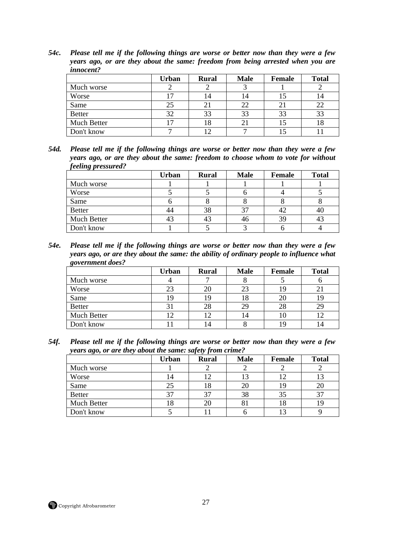*54c. Please tell me if the following things are worse or better now than they were a few years ago, or are they about the same: freedom from being arrested when you are innocent?* 

|               | <b>Urban</b> | <b>Rural</b> | <b>Male</b> | <b>Female</b> | <b>Total</b> |
|---------------|--------------|--------------|-------------|---------------|--------------|
| Much worse    |              |              |             |               |              |
| Worse         | ⇁            | .4           | ι4          | L5            | 14           |
| Same          | 25           |              | 22          |               | 22           |
| <b>Better</b> | 32           | 33           | 33          | 33            | 33           |
| Much Better   | ⇁            | 18           |             |               | 18           |
| Don't know    |              |              |             |               |              |

*54d. Please tell me if the following things are worse or better now than they were a few years ago, or are they about the same: freedom to choose whom to vote for without feeling pressured?* 

|               | <b>Urban</b> | <b>Rural</b> | <b>Male</b> | <b>Female</b> | <b>Total</b> |
|---------------|--------------|--------------|-------------|---------------|--------------|
| Much worse    |              |              |             |               |              |
| Worse         |              |              |             |               |              |
| Same          |              |              |             |               |              |
| <b>Better</b> | 44           | 38           |             |               | 40           |
| Much Better   | 43           | 43           |             | 39            |              |
| Don't know    |              |              |             |               |              |

*54e. Please tell me if the following things are worse or better now than they were a few years ago, or are they about the same: the ability of ordinary people to influence what government does?* 

|               | Urban | <b>Rural</b> | <b>Male</b> | <b>Female</b> | <b>Total</b> |
|---------------|-------|--------------|-------------|---------------|--------------|
| Much worse    |       |              |             |               |              |
| Worse         | 23    | 20           | 23          |               |              |
| Same          | 19    | 19           | 18          | 20            |              |
| <b>Better</b> |       | 28           | 29          | 28            | 29           |
| Much Better   | ◯     |              | 14          | 10            |              |
| Don't know    |       | 4            |             | 19            |              |

*54f. Please tell me if the following things are worse or better now than they were a few years ago, or are they about the same: safety from crime?* 

|               | <b>Urban</b> | <b>Rural</b>   | <b>Male</b> | <b>Female</b> | <b>Total</b> |
|---------------|--------------|----------------|-------------|---------------|--------------|
| Much worse    |              |                |             |               |              |
| Worse         | ι4           | $\overline{2}$ | l3          |               | 13           |
| Same          | 25           | 18             | 20          |               | 20           |
| <b>Better</b> |              |                | 38          | 35            | 37           |
| Much Better   | .8           | 20             |             | LŌ            |              |
| Don't know    |              |                |             |               |              |

Copyright Afrobarometer 27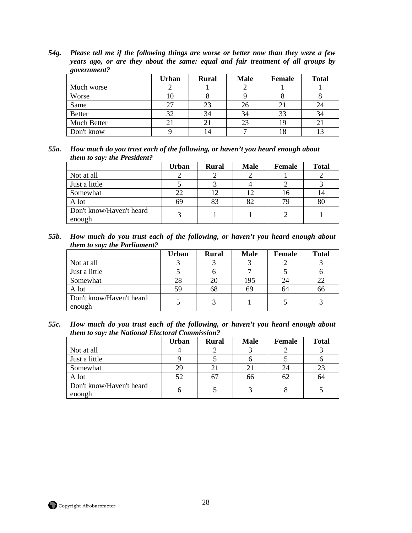*54g. Please tell me if the following things are worse or better now than they were a few years ago, or are they about the same: equal and fair treatment of all groups by government?* 

|               | Urban | <b>Rural</b>   | <b>Male</b> | <b>Female</b> | <b>Total</b> |
|---------------|-------|----------------|-------------|---------------|--------------|
| Much worse    |       |                |             |               |              |
| Worse         | 10    |                |             |               |              |
| Same          | 27    | 23             | 26          |               |              |
| <b>Better</b> | 32    | 34             | 34          | 33            | 34           |
| Much Better   |       |                | 23          | 19            |              |
| Don't know    |       | $\overline{4}$ |             | 10            |              |

*55a. How much do you trust each of the following, or haven't you heard enough about them to say: the President?* 

|                                    | Urban | <b>Rural</b> | <b>Male</b> | Female | <b>Total</b> |
|------------------------------------|-------|--------------|-------------|--------|--------------|
| Not at all                         |       |              |             |        |              |
| Just a little                      |       |              |             |        |              |
| Somewhat                           | 22    |              |             |        | ι4           |
| A lot                              | 69    |              |             | 79     | 80           |
| Don't know/Haven't heard<br>enough | 3     |              |             |        |              |

*55b. How much do you trust each of the following, or haven't you heard enough about them to say: the Parliament?* 

|                                    | Urban | <b>Rural</b> | <b>Male</b> | <b>Female</b> | <b>Total</b> |
|------------------------------------|-------|--------------|-------------|---------------|--------------|
| Not at all                         |       |              |             |               |              |
| Just a little                      |       |              |             |               |              |
| Somewhat                           | 28    |              | 195         | 24            | 22           |
| A lot                              | 59    | 68           | 69          | 64            | 66           |
| Don't know/Haven't heard<br>enough |       |              |             |               |              |

*55c. How much do you trust each of the following, or haven't you heard enough about them to say: the National Electoral Commission?* 

|                                    | <b>Urban</b> | <b>Rural</b> | <b>Male</b> | Female | <b>Total</b> |
|------------------------------------|--------------|--------------|-------------|--------|--------------|
| Not at all                         |              |              |             |        |              |
| Just a little                      |              |              |             |        |              |
| Somewhat                           | 29           |              |             | 24     | 23           |
| A lot                              | 52           |              | 66          | 62     | 64           |
| Don't know/Haven't heard<br>enough | n            |              |             |        |              |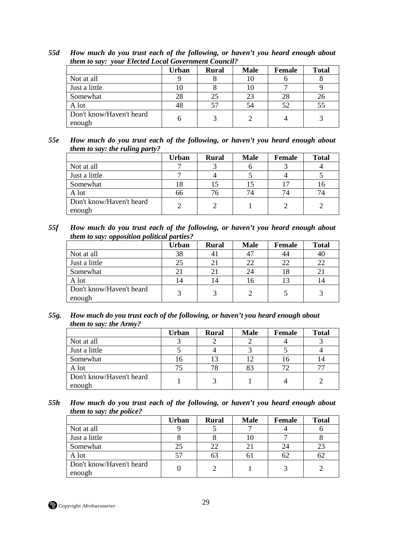|                                    | Urban | <b>Rural</b> | <b>Male</b> | Female | <b>Total</b> |
|------------------------------------|-------|--------------|-------------|--------|--------------|
| Not at all                         |       |              |             |        |              |
| Just a little                      |       |              |             |        |              |
| Somewhat                           | 28    | 25           |             | 28     | 26           |
| A lot                              | 48    |              | 54          | 52     | 55           |
| Don't know/Haven't heard<br>enough | n     |              |             |        |              |

*55d How much do you trust each of the following, or haven't you heard enough about them to say: your Elected Local Government Council?* 

| 55e | How much do you trust each of the following, or haven't you heard enough about |  |
|-----|--------------------------------------------------------------------------------|--|
|     | <i>them to say: the ruling party?</i>                                          |  |

|                                    | <b>Urban</b> | <b>Rural</b> | <b>Male</b> | Female | <b>Total</b> |
|------------------------------------|--------------|--------------|-------------|--------|--------------|
| Not at all                         |              |              |             |        |              |
| Just a little                      |              |              |             |        |              |
| Somewhat                           |              |              |             |        | 10           |
| A lot                              | 66           | 76           |             | 74     | 74           |
| Don't know/Haven't heard<br>enough |              |              |             |        |              |

*55f How much do you trust each of the following, or haven't you heard enough about them to say: opposition political parties?* 

|                                    | <b>Urban</b> | <b>Rural</b> | <b>Male</b> | <b>Female</b>  | <b>Total</b> |
|------------------------------------|--------------|--------------|-------------|----------------|--------------|
| Not at all                         | 38           |              |             | 44             | 40           |
| Just a little                      | 25           |              |             | 22             | 22           |
| Somewhat                           | 21           |              |             | 18             |              |
| A lot                              | 14           | 14           |             | 1 <sup>3</sup> | 14           |
| Don't know/Haven't heard<br>enough | 3            | 2            |             |                | 3            |

*55g. How much do you trust each of the following, or haven't you heard enough about them to say: the Army?* 

|                                    | Urban | <b>Rural</b> | <b>Male</b> | Female | <b>Total</b> |
|------------------------------------|-------|--------------|-------------|--------|--------------|
| Not at all                         |       |              |             |        |              |
| Just a little                      |       |              |             |        |              |
| Somewhat                           | I b   |              |             |        | 14           |
| A lot                              |       | 78           | 83          |        |              |
| Don't know/Haven't heard<br>enough |       |              |             |        |              |

*55h How much do you trust each of the following, or haven't you heard enough about them to say: the police?* 

|                                    | Urban | <b>Rural</b> | <b>Male</b> | Female | <b>Total</b> |
|------------------------------------|-------|--------------|-------------|--------|--------------|
| Not at all                         |       |              |             |        |              |
| Just a little                      |       |              |             |        |              |
| Somewhat                           | 25    | 22           |             | 24     | 23           |
| A lot                              | 57    | ხა           | n.          | 62     | 62           |
| Don't know/Haven't heard<br>enough |       |              |             |        |              |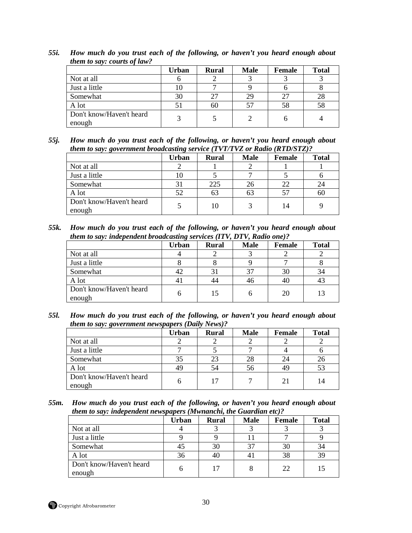|                                    | Urban | <b>Rural</b> | <b>Male</b> | Female | <b>Total</b> |
|------------------------------------|-------|--------------|-------------|--------|--------------|
| Not at all                         |       |              |             |        |              |
| Just a little                      | 10    |              |             |        |              |
| Somewhat                           | 30    |              | 29          | 27     | 28           |
| A lot                              | 51    | 60           |             | 58     | 58           |
| Don't know/Haven't heard<br>enough | 3     |              |             |        |              |

*55i. How much do you trust each of the following, or haven't you heard enough about them to say: courts of law?* 

*55j. How much do you trust each of the following, or haven't you heard enough about them to say: government broadcasting service (TVT/TVZ or Radio (RTD/STZ)?* 

|                                    | <b>Urban</b> | <b>Rural</b> | <b>Male</b> | Female         | <b>Total</b> |
|------------------------------------|--------------|--------------|-------------|----------------|--------------|
| Not at all                         |              |              |             |                |              |
| Just a little                      |              |              |             |                |              |
| Somewhat                           | 31           | 225          | 26          | 22             | 24           |
| A lot                              | 52           | 63           | 63          | 5 <sup>7</sup> | 60           |
| Don't know/Haven't heard<br>enough |              | 10           |             | 14             |              |

*55k. How much do you trust each of the following, or haven't you heard enough about them to say: independent broadcasting services (ITV, DTV, Radio one)?* 

|                                    | <b>Urban</b> | <b>Rural</b> | <b>Male</b> | <b>Female</b> | <b>Total</b> |
|------------------------------------|--------------|--------------|-------------|---------------|--------------|
| Not at all                         |              |              |             |               |              |
| Just a little                      |              |              |             |               |              |
| Somewhat                           | 42           |              |             | 30            | 34           |
| A lot                              | 41           | 44           |             | 40            |              |
| Don't know/Haven't heard<br>enough | h            | 15           |             | 20            | 13           |

*55l. How much do you trust each of the following, or haven't you heard enough about them to say: government newspapers (Daily News)?* 

| $\overline{ }$                     | <b>Urban</b> | <b>Rural</b> | <b>Male</b> | <b>Female</b> | <b>Total</b> |
|------------------------------------|--------------|--------------|-------------|---------------|--------------|
| Not at all                         |              |              |             |               |              |
| Just a little                      |              |              |             |               |              |
| Somewhat                           | 35           | 23           | 28          | 24            | 26           |
| A lot                              | 49           | 54           | 56          | 49            | 53           |
| Don't know/Haven't heard<br>enough | h            | 17           |             | 21            | 14           |

*55m. How much do you trust each of the following, or haven't you heard enough about them to say: independent newspapers (Mwnanchi, the Guardian etc)?* 

|                                    | Urban | <b>Rural</b> | <b>Male</b> | <b>Female</b> | <b>Total</b> |
|------------------------------------|-------|--------------|-------------|---------------|--------------|
| Not at all                         |       |              |             |               |              |
| Just a little                      |       |              |             |               |              |
| Somewhat                           | 45    | 30           |             | 30            | 34           |
| A lot                              | 36    | 40           |             | 38            | 39           |
| Don't know/Haven't heard<br>enough |       | 17           |             | 22            | 15           |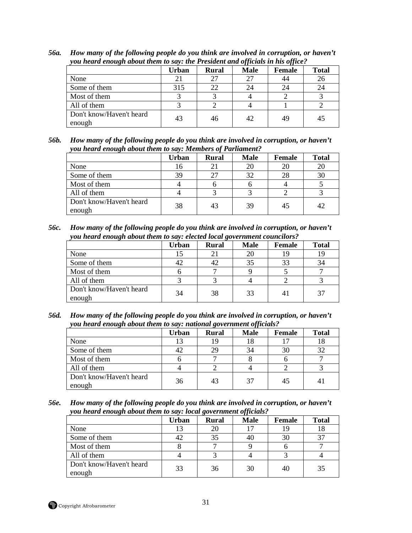|                                    | Urban | <b>Rural</b> | <b>Male</b> | Female | <b>Total</b> |
|------------------------------------|-------|--------------|-------------|--------|--------------|
| None                               | 21    |              |             | 44     | 26           |
| Some of them                       | 315   | 22           | 24          | 24     | 24           |
| Most of them                       |       |              |             |        |              |
| All of them                        |       |              |             |        |              |
| Don't know/Haven't heard<br>enough | 43    | 46           | 42.         | 49     | 45           |

*56a. How many of the following people do you think are involved in corruption, or haven't you heard enough about them to say: the President and officials in his office?* 

*56b. How many of the following people do you think are involved in corruption, or haven't you heard enough about them to say: Members of Parliament?* 

|                                    | Urban | <b>Rural</b> | <b>Male</b> | Female | <b>Total</b> |
|------------------------------------|-------|--------------|-------------|--------|--------------|
| None                               | 16    |              |             | 20     | 20           |
| Some of them                       | 39    |              |             | 28     | 30           |
| Most of them                       |       |              |             |        |              |
| All of them                        |       |              |             |        |              |
| Don't know/Haven't heard<br>enough | 38    |              | 39          | 45     | 42           |

*56c. How many of the following people do you think are involved in corruption, or haven't you heard enough about them to say: elected local government councilors?* 

|                                    | <b>Urban</b> | <b>Rural</b> | <b>Male</b> | Female         | <b>Total</b> |
|------------------------------------|--------------|--------------|-------------|----------------|--------------|
| None                               | L5           |              |             | ТY             |              |
| Some of them                       | 42           | 42           |             | 33             | 34           |
| Most of them                       |              |              |             |                |              |
| All of them                        |              |              |             |                |              |
| Don't know/Haven't heard<br>enough | 34           | 38           | 33          | $\overline{4}$ | 37           |

*56d. How many of the following people do you think are involved in corruption, or haven't you heard enough about them to say: national government officials?* 

|                                    | <b>Urban</b> | <b>Rural</b> | <b>Male</b> | Female | <b>Total</b> |
|------------------------------------|--------------|--------------|-------------|--------|--------------|
| None                               | 13           |              |             |        | 18           |
| Some of them                       | 42           | 29           | 34          | 30     | 32           |
| Most of them                       |              |              |             |        |              |
| All of them                        |              |              |             |        |              |
| Don't know/Haven't heard<br>enough | 36           | 43           | 37          | 45     |              |

*56e. How many of the following people do you think are involved in corruption, or haven't you heard enough about them to say: local government officials?* 

| ີ                                  |       |              | . v         |        |              |
|------------------------------------|-------|--------------|-------------|--------|--------------|
|                                    | Urban | <b>Rural</b> | <b>Male</b> | Female | <b>Total</b> |
| None                               | 13    | 20           |             |        | 18           |
| Some of them                       | 42    | 35           |             | 30     | 37           |
| Most of them                       |       |              |             |        |              |
| All of them                        |       |              |             |        |              |
| Don't know/Haven't heard<br>enough | 33    | 36           | 30          | 40     | 35           |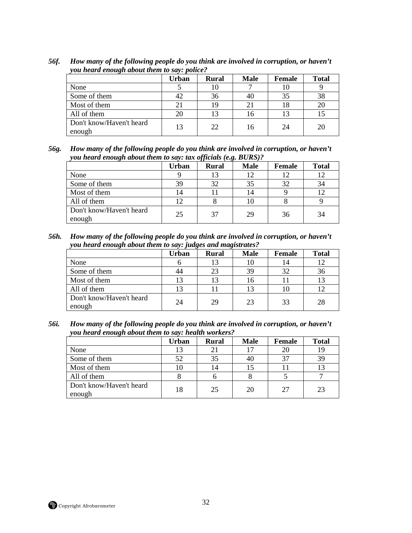|                                    | Urban | <b>Rural</b> | <b>Male</b> | Female | <b>Total</b> |
|------------------------------------|-------|--------------|-------------|--------|--------------|
| None                               |       | 10           |             |        |              |
| Some of them                       | 42    | 36           | 4U          | 35     | 38           |
| Most of them                       | 21    | 19           |             |        | 20           |
| All of them                        | 20    | 13           |             |        |              |
| Don't know/Haven't heard<br>enough | 13    | 22           | 16          | 24     | 20           |

*56f. How many of the following people do you think are involved in corruption, or haven't you heard enough about them to say: police?* 

*56g. How many of the following people do you think are involved in corruption, or haven't you heard enough about them to say: tax officials (e.g. BURS)?* 

|                                    | Urban | <b>Rural</b> | <b>Male</b> | Female | <b>Total</b> |
|------------------------------------|-------|--------------|-------------|--------|--------------|
| None                               |       | 13           |             |        | 12           |
| Some of them                       | 39    | 32           |             | 32     | 34           |
| Most of them                       | 14    |              |             |        | 12           |
| All of them                        | 12    |              |             |        |              |
| Don't know/Haven't heard<br>enough | 25    | 37           | 29          | 36     | 34           |

*56h. How many of the following people do you think are involved in corruption, or haven't you heard enough about them to say: judges and magistrates?* 

|                                    | Urban | <b>Rural</b> | <b>Male</b> | Female | <b>Total</b> |
|------------------------------------|-------|--------------|-------------|--------|--------------|
| None                               |       | 13           |             | 14     | 12           |
| Some of them                       | 44    | 23           | 39          | 32     | 36           |
| Most of them                       | 13    | 13           |             |        | 13           |
| All of them                        | 13    |              |             |        |              |
| Don't know/Haven't heard<br>enough | 24    | 29           | 23          | 33     | 28           |

*56i. How many of the following people do you think are involved in corruption, or haven't you heard enough about them to say: health workers?*

|                                    | <b>Urban</b> | <b>Rural</b> | <b>Male</b> | Female | <b>Total</b> |
|------------------------------------|--------------|--------------|-------------|--------|--------------|
| None                               | 13           |              |             | 20     | 19           |
| Some of them                       | 52           | 35           | 40          | 37     | 39           |
| Most of them                       |              | 14           |             |        | 13           |
| All of them                        |              |              |             |        |              |
| Don't know/Haven't heard<br>enough | 18           | 25           | 20          | 27     | 23           |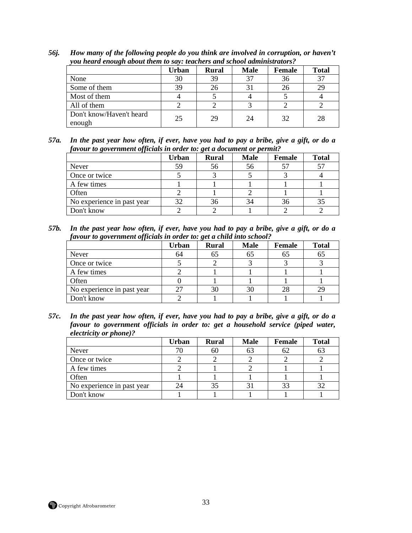|                                    | Urban | <b>Rural</b> | <b>Male</b> | Female | <b>Total</b> |
|------------------------------------|-------|--------------|-------------|--------|--------------|
| None                               | 30    | 39           |             | 36     | 37           |
| Some of them                       | 39    | 26           |             | 26     | 29           |
| Most of them                       |       |              |             |        |              |
| All of them                        |       |              |             |        |              |
| Don't know/Haven't heard<br>enough | 25    | 29           | 24          | 32     | 28           |

*56j. How many of the following people do you think are involved in corruption, or haven't you heard enough about them to say: teachers and school administrators?* 

| 57a. | In the past year how often, if ever, have you had to pay a bribe, give a gift, or do a |
|------|----------------------------------------------------------------------------------------|
|      | favour to government officials in order to: get a document or permit?                  |

|                            | Urban | <b>Rural</b> | <b>Male</b> | <b>Female</b> | <b>Total</b> |
|----------------------------|-------|--------------|-------------|---------------|--------------|
| Never                      | 59    | 56           | 56          | 57            | 57           |
| Once or twice              |       |              |             |               |              |
| A few times                |       |              |             |               |              |
| Often                      |       |              |             |               |              |
| No experience in past year | 32    | 36           |             | 36            | 35           |
| Don't know                 |       |              |             |               |              |

*57b. In the past year how often, if ever, have you had to pay a bribe, give a gift, or do a favour to government officials in order to: get a child into school?* 

| $\cdot$                    | <b>Urban</b> | $\cdot$<br><b>Rural</b> | <b>Male</b> | <b>Female</b> | <b>Total</b> |
|----------------------------|--------------|-------------------------|-------------|---------------|--------------|
| Never                      | 64           | 65                      |             | 6D            | 65           |
| Once or twice              |              |                         |             |               |              |
| A few times                |              |                         |             |               |              |
| Often                      |              |                         |             |               |              |
| No experience in past year | 27           | 30                      |             | 28            | 29           |
| Don't know                 |              |                         |             |               |              |

*57c. In the past year how often, if ever, have you had to pay a bribe, give a gift, or do a favour to government officials in order to: get a household service (piped water, electricity or phone)?* 

|                            | <b>Urban</b> | <b>Rural</b> | <b>Male</b> | Female | <b>Total</b> |
|----------------------------|--------------|--------------|-------------|--------|--------------|
| Never                      |              | 60           | OŚ          | 62     | 63           |
| Once or twice              |              |              |             |        |              |
| A few times                |              |              |             |        |              |
| Often                      |              |              |             |        |              |
| No experience in past year | 24           | 35           |             | 33     | 32           |
| Don't know                 |              |              |             |        |              |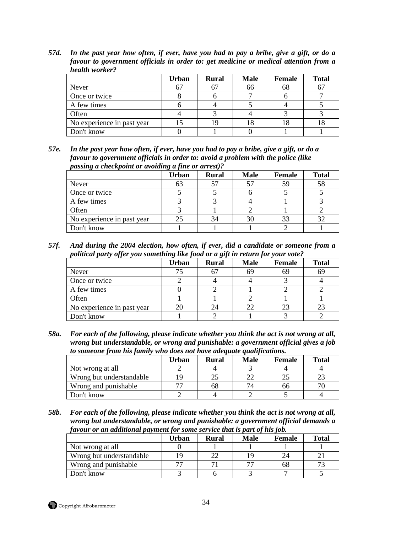*57d. In the past year how often, if ever, have you had to pay a bribe, give a gift, or do a favour to government officials in order to: get medicine or medical attention from a health worker?* 

|                            | Urban | <b>Rural</b> | <b>Male</b> | Female | <b>Total</b> |
|----------------------------|-------|--------------|-------------|--------|--------------|
| Never                      | 67    |              | 66          | Oð     | 67           |
| Once or twice              |       |              |             |        |              |
| A few times                |       |              |             |        |              |
| Often                      |       |              |             |        |              |
| No experience in past year |       |              |             |        | l 8          |
| Don't know                 |       |              |             |        |              |

*57e. In the past year how often, if ever, have you had to pay a bribe, give a gift, or do a favour to government officials in order to: avoid a problem with the police (like passing a checkpoint or avoiding a fine or arrest)?*

|                            | <b>Urban</b> | <b>Rural</b> | <b>Male</b> | <b>Female</b> | <b>Total</b> |
|----------------------------|--------------|--------------|-------------|---------------|--------------|
| Never                      | 63           |              |             | 59            | 58           |
| Once or twice              |              |              |             |               |              |
| A few times                |              |              |             |               |              |
| Often                      |              |              |             |               |              |
| No experience in past year | 25           | 34           | 30          | 33            | 32           |
| Don't know                 |              |              |             |               |              |

*57f. And during the 2004 election, how often, if ever, did a candidate or someone from a political party offer you something like food or a gift in return for your vote?* 

|                            | <b>Urban</b> | <b>Rural</b> | <b>Male</b> | Female | <b>Total</b> |
|----------------------------|--------------|--------------|-------------|--------|--------------|
| Never                      |              |              | 69          | 69     | 69           |
| Once or twice              |              |              |             |        |              |
| A few times                |              |              |             |        |              |
| Often                      |              |              |             |        |              |
| No experience in past year | 20           | 24           |             | 23     | 23           |
| Don't know                 |              |              |             |        |              |

*58a. For each of the following, please indicate whether you think the act is not wrong at all, wrong but understandable, or wrong and punishable: a government official gives a job to someone from his family who does not have adequate qualifications.* 

| .                        |       |       |             |        |              |  |  |
|--------------------------|-------|-------|-------------|--------|--------------|--|--|
|                          | Urban | Rural | <b>Male</b> | Female | <b>Total</b> |  |  |
| Not wrong at all         |       |       |             |        |              |  |  |
| Wrong but understandable | ΙC    |       |             |        |              |  |  |
| Wrong and punishable     |       | 68    |             | hh     |              |  |  |
| Don't know               |       |       |             |        |              |  |  |

*58b. For each of the following, please indicate whether you think the act is not wrong at all, wrong but understandable, or wrong and punishable: a government official demands a favour or an additional payment for some service that is part of his job.* 

|                          | Urban | <b>Rural</b> | <b>Male</b> | Female | <b>Total</b>  |
|--------------------------|-------|--------------|-------------|--------|---------------|
| Not wrong at all         |       |              |             |        |               |
| Wrong but understandable |       |              |             |        |               |
| Wrong and punishable     | 77    |              |             | 68     | $\mathcal{L}$ |
| Don't know               |       |              |             |        |               |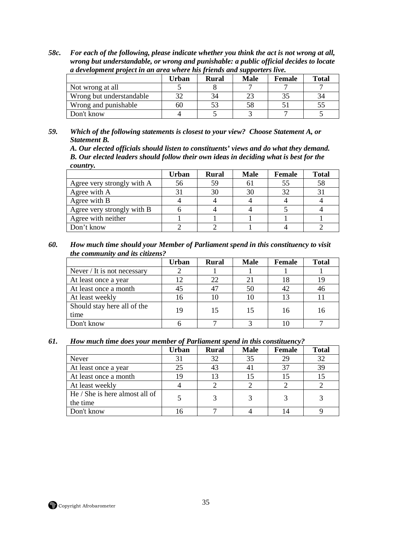*58c. For each of the following, please indicate whether you think the act is not wrong at all, wrong but understandable, or wrong and punishable: a public official decides to locate a development project in an area where his friends and supporters live.* 

|                          | Urban | Rural | <b>Male</b> | Female | <b>Total</b> |
|--------------------------|-------|-------|-------------|--------|--------------|
| Not wrong at all         |       |       |             |        |              |
| Wrong but understandable |       | 34    |             |        |              |
| Wrong and punishable     | 60    |       |             |        | ЭJ           |
| Don't know               |       |       |             |        |              |

*59. Which of the following statements is closest to your view? Choose Statement A, or Statement B.* 

*A. Our elected officials should listen to constituents' views and do what they demand. B. Our elected leaders should follow their own ideas in deciding what is best for the country.* 

|                            | Urban | <b>Rural</b> | <b>Male</b> | <b>Female</b> | <b>Total</b> |
|----------------------------|-------|--------------|-------------|---------------|--------------|
| Agree very strongly with A | 56    | 59           |             | 55            | 58           |
| Agree with A               |       | 30           |             | 32            |              |
| Agree with B               |       |              |             |               |              |
| Agree very strongly with B |       |              |             |               |              |
| Agree with neither         |       |              |             |               |              |
| Don't know                 |       |              |             |               |              |

*60. How much time should your Member of Parliament spend in this constituency to visit the community and its citizens?* 

|                                     | <b>Urban</b> | <b>Rural</b> | <b>Male</b> | <b>Female</b> | <b>Total</b> |
|-------------------------------------|--------------|--------------|-------------|---------------|--------------|
| Never / It is not necessary         |              |              |             |               |              |
| At least once a year                | 12           | 22           |             | 18            | 19           |
| At least once a month               | 45           |              | 50          | 42            | 46           |
| At least weekly                     | 16           | 10           |             | 13            |              |
| Should stay here all of the<br>time | 19           | 15           | 15          | 16            | 16           |
| Don't know                          |              |              |             |               |              |

#### *61. How much time does your member of Parliament spend in this constituency?*

|                                | <b>Urban</b> | <b>Rural</b> | <b>Male</b> | <b>Female</b> | <b>Total</b> |
|--------------------------------|--------------|--------------|-------------|---------------|--------------|
| <b>Never</b>                   | 31           | 32           | 35          | 29            | 32           |
| At least once a year           | 25           | 43           |             | 37            | 39           |
| At least once a month          | 19           | 13           |             |               |              |
| At least weekly                |              |              |             |               |              |
| He / She is here almost all of |              |              |             |               |              |
| the time                       |              |              |             |               |              |
| Don't know                     |              |              |             |               |              |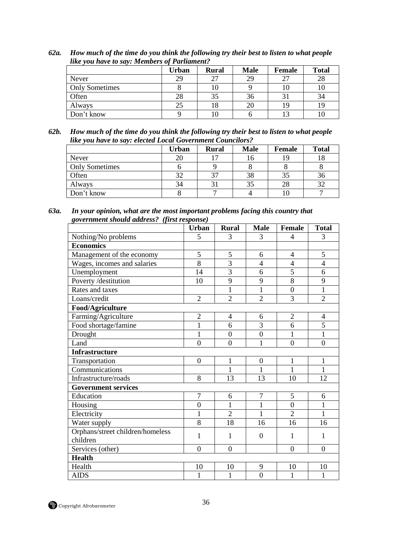|                       | Urban | <b>Rural</b> | <b>Male</b> | Female | <b>Total</b> |
|-----------------------|-------|--------------|-------------|--------|--------------|
| Never                 | 29    | 27           | 29          | 27     | 28           |
| <b>Only Sometimes</b> |       | 10           |             |        | 10           |
| Often                 | 28    | 35           | 36          |        | 34           |
| Always                | 25    | 18           | 20          | 19     | 19           |
| Don't know            |       | 10           |             |        | ΙU           |

*62a. How much of the time do you think the following try their best to listen to what people like you have to say: Members of Parliament?* 

*62b. How much of the time do you think the following try their best to listen to what people like you have to say: elected Local Government Councilors?* 

|                       | <b>Urban</b> | <b>Rural</b>             | <b>Male</b> | <b>Female</b> | <b>Total</b> |
|-----------------------|--------------|--------------------------|-------------|---------------|--------------|
| Never                 | 20           | $\overline{\phantom{a}}$ |             | 1G            | 18           |
| <b>Only Sometimes</b> |              |                          |             |               |              |
| Often                 | 32           | 37                       | 38          | 35            | 36           |
| Always                | 34           |                          |             | 28            | 32           |
| Don't know            |              |                          |             |               |              |

*63a. In your opinion, what are the most important problems facing this country that government should address? (first response)* 

|                                              | <b>Urban</b>     | <b>Rural</b>     | <b>Male</b>      | <b>Female</b>  | <b>Total</b>   |
|----------------------------------------------|------------------|------------------|------------------|----------------|----------------|
| Nothing/No problems                          | 5                | 3                | 3                | $\overline{4}$ | 3              |
| <b>Economics</b>                             |                  |                  |                  |                |                |
| Management of the economy                    | 5                | 5                | 6                | $\overline{4}$ | 5              |
| Wages, incomes and salaries                  | 8                | 3                | $\overline{4}$   | $\overline{4}$ | $\overline{4}$ |
| Unemployment                                 | 14               | $\overline{3}$   | 6                | 5              | 6              |
| Poverty /destitution                         | 10               | 9                | 9                | 8              | 9              |
| Rates and taxes                              |                  | $\mathbf{1}$     | $\mathbf{1}$     | $\overline{0}$ | $\mathbf{1}$   |
| Loans/credit                                 | $\overline{2}$   | $\overline{2}$   | $\overline{2}$   | $\overline{3}$ | $\overline{2}$ |
| Food/Agriculture                             |                  |                  |                  |                |                |
| Farming/Agriculture                          | $\mathbf{2}$     | 4                | 6                | $\sqrt{2}$     | $\overline{4}$ |
| Food shortage/famine                         | $\mathbf{1}$     | 6                | $\overline{3}$   | 6              | 5              |
| Drought                                      | $\mathbf{1}$     | $\boldsymbol{0}$ | $\boldsymbol{0}$ | $\mathbf{1}$   | $\mathbf{1}$   |
| Land                                         | $\overline{0}$   | $\overline{0}$   | $\mathbf{1}$     | $\overline{0}$ | $\overline{0}$ |
| <b>Infrastructure</b>                        |                  |                  |                  |                |                |
| Transportation                               | $\boldsymbol{0}$ | $\mathbf{1}$     | $\boldsymbol{0}$ | $\mathbf{1}$   | $\mathbf{1}$   |
| Communications                               |                  | $\mathbf{1}$     | $\mathbf{1}$     | $\mathbf{1}$   | $\mathbf{1}$   |
| Infrastructure/roads                         | 8                | 13               | 13               | 10             | 12             |
| <b>Government services</b>                   |                  |                  |                  |                |                |
| Education                                    | $\overline{7}$   | 6                | $\overline{7}$   | 5              | 6              |
| Housing                                      | $\overline{0}$   | $\mathbf{1}$     | $\mathbf{1}$     | $\mathbf{0}$   | $\mathbf{1}$   |
| Electricity                                  | $\mathbf{1}$     | $\overline{2}$   | $\mathbf{1}$     | $\overline{2}$ | $\mathbf{1}$   |
| Water supply                                 | 8                | 18               | 16               | 16             | 16             |
| Orphans/street children/homeless<br>children | 1                | 1                | $\overline{0}$   | 1              | 1              |
| Services (other)                             | $\overline{0}$   | $\overline{0}$   |                  | $\overline{0}$ | $\overline{0}$ |
| <b>Health</b>                                |                  |                  |                  |                |                |
| Health                                       | 10               | 10               | 9                | 10             | 10             |
| <b>AIDS</b>                                  | $\mathbf{1}$     | $\mathbf{1}$     | $\overline{0}$   | 1              | 1              |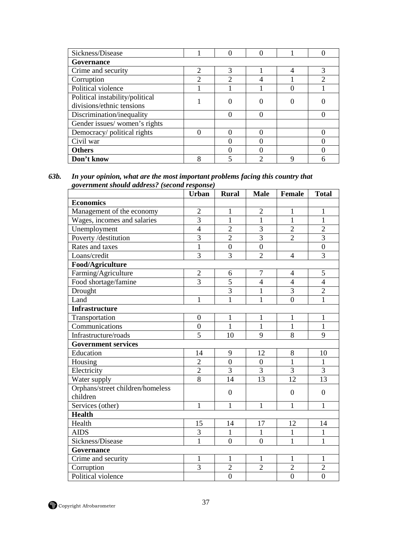| Sickness/Disease                                             |                | 0 |   |   |  |
|--------------------------------------------------------------|----------------|---|---|---|--|
| Governance                                                   |                |   |   |   |  |
| Crime and security                                           | $\mathcal{D}$  |   |   |   |  |
| Corruption                                                   | $\mathfrak{D}$ | ↑ |   |   |  |
| Political violence                                           |                |   |   |   |  |
| Political instability/political<br>divisions/ethnic tensions |                |   |   |   |  |
| Discrimination/inequality                                    |                | 0 | 0 |   |  |
| Gender issues/women's rights                                 |                |   |   |   |  |
| Democracy/political rights                                   | 0              |   |   |   |  |
| Civil war                                                    |                |   |   |   |  |
| <b>Others</b>                                                |                |   |   |   |  |
| Don't know                                                   | 8              | ς | ⌒ | O |  |

*63b. In your opinion, what are the most important problems facing this country that government should address? (second response)* 

|                                  | <b>Urban</b>     | <b>Rural</b>     | <b>Male</b>     | <b>Female</b>    | <b>Total</b>     |
|----------------------------------|------------------|------------------|-----------------|------------------|------------------|
| <b>Economics</b>                 |                  |                  |                 |                  |                  |
| Management of the economy        | $\overline{2}$   | $\mathbf{1}$     | $\overline{2}$  | $\mathbf{1}$     | $\mathbf{1}$     |
| Wages, incomes and salaries      | $\overline{3}$   | $\mathbf{1}$     | $\mathbf{1}$    | $\mathbf{1}$     | $\mathbf{1}$     |
| Unemployment                     | $\overline{4}$   | $\overline{c}$   | 3               | $\overline{2}$   | $\overline{2}$   |
| Poverty /destitution             | $\overline{3}$   | $\overline{2}$   | $\overline{3}$  | $\overline{2}$   | $\overline{3}$   |
| Rates and taxes                  | $\mathbf{1}$     | $\overline{0}$   | $\overline{0}$  |                  | $\overline{0}$   |
| Loans/credit                     | 3                | 3                | $\overline{2}$  | $\overline{4}$   | 3                |
| Food/Agriculture                 |                  |                  |                 |                  |                  |
| Farming/Agriculture              | $\overline{2}$   | 6                | $\overline{7}$  | $\overline{4}$   | 5                |
| Food shortage/famine             | $\overline{3}$   | $\overline{5}$   | $\overline{4}$  | $\overline{4}$   | $\overline{4}$   |
| Drought                          |                  | 3                | $\mathbf{1}$    | 3                | $\overline{2}$   |
| Land                             | $\mathbf{1}$     | $\overline{1}$   | 1               | $\overline{0}$   | $\mathbf{1}$     |
| <b>Infrastructure</b>            |                  |                  |                 |                  |                  |
| Transportation                   | $\overline{0}$   | $\mathbf{1}$     | $\mathbf{1}$    | 1                | $\mathbf{1}$     |
| Communications                   | $\boldsymbol{0}$ | $\mathbf{1}$     | 1               | $\mathbf{1}$     | $\mathbf{1}$     |
| Infrastructure/roads             | 5                | 10               | 9               | 8                | 9                |
| <b>Government services</b>       |                  |                  |                 |                  |                  |
| Education                        | 14               | 9                | 12              | $\,8\,$          | 10               |
| Housing                          | $\overline{2}$   | $\overline{0}$   | $\overline{0}$  | $\mathbf{1}$     | $\mathbf{1}$     |
| Electricity                      | $\overline{2}$   | $\overline{3}$   | $\overline{3}$  | $\overline{3}$   | $\overline{3}$   |
| Water supply                     | 8                | 14               | $\overline{13}$ | 12               | $\overline{13}$  |
| Orphans/street children/homeless |                  | $\boldsymbol{0}$ |                 | $\boldsymbol{0}$ | $\boldsymbol{0}$ |
| children                         |                  |                  |                 |                  |                  |
| Services (other)                 | $\mathbf{1}$     | $\mathbf{1}$     | 1               | 1                | 1                |
| <b>Health</b>                    |                  |                  |                 |                  |                  |
| Health                           | 15               | 14               | 17              | 12               | 14               |
| <b>AIDS</b>                      | 3                | $\mathbf{1}$     | $\mathbf{1}$    | $\mathbf{1}$     | $\mathbf{1}$     |
| Sickness/Disease                 | $\mathbf{1}$     | $\overline{0}$   | $\overline{0}$  | $\mathbf{1}$     | $\mathbf{1}$     |
| Governance                       |                  |                  |                 |                  |                  |
| Crime and security               | $\mathbf{1}$     | $\mathbf{1}$     | 1               | 1                | $\mathbf{1}$     |
| Corruption                       | 3                |                  | $\overline{2}$  | $\overline{2}$   | $\overline{2}$   |
| Political violence               |                  | $\overline{2}$   |                 |                  |                  |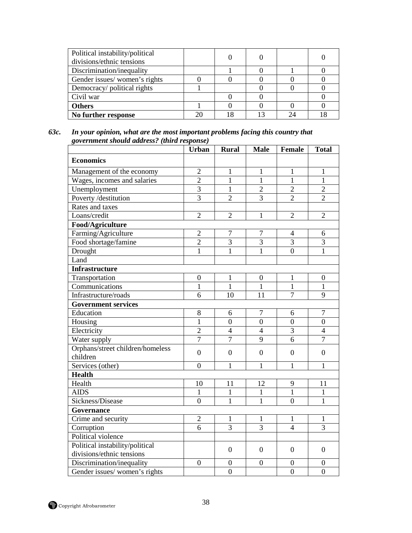| Political instability/political<br>divisions/ethnic tensions |  |  |  |
|--------------------------------------------------------------|--|--|--|
| Discrimination/inequality                                    |  |  |  |
| Gender issues/women's rights                                 |  |  |  |
| Democracy/political rights                                   |  |  |  |
| Civil war                                                    |  |  |  |
| <b>Others</b>                                                |  |  |  |
| No further response                                          |  |  |  |

*63c. In your opinion, what are the most important problems facing this country that government should address? (third response)* 

|                                                              | <b>Urban</b>     | <b>Rural</b>     | <b>Male</b>      | Female           | <b>Total</b>     |
|--------------------------------------------------------------|------------------|------------------|------------------|------------------|------------------|
| <b>Economics</b>                                             |                  |                  |                  |                  |                  |
| Management of the economy                                    | $\overline{2}$   | 1                | 1                | $\mathbf{1}$     | 1                |
| Wages, incomes and salaries                                  | $\overline{2}$   | $\overline{1}$   | $\mathbf{1}$     | $\overline{1}$   | $\overline{1}$   |
| Unemployment                                                 | $\overline{3}$   | $\mathbf{1}$     | $\overline{2}$   | $\overline{2}$   | $\overline{2}$   |
| Poverty /destitution                                         | $\overline{3}$   | $\overline{2}$   | $\overline{3}$   | $\overline{2}$   | $\overline{2}$   |
| Rates and taxes                                              |                  |                  |                  |                  |                  |
| Loans/credit                                                 | $\overline{2}$   | $\overline{2}$   | 1                | $\overline{2}$   | $\overline{2}$   |
| Food/Agriculture                                             |                  |                  |                  |                  |                  |
| Farming/Agriculture                                          | $\overline{2}$   | $\tau$           | 7                | 4                | 6                |
| Food shortage/famine                                         | $\overline{2}$   | $\overline{3}$   | $\overline{3}$   | $\overline{3}$   | $\overline{3}$   |
| Drought                                                      | $\mathbf{1}$     | $\mathbf{1}$     | $\mathbf{1}$     | $\overline{0}$   | $\mathbf{1}$     |
| Land                                                         |                  |                  |                  |                  |                  |
| <b>Infrastructure</b>                                        |                  |                  |                  |                  |                  |
| Transportation                                               | $\boldsymbol{0}$ | 1                | $\Omega$         | 1                | $\boldsymbol{0}$ |
| Communications                                               | $\mathbf{1}$     | $\mathbf{1}$     | $\mathbf{1}$     | $\mathbf{1}$     | $\mathbf{1}$     |
| Infrastructure/roads                                         | 6                | 10               | 11               | $\overline{7}$   | 9                |
| <b>Government services</b>                                   |                  |                  |                  |                  |                  |
| Education                                                    | 8                | 6                | $\overline{7}$   | 6                | $\overline{7}$   |
| Housing                                                      | $\mathbf{1}$     | $\overline{0}$   | $\overline{0}$   | $\overline{0}$   | $\overline{0}$   |
| Electricity                                                  | $\overline{2}$   | $\overline{4}$   | $\overline{4}$   | $\overline{3}$   | $\overline{4}$   |
| Water supply                                                 | $\overline{7}$   | $\overline{7}$   | 9                | 6                | $\overline{7}$   |
| Orphans/street children/homeless<br>children                 | $\overline{0}$   | $\overline{0}$   | $\overline{0}$   | $\overline{0}$   | $\boldsymbol{0}$ |
| Services (other)                                             | $\overline{0}$   | $\mathbf{1}$     | $\mathbf{1}$     | $\mathbf{1}$     | $\mathbf{1}$     |
| <b>Health</b>                                                |                  |                  |                  |                  |                  |
| Health                                                       | 10               | 11               | 12               | 9                | 11               |
| <b>AIDS</b>                                                  | $\mathbf{1}$     | $\mathbf{1}$     | $\mathbf{1}$     | $\mathbf{1}$     | $\mathbf{1}$     |
| Sickness/Disease                                             | $\overline{0}$   | $\mathbf{1}$     | $\mathbf{1}$     | $\overline{0}$   | $\mathbf{1}$     |
| Governance                                                   |                  |                  |                  |                  |                  |
| Crime and security                                           | $\overline{2}$   | 1                | 1                | 1                | 1                |
| Corruption                                                   | 6                | $\overline{3}$   | $\overline{3}$   | $\overline{4}$   | $\overline{3}$   |
| Political violence                                           |                  |                  |                  |                  |                  |
| Political instability/political<br>divisions/ethnic tensions |                  | $\Omega$         | $\Omega$         | $\Omega$         | $\boldsymbol{0}$ |
| Discrimination/inequality                                    | $\boldsymbol{0}$ | $\boldsymbol{0}$ | $\boldsymbol{0}$ | $\boldsymbol{0}$ | $\boldsymbol{0}$ |
| Gender issues/women's rights                                 |                  | $\overline{0}$   |                  | $\overline{0}$   | $\overline{0}$   |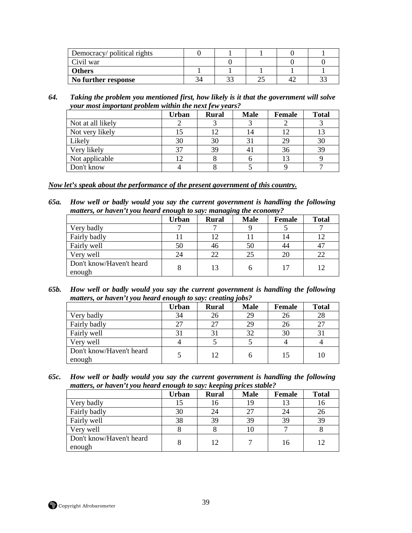| Democracy/ political rights |  |  |  |
|-----------------------------|--|--|--|
| Civil war                   |  |  |  |
| <b>Others</b>               |  |  |  |
| No further response         |  |  |  |

*64. Taking the problem you mentioned first, how likely is it that the government will solve your most important problem within the next few years?* 

|                   | <b>Urban</b> | <b>Rural</b> | <b>Male</b>    | Female | <b>Total</b> |
|-------------------|--------------|--------------|----------------|--------|--------------|
| Not at all likely |              |              |                |        |              |
| Not very likely   |              |              | $\overline{4}$ |        |              |
| Likely            | 30           | 30           |                | 29     | 30           |
| Very likely       | 37           | 39           |                | 36     | 39           |
| Not applicable    | 12           |              |                | 13     |              |
| Don't know        |              |              |                |        |              |

#### *Now let's speak about the performance of the present government of this country.*

*65a. How well or badly would you say the current government is handling the following matters, or haven't you heard enough to say: managing the economy?* 

|                                    | <b>Urban</b> | <b>Rural</b> | <b>Male</b> | Female | <b>Total</b> |
|------------------------------------|--------------|--------------|-------------|--------|--------------|
| Very badly                         |              |              |             |        |              |
| Fairly badly                       |              | 12           |             | 14     | 12           |
| Fairly well                        | 50           | 46           | 50          | 44     | 47           |
| Very well                          | 24           | 22           | 25          | 20     | 22           |
| Don't know/Haven't heard<br>enough |              | 13           |             | 17     | 12           |

*65b. How well or badly would you say the current government is handling the following matters, or haven't you heard enough to say: creating jobs?* 

|                                    | <b>Urban</b> | <b>Rural</b> | <b>Male</b> | Female | <b>Total</b> |
|------------------------------------|--------------|--------------|-------------|--------|--------------|
| Very badly                         | 34           | 26           | 29          | 26     | 28           |
| Fairly badly                       | 27           |              | 29          | 26     | 27           |
| Fairly well                        | 31           |              | 32          | 30     |              |
| Very well                          |              |              |             |        |              |
| Don't know/Haven't heard<br>enough |              | 12           |             | 15     | 10           |

*65c. How well or badly would you say the current government is handling the following matters, or haven't you heard enough to say: keeping prices stable?* 

|                                    | Urban | <b>Rural</b> | <b>Male</b> | <b>Female</b> | <b>Total</b> |
|------------------------------------|-------|--------------|-------------|---------------|--------------|
| Very badly                         |       | 16           | 19          |               | 16           |
| Fairly badly                       | 30    | 24           |             | 24            | 26           |
| Fairly well                        | 38    | 39           | 39          | 39            | 39           |
| Very well                          |       |              |             |               |              |
| Don't know/Haven't heard<br>enough | 8     | 12           |             | 16            | 12           |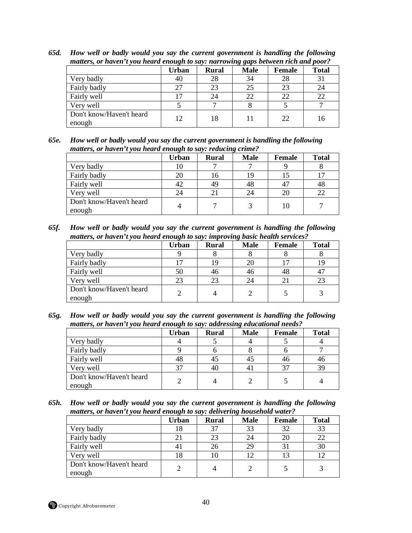| matters, or haven't you heard enough to say: narrowing gaps between rich and poor? |       |              |             |               |              |
|------------------------------------------------------------------------------------|-------|--------------|-------------|---------------|--------------|
|                                                                                    | Urban | <b>Rural</b> | <b>Male</b> | <b>Female</b> | <b>Total</b> |
| Very badly                                                                         | 40    | 28           | 34          | 28            | 31           |
| Fairly badly                                                                       | 27    | 23           | 25          | 23            | 24           |
| Fairly well                                                                        |       | 24           | 22          | 22            | 22           |
| Very well                                                                          |       |              |             |               |              |
| Don't know/Haven't heard<br>enough                                                 | 12    |              |             | 22            | 16           |

*65d. How well or badly would you say the current government is handling the following matters, or haven't you heard enough to say: narrowing gaps between rich and poor?* 

| 65e. | How well or badly would you say the current government is handling the following |
|------|----------------------------------------------------------------------------------|
|      | matters, or haven't you heard enough to say: reducing crime?                     |

|                                    | <b>Urban</b> | <b>Rural</b> | <b>Male</b> | <b>Female</b>  | <b>Total</b> |
|------------------------------------|--------------|--------------|-------------|----------------|--------------|
| Very badly                         | 10           |              |             |                |              |
| Fairly badly                       | 20           | 16           |             |                |              |
| Fairly well                        | 42           | 49           | 48          | 4 <sup>7</sup> | 48           |
| Very well                          | 24           |              | 24          | 20             | 22           |
| Don't know/Haven't heard<br>enough | 4            |              |             | 10             |              |

*65f. How well or badly would you say the current government is handling the following matters, or haven't you heard enough to say: improving basic health services?* 

|                                    | <b>Urban</b> | <b>Rural</b> | <b>Male</b> | <b>Female</b> | <b>Total</b> |
|------------------------------------|--------------|--------------|-------------|---------------|--------------|
| Very badly                         |              |              |             |               |              |
| Fairly badly                       |              | 19           |             |               | 19           |
| Fairly well                        | 50           | 46           | 40          | 48            | 47           |
| Very well                          | 23           | 23           |             | $2^{\circ}$   | 23           |
| Don't know/Haven't heard<br>enough |              |              |             |               |              |

*65g. How well or badly would you say the current government is handling the following matters, or haven't you heard enough to say: addressing educational needs?* 

|                                    | <b>Urban</b> | <b>Rural</b> | $\cdot$<br><b>Male</b> | <b>Female</b> | <b>Total</b> |
|------------------------------------|--------------|--------------|------------------------|---------------|--------------|
| Very badly                         |              |              |                        |               |              |
| Fairly badly                       |              |              |                        |               |              |
| Fairly well                        | 48           | 45           |                        | 46            | 46           |
| Very well                          | 37           | 40           |                        | 37            | 39           |
| Don't know/Haven't heard<br>enough |              |              |                        |               |              |

*65h. How well or badly would you say the current government is handling the following matters, or haven't you heard enough to say: delivering household water?* 

|                                    | Urban | <b>Rural</b> | <b>Male</b> | <b>Female</b> | <b>Total</b> |
|------------------------------------|-------|--------------|-------------|---------------|--------------|
| Very badly                         | 18    | 37           | 33          | 32            | 33           |
| Fairly badly                       | 21    | 23           |             | 20            | 22           |
| Fairly well                        | 41    | 26           | 29          | 31            | 30           |
| Very well                          | 18    | 10           |             |               | 12           |
| Don't know/Haven't heard<br>enough |       |              |             |               |              |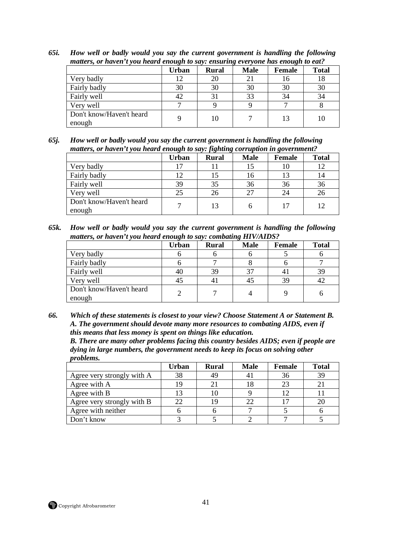| matters, or haven't you heard enough to say: ensuring everyone has enough to eat? |       |              |             |               |              |  |  |  |
|-----------------------------------------------------------------------------------|-------|--------------|-------------|---------------|--------------|--|--|--|
|                                                                                   | Urban | <b>Rural</b> | <b>Male</b> | <b>Female</b> | <b>Total</b> |  |  |  |
| Very badly                                                                        | 12    | 20           |             | 16            | 18           |  |  |  |
| Fairly badly                                                                      | 30    | 30           | 30          | 30            | 30           |  |  |  |
| Fairly well                                                                       | 42    |              | 33          | 34            | 34           |  |  |  |
| Very well                                                                         |       |              |             |               |              |  |  |  |
| Don't know/Haven't heard<br>enough                                                |       | 10           |             |               | 10           |  |  |  |

*65i. How well or badly would you say the current government is handling the following matters, or haven't you heard enough to say: ensuring everyone has enough to eat?* 

*65j. How well or badly would you say the current government is handling the following matters, or haven't you heard enough to say: fighting corruption in government?* 

|                                    | Urban | <b>Rural</b> | <b>Male</b> | Female | <b>Total</b> |
|------------------------------------|-------|--------------|-------------|--------|--------------|
| Very badly                         |       |              |             | 10     | 12           |
| Fairly badly                       | 12    |              | 16          | 13     | 14           |
| Fairly well                        | 39    | 35           | 36          | 36     | 36           |
| Very well                          | 25    | 26           | つつ          | 24     | 26           |
| Don't know/Haven't heard<br>enough |       | 13           |             | 17     | 12           |

*65k. How well or badly would you say the current government is handling the following matters, or haven't you heard enough to say: combating HIV/AIDS?* 

|                                    | <b>Urban</b> | <b>Rural</b> | <b>Male</b> | Female | <b>Total</b> |
|------------------------------------|--------------|--------------|-------------|--------|--------------|
| Very badly                         |              |              |             |        |              |
| Fairly badly                       |              |              |             |        |              |
| Fairly well                        | 40           | 39           |             | 4.     | 39           |
| Very well                          | 45           |              |             | 39     | 42           |
| Don't know/Haven't heard<br>enough |              |              |             |        |              |

*66. Which of these statements is closest to your view? Choose Statement A or Statement B. A. The government should devote many more resources to combating AIDS, even if this means that less money is spent on things like education.* 

*B. There are many other problems facing this country besides AIDS; even if people are dying in large numbers, the government needs to keep its focus on solving other problems.* 

|                            | Urban | <b>Rural</b> | <b>Male</b> | Female | <b>Total</b> |
|----------------------------|-------|--------------|-------------|--------|--------------|
| Agree very strongly with A | 38    | 49           |             | 36     | 39           |
| Agree with A               | 19    |              |             | 23     |              |
| Agree with B               | 13    |              |             |        |              |
| Agree very strongly with B | 22    | 19           |             |        | 20           |
| Agree with neither         |       |              |             |        |              |
| Don't know                 |       |              |             |        |              |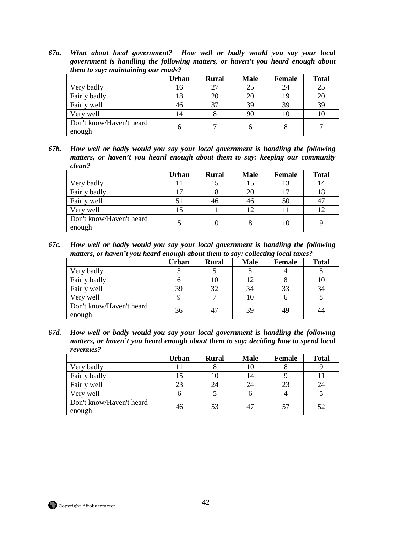*67a. What about local government? How well or badly would you say your local government is handling the following matters, or haven't you heard enough about them to say: maintaining our roads?* 

|                                    | <b>Urban</b> | <b>Rural</b> | <b>Male</b> | <b>Female</b> | <b>Total</b> |
|------------------------------------|--------------|--------------|-------------|---------------|--------------|
| Very badly                         | 16           | 27           | 25          | 24            | 25           |
| Fairly badly                       | 18           | 20           | 20          | 19            | 20           |
| Fairly well                        | 46           | 37           | 39          | 39            | 39           |
| Very well                          | 14           |              | 90          | 10            | 10           |
| Don't know/Haven't heard<br>enough | h            |              |             |               |              |

*67b. How well or badly would you say your local government is handling the following matters, or haven't you heard enough about them to say: keeping our community clean?* 

|                                    | <b>Urban</b> | <b>Rural</b> | <b>Male</b> | Female | <b>Total</b> |
|------------------------------------|--------------|--------------|-------------|--------|--------------|
| Very badly                         | 11           | 15           |             | 13     | 14           |
| Fairly badly                       | 17           | 18           |             |        | 18           |
| Fairly well                        | 51           | 46           | 46          | 50     | 47           |
| Very well                          | 15           |              |             |        | 12           |
| Don't know/Haven't heard<br>enough |              | 10           |             | 10     |              |

*67c. How well or badly would you say your local government is handling the following matters, or haven't you heard enough about them to say: collecting local taxes?* 

|                                    | Urban | <b>Rural</b> | <b>Male</b> | <b>Female</b> | <b>Total</b> |
|------------------------------------|-------|--------------|-------------|---------------|--------------|
| Very badly                         |       |              |             |               |              |
| Fairly badly                       |       | 10           |             |               | 10           |
| Fairly well                        | 39    | 32           | 34          | 33            | 34           |
| Very well                          |       |              |             |               |              |
| Don't know/Haven't heard<br>enough | 36    | 47           | 39          | 49            | 44           |

*67d. How well or badly would you say your local government is handling the following matters, or haven't you heard enough about them to say: deciding how to spend local revenues?* 

|                                    | <b>Urban</b> | <b>Rural</b> | <b>Male</b> | <b>Female</b> | <b>Total</b> |
|------------------------------------|--------------|--------------|-------------|---------------|--------------|
| Very badly                         |              |              |             |               |              |
| Fairly badly                       |              |              |             |               |              |
| Fairly well                        | 23           | 24           | 24          | 23            | 24           |
| Very well                          |              |              |             |               |              |
| Don't know/Haven't heard<br>enough | 46           | 53           |             | 57            | 52           |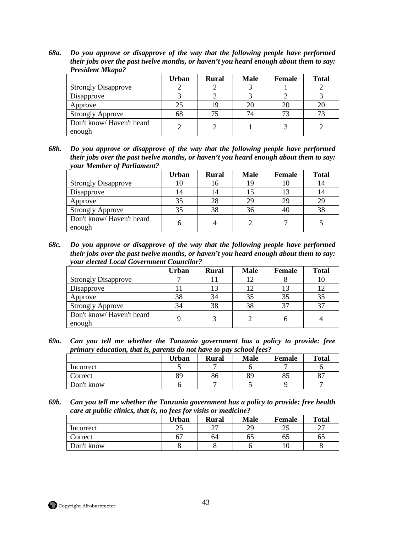*68a. Do you approve or disapprove of the way that the following people have performed their jobs over the past twelve months, or haven't you heard enough about them to say: President Mkapa?* 

|                                    | Urban | <b>Rural</b> | <b>Male</b> | Female | <b>Total</b> |
|------------------------------------|-------|--------------|-------------|--------|--------------|
| <b>Strongly Disapprove</b>         |       |              |             |        |              |
| Disapprove                         |       |              |             |        |              |
| Approve                            | 25    | 19           |             | 20     | 20           |
| <b>Strongly Approve</b>            | 68    |              | 74          |        |              |
| Don't know/Haven't heard<br>enough |       |              |             |        |              |

*68b. Do you approve or disapprove of the way that the following people have performed their jobs over the past twelve months, or haven't you heard enough about them to say: your Member of Parliament?* 

|                                    | <b>Urban</b> | <b>Rural</b> | <b>Male</b> | Female | <b>Total</b> |
|------------------------------------|--------------|--------------|-------------|--------|--------------|
| <b>Strongly Disapprove</b>         | 10           | 16           |             |        | 14           |
| Disapprove                         | 14           | 14           |             |        | 14           |
| Approve                            | 35           | 28           | 29          | 29     | 29           |
| <b>Strongly Approve</b>            | 35           | 38           | 36          | 40     | 38           |
| Don't know/Haven't heard<br>enough | n            |              |             |        |              |

*68c. Do you approve or disapprove of the way that the following people have performed their jobs over the past twelve months, or haven't you heard enough about them to say: your elected Local Government Councilor?* 

|                                    | Urban | <b>Rural</b> | <b>Male</b> | Female | <b>Total</b> |
|------------------------------------|-------|--------------|-------------|--------|--------------|
| <b>Strongly Disapprove</b>         |       |              |             |        | 10           |
| Disapprove                         |       | 12           |             |        | 12           |
| Approve                            | 38    | 34           |             | 35     | 35           |
| <b>Strongly Approve</b>            | 34    | 38           | 38          | 37     | 37           |
| Don't know/Haven't heard<br>enough |       |              |             |        |              |

*69a. Can you tell me whether the Tanzania government has a policy to provide: free primary education, that is, parents do not have to pay school fees?* 

|            | Urban | <b>Rural</b> | <b>Male</b> | <b>Female</b> | <b>Total</b> |
|------------|-------|--------------|-------------|---------------|--------------|
| Incorrect  |       |              |             |               |              |
| Correct    | 89    | 86           | 89          | 85            | 07           |
| Don't know |       |              |             |               |              |

*69b. Can you tell me whether the Tanzania government has a policy to provide: free health care at public clinics, that is, no fees for visits or medicine?* 

|            | Urban      | <b>Rural</b> | <b>Male</b> | Female              | <b>Total</b>             |
|------------|------------|--------------|-------------|---------------------|--------------------------|
| Incorrect  | つく<br>ل کے | $\sim$       | 29          | $\cap \subset$<br>ت | $\mathbin{\lnot}$<br>∸ ' |
| Correct    | 67         | 64           | CO          | 65                  | 65                       |
| Don't know |            |              |             |                     |                          |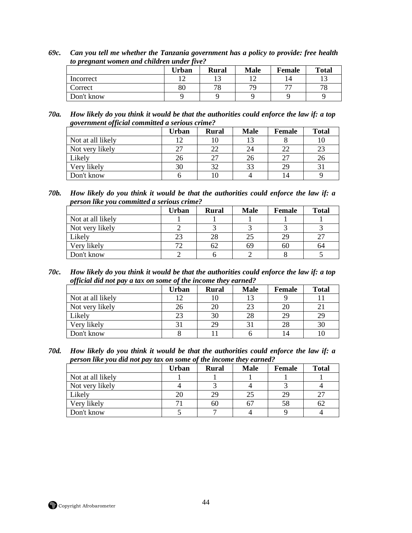*69c. Can you tell me whether the Tanzania government has a policy to provide: free health to pregnant women and children under five?* 

|            | Urban | <b>Rural</b> | <b>Male</b> | <b>Female</b>            | <b>Total</b> |
|------------|-------|--------------|-------------|--------------------------|--------------|
| Incorrect  |       |              |             | 14                       |              |
| Correct    | 80    | 78           | 70          | $\overline{\phantom{a}}$ | 70           |
| Don't know |       |              |             |                          |              |

*70a. How likely do you think it would be that the authorities could enforce the law if: a top government official committed a serious crime?* 

|                   | Urban | <b>Rural</b> | <b>Male</b> | Female | <b>Total</b> |
|-------------------|-------|--------------|-------------|--------|--------------|
| Not at all likely | 12    | ιU           |             |        | 10           |
| Not very likely   | 27    | 22           |             | 22     | 23           |
| Likely            | 26    | 27           |             | 27     | 26           |
| Very likely       | 30    | 32           | 33          | 29     |              |
| Don't know        |       |              |             | 14     |              |

*70b. How likely do you think it would be that the authorities could enforce the law if: a person like you committed a serious crime?* 

|                   | Urban | <b>Rural</b> | <b>Male</b> | <b>Female</b> | <b>Total</b> |
|-------------------|-------|--------------|-------------|---------------|--------------|
| Not at all likely |       |              |             |               |              |
| Not very likely   |       |              |             |               |              |
| Likely            | 23    | 28           |             | 29            |              |
| Very likely       | 72    | 62           | 69          | 60            | 64           |
| Don't know        |       |              |             |               |              |

*70c. How likely do you think it would be that the authorities could enforce the law if: a top official did not pay a tax on some of the income they earned?* 

|                   | <b>Urban</b> | <b>Rural</b> | <b>Male</b> | Female | <b>Total</b> |
|-------------------|--------------|--------------|-------------|--------|--------------|
| Not at all likely | 12           | 10           |             |        |              |
| Not very likely   | 26           | 20           | 23          | 20     | 21           |
| Likely            | 23           | 30           | 28          | 29     | 29           |
| Very likely       |              | 29           |             | 28     | 30           |
| Don't know        |              |              |             | 14     | 10           |

*70d. How likely do you think it would be that the authorities could enforce the law if: a person like you did not pay tax on some of the income they earned?* 

|                   | <b>Urban</b> | <b>Rural</b> | <b>Male</b> | Female | <b>Total</b> |
|-------------------|--------------|--------------|-------------|--------|--------------|
| Not at all likely |              |              |             |        |              |
| Not very likely   |              |              |             |        |              |
| Likely            | 20           | 29           |             | 29     | າາ           |
| Very likely       | 71           | 60           |             | 58     | 62           |
| Don't know        |              |              |             |        |              |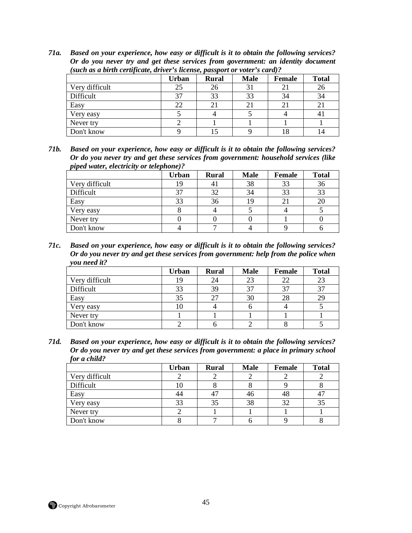*71a. Based on your experience, how easy or difficult is it to obtain the following services? Or do you never try and get these services from government: an identity document (such as a birth certificate, driver's license, passport or voter's card)?* 

|                | <b>Urban</b> | <b>Rural</b> | <b>Male</b> | Female      | <b>Total</b> |
|----------------|--------------|--------------|-------------|-------------|--------------|
| Very difficult | 25           | 26           |             |             | 26           |
| Difficult      | 37           | 33           | 33          | 34          | 34           |
| Easy           | 22           |              |             | $2^{\circ}$ |              |
| Very easy      |              |              |             |             | 4.           |
| Never try      |              |              |             |             |              |
| Don't know     |              |              |             |             |              |

*71b. Based on your experience, how easy or difficult is it to obtain the following services? Or do you never try and get these services from government: household services (like piped water, electricity or telephone)?* 

|                | <b>Urban</b> | <b>Rural</b> | <b>Male</b> | <b>Female</b> | <b>Total</b> |
|----------------|--------------|--------------|-------------|---------------|--------------|
| Very difficult | ΙY           |              | 38          | 33            | 36           |
| Difficult      | 37           | 32           | 34          | 33            | 33           |
| Easy           | 33           | 36           |             |               | 20           |
| Very easy      |              |              |             |               |              |
| Never try      |              |              |             |               |              |
| Don't know     |              |              |             |               |              |

*71c. Based on your experience, how easy or difficult is it to obtain the following services? Or do you never try and get these services from government: help from the police when you need it?* 

|                | <b>Urban</b> | <b>Rural</b> | <b>Male</b> | <b>Female</b> | <b>Total</b> |
|----------------|--------------|--------------|-------------|---------------|--------------|
| Very difficult | 19           | 24           | 23          | 22            | 23           |
| Difficult      | 33           | 39           |             | 37            | 37           |
| Easy           | 35           | 27           | 30          | 28            | 29           |
| Very easy      | ГO           |              |             |               |              |
| Never try      |              |              |             |               |              |
| Don't know     |              |              |             |               |              |

*71d. Based on your experience, how easy or difficult is it to obtain the following services? Or do you never try and get these services from government: a place in primary school for a child?* 

|                | <b>Urban</b> | <b>Rural</b> | <b>Male</b> | <b>Female</b> | <b>Total</b> |
|----------------|--------------|--------------|-------------|---------------|--------------|
| Very difficult |              |              |             |               |              |
| Difficult      | 10           |              |             |               |              |
| Easy           | 44           |              | 40          | 48            |              |
| Very easy      | 33           | 35           | 38          | 32            | 35           |
| Never try      |              |              |             |               |              |
| Don't know     |              |              |             |               |              |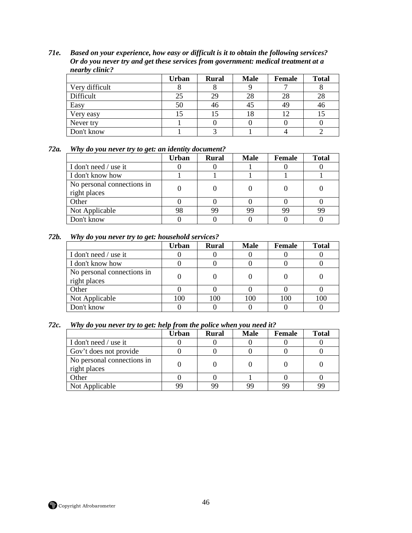*71e. Based on your experience, how easy or difficult is it to obtain the following services? Or do you never try and get these services from government: medical treatment at a nearby clinic?* 

|                | <b>Urban</b> | <b>Rural</b> | <b>Male</b> | <b>Female</b> | <b>Total</b> |
|----------------|--------------|--------------|-------------|---------------|--------------|
| Very difficult |              |              |             |               |              |
| Difficult      | 25           | 29           | 28          | 28            | 28           |
| Easy           | 50           | 46           |             | 49            | 46           |
| Very easy      |              | J            |             |               |              |
| Never try      |              |              |             |               |              |
| Don't know     |              |              |             |               |              |

# *72a. Why do you never try to get: an identity document?*

|                                            | Urban | <b>Rural</b> | <b>Male</b> | Female | <b>Total</b> |
|--------------------------------------------|-------|--------------|-------------|--------|--------------|
| I don't need / use it                      |       |              |             |        |              |
| I don't know how                           |       |              |             |        |              |
| No personal connections in<br>right places |       |              |             |        |              |
| Other                                      |       |              |             |        |              |
| Not Applicable                             | 98    | 99           | qq          | 99     | 99           |
| Don't know                                 |       |              |             |        |              |

#### *72b. Why do you never try to get: household services?*

|                                            | Urban | <b>Rural</b> | <b>Male</b> | Female | <b>Total</b> |
|--------------------------------------------|-------|--------------|-------------|--------|--------------|
| I don't need / use it                      |       |              |             |        |              |
| I don't know how                           |       |              |             |        |              |
| No personal connections in<br>right places |       |              |             |        |              |
| Other                                      |       |              |             |        |              |
| Not Applicable                             | 100   | 100          | 100         | 100    | 100          |
| Don't know                                 |       |              |             |        |              |

#### *72c. Why do you never try to get: help from the police when you need it?*

|                                            | Urban | <b>Rural</b> | <b>Male</b> | Female | <b>Total</b> |
|--------------------------------------------|-------|--------------|-------------|--------|--------------|
| I don't need / use it                      |       |              |             |        |              |
| Gov't does not provide                     |       |              |             |        |              |
| No personal connections in<br>right places |       |              |             |        |              |
| Other                                      |       |              |             |        |              |
| Not Applicable                             | qq    | 99           |             | qq     | 99           |

Copyright Afrobarometer 46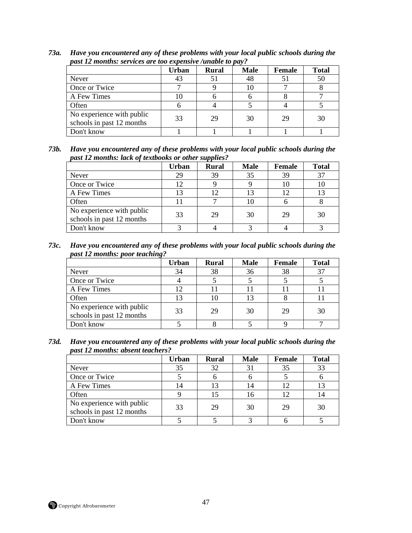|                                                        | <b>Urban</b> | <b>Rural</b> | <b>Male</b> | <b>Female</b> | <b>Total</b> |
|--------------------------------------------------------|--------------|--------------|-------------|---------------|--------------|
| Never                                                  | 43           |              | 48          |               | 50           |
| Once or Twice                                          |              |              |             |               |              |
| A Few Times                                            | 10           |              |             |               |              |
| Often                                                  |              |              |             |               |              |
| No experience with public<br>schools in past 12 months | 33           | 29           | 30          | 29            | 30           |
| Don't know                                             |              |              |             |               |              |

*73a. Have you encountered any of these problems with your local public schools during the past 12 months: services are too expensive /unable to pay?* 

*73b. Have you encountered any of these problems with your local public schools during the past 12 months: lack of textbooks or other supplies?* 

|                                                        | <b>Urban</b> | <b>Rural</b> | <b>Male</b> | <b>Female</b> | <b>Total</b> |
|--------------------------------------------------------|--------------|--------------|-------------|---------------|--------------|
| Never                                                  | 29           | 39           | 35          | 39            | 37           |
| Once or Twice                                          | 12           |              |             |               | 10           |
| A Few Times                                            | 13           |              |             |               | 13           |
| Often                                                  |              |              |             |               |              |
| No experience with public<br>schools in past 12 months | 33           | 29           | 30          | 29            | 30           |
| Don't know                                             |              |              |             |               |              |

*73c. Have you encountered any of these problems with your local public schools during the past 12 months: poor teaching?* 

|                                                        | Urban | <b>Rural</b> | <b>Male</b> | Female | <b>Total</b> |
|--------------------------------------------------------|-------|--------------|-------------|--------|--------------|
| Never                                                  | 34    | 38           | 36          | 38     | 37           |
| Once or Twice                                          |       |              |             |        |              |
| A Few Times                                            | 12    |              |             |        |              |
| Often                                                  | 13    | 10           |             |        |              |
| No experience with public<br>schools in past 12 months | 33    | 29           | 30          | 29     | 30           |
| Don't know                                             |       |              |             |        |              |

*73d. Have you encountered any of these problems with your local public schools during the past 12 months: absent teachers?* 

|                                                        | <b>Urban</b> | <b>Rural</b> | <b>Male</b> | <b>Female</b> | <b>Total</b> |
|--------------------------------------------------------|--------------|--------------|-------------|---------------|--------------|
| Never                                                  | 35           | 32           |             | 35            | 33           |
| Once or Twice                                          |              |              |             |               |              |
| A Few Times                                            | 14           | 13           |             | 12            | 13           |
| Often                                                  |              |              | 16          | 12            | 14           |
| No experience with public<br>schools in past 12 months | 33           | 29           | 30          | 29            | 30           |
| Don't know                                             |              |              |             |               |              |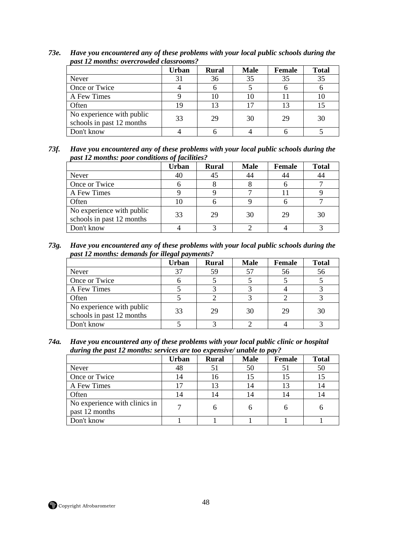|                                                        | <b>Urban</b> | <b>Rural</b> | <b>Male</b> | <b>Female</b> | <b>Total</b> |
|--------------------------------------------------------|--------------|--------------|-------------|---------------|--------------|
| Never                                                  | 31           | 36           | 35          | 35            | 35           |
| Once or Twice                                          |              |              |             |               |              |
| A Few Times                                            |              | 10           |             |               | 10           |
| Often                                                  | 19           | 13           |             |               |              |
| No experience with public<br>schools in past 12 months | 33           | 29           | 30          | 29            | 30           |
| Don't know                                             |              |              |             |               |              |

*73e. Have you encountered any of these problems with your local public schools during the past 12 months: overcrowded classrooms?* 

*73f. Have you encountered any of these problems with your local public schools during the past 12 months: poor conditions of facilities?* 

|                                                        | Urban | <b>Rural</b> | <b>Male</b> | <b>Female</b> | <b>Total</b> |
|--------------------------------------------------------|-------|--------------|-------------|---------------|--------------|
| Never                                                  | 40    |              |             | 44            | 44           |
| Once or Twice                                          |       |              |             |               |              |
| A Few Times                                            |       |              |             |               |              |
| Often                                                  | 10    |              |             |               |              |
| No experience with public<br>schools in past 12 months | 33    | 29           | 30          | 29            | 30           |
| Don't know                                             |       |              |             |               |              |

*73g. Have you encountered any of these problems with your local public schools during the past 12 months: demands for illegal payments?* 

|                                                        | Urban | <b>Rural</b> | <b>Male</b> | <b>Female</b> | <b>Total</b> |
|--------------------------------------------------------|-------|--------------|-------------|---------------|--------------|
| Never                                                  | 37    | 59           |             | 56            | 56           |
| Once or Twice                                          |       |              |             |               |              |
| A Few Times                                            |       |              |             |               |              |
| Often                                                  |       |              |             |               |              |
| No experience with public<br>schools in past 12 months | 33    | 29           | 30          | 29            | 30           |
| Don't know                                             |       |              |             |               |              |

*74a. Have you encountered any of these problems with your local public clinic or hospital during the past 12 months: services are too expensive/ unable to pay?* 

|                                                 | <b>Urban</b> | <b>Rural</b> | <b>Male</b> | <b>Female</b> | <b>Total</b> |
|-------------------------------------------------|--------------|--------------|-------------|---------------|--------------|
| Never                                           | 48           |              | 50          |               | 50           |
| Once or Twice                                   | 14           | 16           |             |               | 15           |
| A Few Times                                     |              | 13           |             | 13            | 14           |
| Often                                           | 14           | 14           |             |               | 14           |
| No experience with clinics in<br>past 12 months |              |              |             |               |              |
| Don't know                                      |              |              |             |               |              |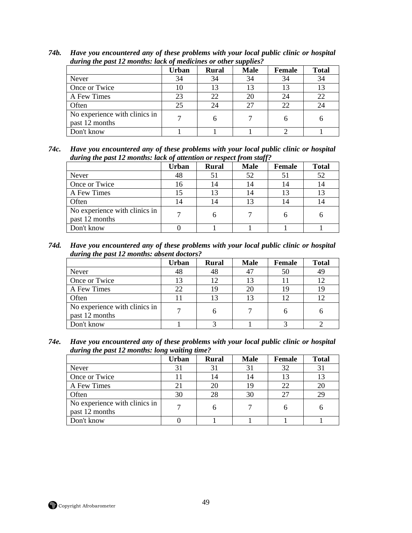|                                                 | <b>Urban</b> | <b>Rural</b> | <b>Male</b> | <b>Female</b> | <b>Total</b> |
|-------------------------------------------------|--------------|--------------|-------------|---------------|--------------|
| Never                                           | 34           | 34           | 34          | 34            | 34           |
| Once or Twice                                   | 10           | 13           |             | 13            | 13           |
| A Few Times                                     | 23           | 22           | 20          | 24            | 22           |
| Often                                           | 25           | 24           |             | 22            | 24           |
| No experience with clinics in<br>past 12 months | 7            |              |             | h             | h            |
| Don't know                                      |              |              |             |               |              |

*74b. Have you encountered any of these problems with your local public clinic or hospital during the past 12 months: lack of medicines or other supplies?* 

*74c. Have you encountered any of these problems with your local public clinic or hospital during the past 12 months: lack of attention or respect from staff?* 

|                                                 | <b>Urban</b> | <b>Rural</b> | <b>Male</b> | <b>Female</b> | <b>Total</b> |
|-------------------------------------------------|--------------|--------------|-------------|---------------|--------------|
| Never                                           | 48           |              | 52          | 51            | 52           |
| Once or Twice                                   | 16           | 4            | 14          | 14            | 14           |
| A Few Times                                     |              | 13           |             | 13            | 13           |
| Often                                           | 14           | 14           |             | 14            | 14           |
| No experience with clinics in<br>past 12 months |              |              |             |               |              |
| Don't know                                      |              |              |             |               |              |

*74d. Have you encountered any of these problems with your local public clinic or hospital during the past 12 months: absent doctors?* 

|                                                 | Urban | <b>Rural</b> | <b>Male</b> | <b>Female</b> | <b>Total</b> |
|-------------------------------------------------|-------|--------------|-------------|---------------|--------------|
| Never                                           | 48    | 48           |             | 50            | 49           |
| Once or Twice                                   | 13    | ר ו          |             |               | 12           |
| A Few Times                                     | 22    | 19           |             | 19            | 19           |
| Often                                           | 11    |              |             |               | 12           |
| No experience with clinics in<br>past 12 months |       |              |             |               |              |
| Don't know                                      |       |              |             |               |              |

*74e. Have you encountered any of these problems with your local public clinic or hospital during the past 12 months: long waiting time?* 

|                                                 | Urban | <b>Rural</b> | <b>Male</b> | <b>Female</b> | <b>Total</b> |
|-------------------------------------------------|-------|--------------|-------------|---------------|--------------|
| Never                                           | 31    |              |             | 32            | 31           |
| Once or Twice                                   | 11    | 14           |             | 13            | 13           |
| A Few Times                                     | 21    | 20           | 19          | 22            | 20           |
| Often                                           | 30    | 28           | 30          | 27            | 29           |
| No experience with clinics in<br>past 12 months |       |              |             |               |              |
| Don't know                                      |       |              |             |               |              |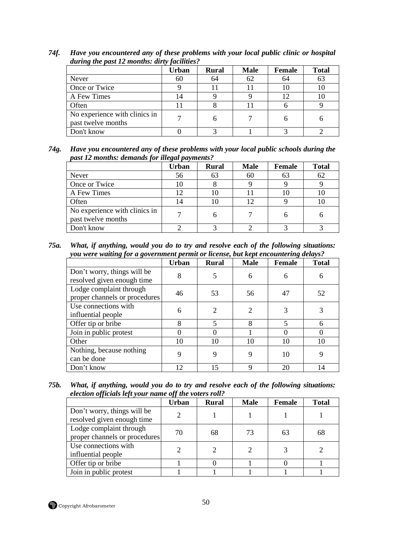|                                                     | <b>Urban</b> | <b>Rural</b> | <b>Male</b> | <b>Female</b> | <b>Total</b> |
|-----------------------------------------------------|--------------|--------------|-------------|---------------|--------------|
| Never                                               | 60           | 64           | 62          | 64            | 63           |
| Once or Twice                                       |              |              |             | 10            | 10           |
| A Few Times                                         | 14           |              |             |               | 10           |
| Often                                               |              |              |             |               |              |
| No experience with clinics in<br>past twelve months | ⇁            |              |             | h             |              |
| Don't know                                          |              |              |             |               |              |

*74f. Have you encountered any of these problems with your local public clinic or hospital during the past 12 months: dirty facilities?* 

*74g. Have you encountered any of these problems with your local public schools during the past 12 months: demands for illegal payments?* 

|                                                     | <b>Urban</b> | <b>Rural</b> | <b>Male</b> | <b>Female</b> | <b>Total</b> |
|-----------------------------------------------------|--------------|--------------|-------------|---------------|--------------|
| Never                                               | 56           | 63           | 60          | 63            | 62           |
| Once or Twice                                       | 10           |              |             |               |              |
| A Few Times                                         | 12           |              |             |               |              |
| Often                                               | 14           | 1O           |             |               | 10           |
| No experience with clinics in<br>past twelve months |              |              |             |               |              |
| Don't know                                          |              |              |             |               |              |

*75a. What, if anything, would you do to try and resolve each of the following situations: you were waiting for a government permit or license, but kept encountering delays?* 

|                                                           | <b>Urban</b> | <b>Rural</b>            | <b>Male</b>                 | Female                  | <b>Total</b> |
|-----------------------------------------------------------|--------------|-------------------------|-----------------------------|-------------------------|--------------|
| Don't worry, things will be<br>resolved given enough time | 8            |                         | 6                           | 6                       | 6            |
| Lodge complaint through<br>proper channels or procedures  | 46           | 53                      | 56                          | 47                      | 52           |
| Use connections with<br>influential people                | 6            | $\mathcal{D}_{\cdot}$   | $\mathcal{D}_{\mathcal{L}}$ | 3                       | 3            |
| Offer tip or bribe                                        | 8            | $\overline{\mathbf{5}}$ | 8                           | $\overline{\mathbf{5}}$ | 6            |
| Join in public protest                                    | $\Omega$     |                         |                             | $\Omega$                |              |
| Other                                                     | 10           | 10                      | 10                          | 10                      | 10           |
| Nothing, because nothing<br>can be done                   | 9            | 9                       |                             | 10                      | 9            |
| Don't know                                                | 12           | 15                      | Q                           | 20                      | 14           |

*75b. What, if anything, would you do to try and resolve each of the following situations: election officials left your name off the voters roll?* 

|                                                           | Urban | Rural | <b>Male</b> | <b>Female</b> | <b>Total</b> |
|-----------------------------------------------------------|-------|-------|-------------|---------------|--------------|
| Don't worry, things will be<br>resolved given enough time |       |       |             |               |              |
| Lodge complaint through<br>proper channels or procedures  | 70    | 68    | 73          | 63            | 68           |
| Use connections with<br>influential people                |       |       |             |               |              |
| Offer tip or bribe                                        |       |       |             |               |              |
| Join in public protest                                    |       |       |             |               |              |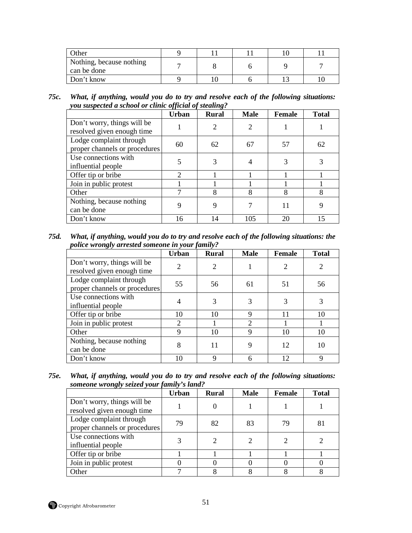| Other                                   |  |  |  |
|-----------------------------------------|--|--|--|
| Nothing, because nothing<br>can be done |  |  |  |
| Don't know                              |  |  |  |

*75c. What, if anything, would you do to try and resolve each of the following situations: you suspected a school or clinic official of stealing?* 

|                                                           | <br><b>Urban</b> | $\cdot$<br><b>Rural</b>     | <b>Male</b> | Female | <b>Total</b> |
|-----------------------------------------------------------|------------------|-----------------------------|-------------|--------|--------------|
| Don't worry, things will be<br>resolved given enough time |                  | $\mathcal{D}_{\mathcal{A}}$ |             |        |              |
| Lodge complaint through<br>proper channels or procedures  | 60               | 62                          | 67          | 57     | 62           |
| Use connections with<br>influential people                |                  |                             |             | 3      |              |
| Offer tip or bribe                                        | $\mathcal{D}$    |                             |             |        |              |
| Join in public protest                                    |                  |                             |             |        |              |
| Other                                                     |                  | 8                           |             | 8      | 8            |
| Nothing, because nothing<br>can be done                   | 9                |                             |             | 11     |              |
| Don't know                                                | 16               | 14                          | 105         | 20     | 15           |

*75d. What, if anything, would you do to try and resolve each of the following situations: the police wrongly arrested someone in your family?* 

|                                                           | J - -- J ----<br><b>Urban</b> | <b>Rural</b> | <b>Male</b>                 | <b>Female</b>  | <b>Total</b>   |
|-----------------------------------------------------------|-------------------------------|--------------|-----------------------------|----------------|----------------|
| Don't worry, things will be<br>resolved given enough time | $\overline{2}$                | 2            |                             | $\overline{2}$ | $\overline{2}$ |
| Lodge complaint through<br>proper channels or procedures  | 55                            | 56           | 61                          | 51             | 56             |
| Use connections with<br>influential people                |                               |              |                             | 3              | 3              |
| Offer tip or bribe                                        | 10                            | 10           | 9                           | 11             | 10             |
| Join in public protest                                    | $\overline{2}$                |              | $\mathcal{D}_{\mathcal{L}}$ |                |                |
| Other                                                     | 9                             | 10           | 9                           | 10             | 10             |
| Nothing, because nothing<br>can be done                   | 8                             | 11           |                             | 12             | 10             |
| Don't know                                                | 10                            | 9            |                             | 12             | 9              |

*75e. What, if anything, would you do to try and resolve each of the following situations: someone wrongly seized your family's land?* 

|                                                           | <b>Urban</b> | <b>Rural</b> | <b>Male</b> | Female | <b>Total</b> |
|-----------------------------------------------------------|--------------|--------------|-------------|--------|--------------|
| Don't worry, things will be<br>resolved given enough time |              |              |             |        |              |
| Lodge complaint through<br>proper channels or procedures  | 79           | 82           | 83          | 79     | 81           |
| Use connections with<br>influential people                |              |              |             |        |              |
| Offer tip or bribe                                        |              |              |             |        |              |
| Join in public protest                                    |              |              |             |        |              |
| Other                                                     |              |              |             |        |              |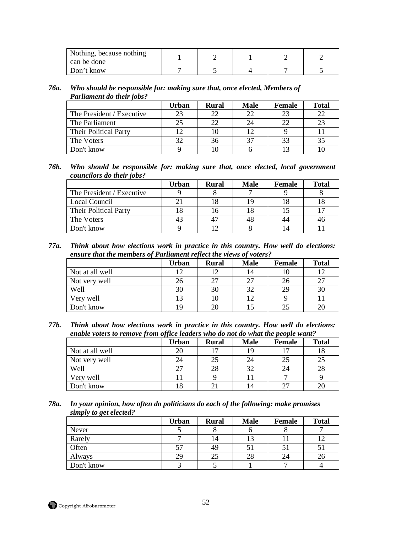| Nothing, because nothing<br>can be done |  |  |  |
|-----------------------------------------|--|--|--|
| Don't know                              |  |  |  |

#### *76a. Who should be responsible for: making sure that, once elected, Members of Parliament do their jobs?*

|                              | Urban | <b>Rural</b> | <b>Male</b> | <b>Female</b> | <b>Total</b> |
|------------------------------|-------|--------------|-------------|---------------|--------------|
| The President / Executive    | 23    | つつ           |             | 23            | 22           |
| The Parliament               | 25    | 22           |             | 22            | 23           |
| <b>Their Political Party</b> |       |              |             |               |              |
| The Voters                   | 37    | 36           |             | 33            | 35           |
| Don't know                   |       |              |             |               |              |

#### *76b. Who should be responsible for: making sure that, once elected, local government councilors do their jobs?*

|                              | Urban | Rural | <b>Male</b> | <b>Female</b> | <b>Total</b> |
|------------------------------|-------|-------|-------------|---------------|--------------|
| The President / Executive    |       |       |             |               |              |
| Local Council                |       |       |             |               |              |
| <b>Their Political Party</b> |       | Iб    |             |               |              |
| The Voters                   |       |       |             | 44            | 46           |
| Don't know                   |       |       |             |               |              |

*77a. Think about how elections work in practice in this country. How well do elections: ensure that the members of Parliament reflect the views of voters?* 

|                 | Urban | <b>Rural</b> | <b>Male</b> | <b>Female</b> | <b>Total</b> |
|-----------------|-------|--------------|-------------|---------------|--------------|
| Not at all well | 12    | 12           | 14          |               |              |
| Not very well   | 26    | 27           |             | 26            | 27           |
| Well            | 30    | 30           | 32          | 29            | 30           |
| Very well       | 13    | 10           |             |               |              |
| Don't know      | 19    | 20           |             | 25            | 20           |

*77b. Think about how elections work in practice in this country. How well do elections: enable voters to remove from office leaders who do not do what the people want?* 

|                 | Urban | <b>Rural</b>   | <b>Male</b>            | <b>Female</b> | <b>Total</b> |
|-----------------|-------|----------------|------------------------|---------------|--------------|
| Not at all well | 20    | $\overline{ }$ | 19                     |               | 18           |
| Not very well   | 24    | 25             | 24                     | 25            | 25           |
| Well            | 27    | 28             | $\mathcal{R}^{\prime}$ | 24            | 28           |
| Very well       |       |                |                        |               |              |
| Don't know      |       |                | 14                     | 27            | 20           |

#### *78a. In your opinion, how often do politicians do each of the following: make promises simply to get elected?*

|            | <b>Urban</b> | <b>Rural</b> | <b>Male</b> | Female | <b>Total</b> |
|------------|--------------|--------------|-------------|--------|--------------|
| Never      |              |              |             |        |              |
| Rarely     |              | 14           |             |        |              |
| Often      | 57           | 49           |             |        |              |
| Always     | 29           | 25           | 28          | 24     | 26           |
| Don't know |              |              |             |        |              |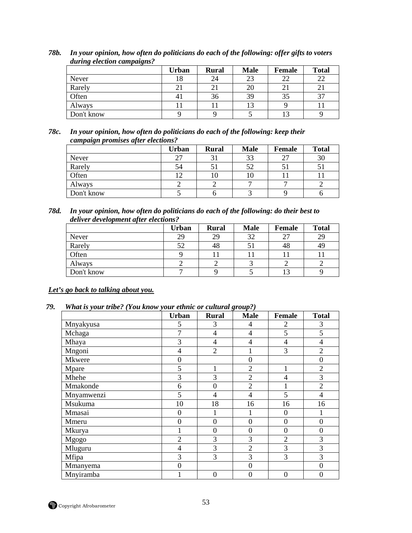|            | <b>Urban</b> | <b>Rural</b> | <b>Male</b> | <b>Female</b> | <b>Total</b> |
|------------|--------------|--------------|-------------|---------------|--------------|
| Never      | 18           | 24           | 23          | 22            | 22           |
| Rarely     | 21           |              | 20          | 21            |              |
| Often      | 41           | 36           | 39          | 35            | 37           |
| Always     |              |              |             |               |              |
| Don't know |              |              |             |               |              |

*78b. In your opinion, how often do politicians do each of the following: offer gifts to voters during election campaigns?* 

#### *78c. In your opinion, how often do politicians do each of the following: keep their campaign promises after elections?*

|            | Urban | <b>Rural</b> | <b>Male</b> | <b>Female</b> | <b>Total</b> |
|------------|-------|--------------|-------------|---------------|--------------|
| Never      | 27    |              | 33          | 27            | 30           |
| Rarely     | 54    |              |             |               |              |
| Often      | ר ו   |              |             |               |              |
| Always     |       |              |             |               |              |
| Don't know |       |              |             |               |              |

#### *78d. In your opinion, how often do politicians do each of the following: do their best to deliver development after elections?*

|            | Urban | <b>Rural</b> | <b>Male</b> | Female | <b>Total</b> |
|------------|-------|--------------|-------------|--------|--------------|
| Never      | 29    | 29           | 32          | 27     | 29           |
| Rarely     | 52    | 48           |             | 48     | 49           |
| Often      |       |              |             |        |              |
| Always     |       |              |             |        |              |
| Don't know |       |              |             |        |              |

## *Let's go back to talking about you.*

### *79. What is your tribe? (You know your ethnic or cultural group?)*

|            | <b>Urban</b>   | <b>Rural</b>     | <b>Male</b>      | Female           | <b>Total</b>     |
|------------|----------------|------------------|------------------|------------------|------------------|
| Mnyakyusa  | 5              | 3                | 4                | $\overline{c}$   | 3                |
| Mchaga     | 7              | $\overline{4}$   | 4                | 5                | 5                |
| Mhaya      | 3              | $\overline{4}$   | 4                | $\overline{4}$   | $\overline{4}$   |
| Mngoni     | 4              | $\overline{2}$   |                  | 3                | $\overline{2}$   |
| Mkwere     | $\overline{0}$ |                  | $\overline{0}$   |                  | $\boldsymbol{0}$ |
| Mpare      | 5              | 1                | $\overline{2}$   |                  | $\overline{2}$   |
| Mhehe      | 3              | 3                | $\overline{2}$   | 4                | 3                |
| Mmakonde   | 6              | $\boldsymbol{0}$ | $\overline{2}$   |                  | $\overline{2}$   |
| Mnyamwenzi | 5              | $\overline{4}$   | 4                | 5                | $\overline{4}$   |
| Msukuma    | 10             | 18               | 16               | 16               | 16               |
| Mmasai     | $\overline{0}$ | 1                |                  | $\overline{0}$   |                  |
| Mmeru      | $\overline{0}$ | $\boldsymbol{0}$ | $\theta$         | $\overline{0}$   | $\boldsymbol{0}$ |
| Mkurya     |                | $\boldsymbol{0}$ | $\boldsymbol{0}$ | $\overline{0}$   | $\boldsymbol{0}$ |
| Mgogo      | $\overline{2}$ | 3                | 3                | $\overline{2}$   | 3                |
| Mluguru    | $\overline{4}$ | 3                | $\overline{2}$   | 3                | 3                |
| Mfipa      | 3              | 3                | 3                | 3                | 3                |
| Mmanyema   | $\theta$       |                  | $\Omega$         |                  | $\theta$         |
| Mnyiramba  |                | $\overline{0}$   | $\boldsymbol{0}$ | $\boldsymbol{0}$ | $\boldsymbol{0}$ |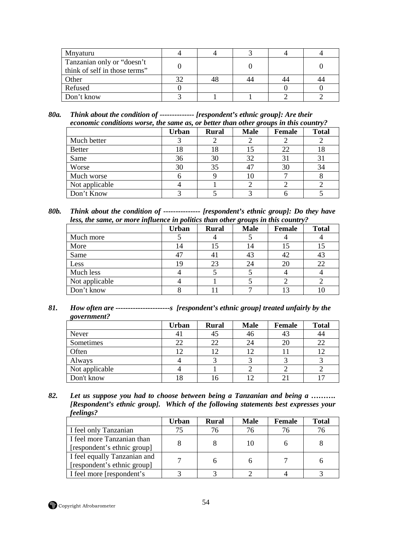| Mnyaturu                                                    |  |    |  |
|-------------------------------------------------------------|--|----|--|
| Tanzanian only or "doesn't<br>think of self in those terms" |  |    |  |
| Other                                                       |  | 44 |  |
| Refused                                                     |  |    |  |
| Don't know                                                  |  |    |  |

*80a. Think about the condition of -------------- [respondent's ethnic group]: Are their economic conditions worse, the same as, or better than other groups in this country?* 

|                | <b>Urban</b> | <b>Rural</b> | <b>Male</b> | <b>Female</b> | <b>Total</b> |
|----------------|--------------|--------------|-------------|---------------|--------------|
| Much better    |              |              |             |               |              |
| <b>Better</b>  | 18           | 18           |             | 22            | 18           |
| Same           | 36           | 30           | 32          | 31            | 31           |
| Worse          | 30           | 35           |             | 30            | 34           |
| Much worse     |              |              |             |               |              |
| Not applicable |              |              |             |               |              |
| Don't Know     |              |              |             |               |              |

*80b. Think about the condition of --------------- [respondent's ethnic group]: Do they have less, the same, or more influence in politics than other groups in this country?* 

|                | <b>Urban</b> | <b>Rural</b> | <b>Male</b> | <b>Female</b> | <b>Total</b> |
|----------------|--------------|--------------|-------------|---------------|--------------|
| Much more      |              |              |             |               |              |
| More           | 14           |              |             |               |              |
| Same           | 47           |              |             | 42            | 43           |
| Less           | ιç           | 23           |             | 20            | 22           |
| Much less      |              |              |             |               |              |
| Not applicable |              |              |             |               |              |
| Don't know     |              |              |             |               |              |

*81. How often are ----------------------s [respondent's ethnic group] treated unfairly by the government?* 

|                | <b>Urban</b> | <b>Rural</b> | <b>Male</b> | Female | <b>Total</b>   |
|----------------|--------------|--------------|-------------|--------|----------------|
| Never          | 41           | 45           | 46          | 43     | 44             |
| Sometimes      | 22           | 22           | 24          | 20     | 22             |
| Often          | 12           | ר ו          |             |        | 12             |
| Always         |              |              |             |        |                |
| Not applicable |              |              |             |        |                |
| Don't know     |              | . O          |             |        | $\overline{ }$ |

*82. Let us suppose you had to choose between being a Tanzanian and being a ………. [Respondent's ethnic group]. Which of the following statements best expresses your feelings?* 

|                                                             | Urban | <b>Rural</b> | <b>Male</b> | Female | <b>Total</b> |
|-------------------------------------------------------------|-------|--------------|-------------|--------|--------------|
| I feel only Tanzanian                                       | 75    | 76           |             |        | 76           |
| I feel more Tanzanian than<br>[respondent's ethnic group]   |       |              |             |        |              |
| I feel equally Tanzanian and<br>[respondent's ethnic group] |       |              |             |        |              |
| I feel more [respondent's]                                  |       |              |             |        |              |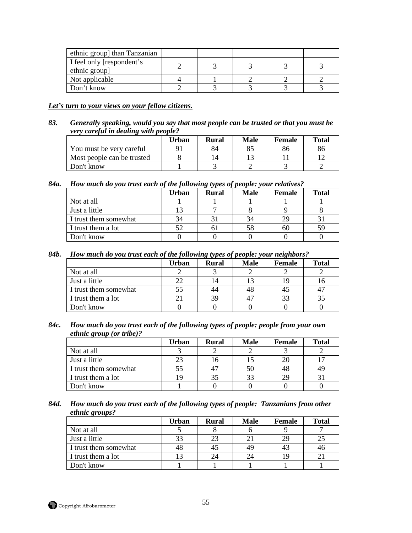| ethnic group] than Tanzanian               |  |  |  |
|--------------------------------------------|--|--|--|
| I feel only [respondent's<br>ethnic group] |  |  |  |
| Not applicable                             |  |  |  |
| Don't know                                 |  |  |  |

#### *Let's turn to your views on your fellow citizens.*

*83. Generally speaking, would you say that most people can be trusted or that you must be very careful in dealing with people?* 

|                            | Urban | Rural          | Male | Female | <b>Total</b> |
|----------------------------|-------|----------------|------|--------|--------------|
| You must be very careful   |       | 84             |      | 86     | 86           |
| Most people can be trusted |       | $\overline{4}$ |      |        |              |
| Don't know-                |       |                |      |        |              |

*84a. How much do you trust each of the following types of people: your relatives?* 

|                       | Urban | היידים<br><b>Rural</b> | <b>Male</b> | Female | <b>Total</b> |
|-----------------------|-------|------------------------|-------------|--------|--------------|
| Not at all            |       |                        |             |        |              |
| Just a little         |       |                        |             |        |              |
| I trust them somewhat | 34    |                        |             | 29     |              |
| I trust them a lot    | 52    |                        | 58          | 60     | 59           |
| Don't know            |       |                        |             |        |              |

*84b. How much do you trust each of the following types of people: your neighbors?* 

|                       | Urban | <b>Rural</b> | <b>Male</b> | Female | Total |
|-----------------------|-------|--------------|-------------|--------|-------|
| Not at all            |       |              |             |        |       |
| Just a little         | 22    | ι4           |             |        |       |
| I trust them somewhat | 55    | 44           | 48          | 45     |       |
| I trust them a lot    |       | 39           |             | 33     |       |
| Don't know            |       |              |             |        |       |

*84c. How much do you trust each of the following types of people: people from your own ethnic group (or tribe)?* 

|                       | Urban | <b>Rural</b> | <b>Male</b> | Female | <b>Total</b> |
|-----------------------|-------|--------------|-------------|--------|--------------|
| Not at all            |       |              |             |        |              |
| Just a little         | 23    | .0           |             |        |              |
| I trust them somewhat | 55    |              | 50          | 48     | 49           |
| I trust them a lot    | 19    |              |             | 29     |              |
| Don't know            |       |              |             |        |              |

*84d. How much do you trust each of the following types of people: Tanzanians from other ethnic groups?* 

|                       | Urban | <b>Rural</b> | <b>Male</b> | Female | Total |
|-----------------------|-------|--------------|-------------|--------|-------|
| Not at all            |       |              |             |        |       |
| Just a little         | 33    |              |             | 29     |       |
| I trust them somewhat | 48    |              |             | 41     | 46    |
| I trust them a lot    |       | 24           |             | 1 C    |       |
| Don't know            |       |              |             |        |       |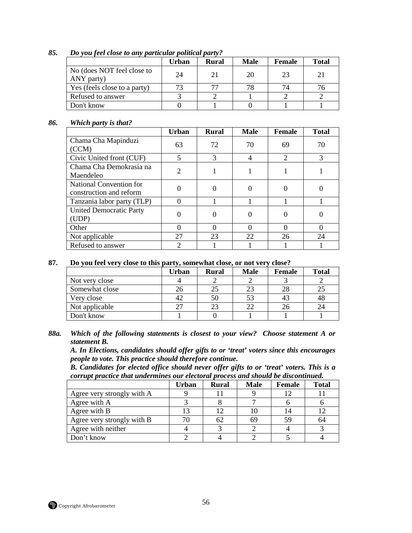|                                          | <b>Urban</b> | <b>Rural</b> | <b>Male</b> | Female | <b>Total</b> |
|------------------------------------------|--------------|--------------|-------------|--------|--------------|
| No (does NOT feel close to<br>ANY party) | 24           | 21           | 20          | 23     | 21           |
| Yes (feels close to a party)             | 73           |              | 78          | 74     |              |
| Refused to answer                        |              |              |             |        |              |
| Don't know                               |              |              |             |        |              |

## *85. Do you feel close to any particular political party?*

#### *86. Which party is that?*

|                                                    | <b>Urban</b>   | <b>Rural</b> | <b>Male</b> | <b>Female</b>               | <b>Total</b> |
|----------------------------------------------------|----------------|--------------|-------------|-----------------------------|--------------|
| Chama Cha Mapinduzi<br>(CCM)                       | 63             | 72           | 70          | 69                          | 70           |
| Civic United front (CUF)                           | 5              | 3            |             | $\mathcal{D}_{\mathcal{A}}$ | 3            |
| Chama Cha Demokrasia na<br>Maendeleo               | $\overline{2}$ |              |             |                             |              |
| National Convention for<br>construction and reform |                |              |             |                             |              |
| Tanzania labor party (TLP)                         |                |              |             |                             |              |
| <b>United Democratic Party</b><br>(UDP)            |                |              |             |                             |              |
| Other                                              |                |              |             |                             | $\Omega$     |
| Not applicable                                     | 27             | 23           | 22          | 26                          | 24           |
| Refused to answer                                  | 2              |              |             |                             |              |

#### **87. Do you feel very close to this party, somewhat close, or not very close?**

|                | Urban | <b>Rural</b> | <b>Male</b> | <b>Female</b> | <b>Total</b> |
|----------------|-------|--------------|-------------|---------------|--------------|
| Not very close |       |              |             |               |              |
| Somewhat close | 26    |              |             | 28            | 25           |
| Very close     | 42    | 50           |             | 43            | 48           |
| Not applicable | 27    | 23           |             |               | 24           |
| Don't know     |       |              |             |               |              |

#### *88a. Which of the following statements is closest to your view? Choose statement A or statement B.*

*A. In Elections, candidates should offer gifts to or 'treat' voters since this encourages people to vote. This practice should therefore continue.* 

*B. Candidates for elected office should never offer gifts to or 'treat' voters. This is a corrupt practice that undermines our electoral process and should be discontinued.* 

|                            | Urban | <b>Rural</b> | <b>Male</b> | Female | <b>Total</b> |
|----------------------------|-------|--------------|-------------|--------|--------------|
| Agree very strongly with A |       |              |             |        |              |
| Agree with A               |       |              |             |        |              |
| Agree with B               |       |              | 10          |        |              |
| Agree very strongly with B |       |              | 69          |        | 64           |
| Agree with neither         |       |              |             |        |              |
| Don't know                 |       |              |             |        |              |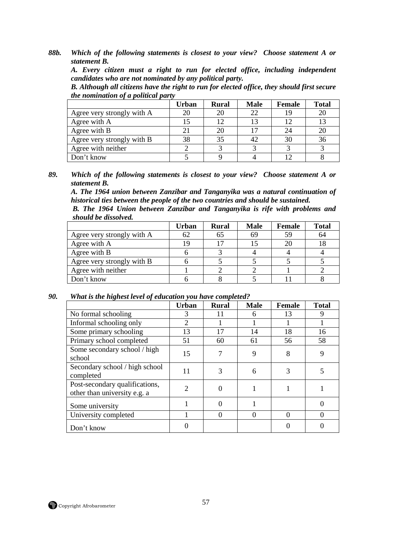*A. Every citizen must a right to run for elected office, including independent candidates who are not nominated by any political party.* 

*B. Although all citizens have the right to run for elected office, they should first secure the nomination of a political party* 

|                            | Urban | <b>Rural</b> | <b>Male</b>    | Female | <b>Total</b> |
|----------------------------|-------|--------------|----------------|--------|--------------|
| Agree very strongly with A | 20    |              | 22             |        | 20           |
| Agree with A               |       |              | 1 <sup>3</sup> |        | 13           |
| Agree with B               | 21    |              |                | 24     | 20           |
| Agree very strongly with B | 38    | 35           | 42             | 30     | 36           |
| Agree with neither         |       |              |                |        |              |
| Don't know                 |       |              |                |        |              |

*89. Which of the following statements is closest to your view? Choose statement A or statement B.* 

*A. The 1964 union between Zanzibar and Tanganyika was a natural continuation of historical ties between the people of the two countries and should be sustained.* 

*B. The 1964 Union between Zanzibar and Tanganyika is rife with problems and should be dissolved.* 

|                            | <b>Urban</b> | <b>Rural</b> | <b>Male</b> | Female | <b>Total</b> |
|----------------------------|--------------|--------------|-------------|--------|--------------|
| Agree very strongly with A | 62           |              | 69          | 59     | 64           |
| Agree with A               | 19           |              |             |        |              |
| Agree with B               |              |              |             |        |              |
| Agree very strongly with B |              |              |             |        |              |
| Agree with neither         |              |              |             |        |              |
| Don't know                 |              |              |             |        |              |

#### *90. What is the highest level of education you have completed?*

|                                                                | <b>Urban</b>   | <b>Rural</b> | <b>Male</b> | <b>Female</b> | <b>Total</b> |
|----------------------------------------------------------------|----------------|--------------|-------------|---------------|--------------|
| No formal schooling                                            | 3              | 11           | 6           | 13            | 9            |
| Informal schooling only                                        | $\mathfrak{D}$ |              |             |               |              |
| Some primary schooling                                         | 13             | 17           | 14          | 18            | 16           |
| Primary school completed                                       | 51             | 60           | 61          | 56            | 58           |
| Some secondary school / high<br>school                         | 15             |              | 9           | 8             | 9            |
| Secondary school / high school<br>completed                    | 11             | 3            | 6           | 3             |              |
| Post-secondary qualifications,<br>other than university e.g. a | 2              |              |             |               |              |
| Some university                                                |                |              |             |               |              |
| University completed                                           |                |              | $\Omega$    |               |              |
| Don't know                                                     |                |              |             |               |              |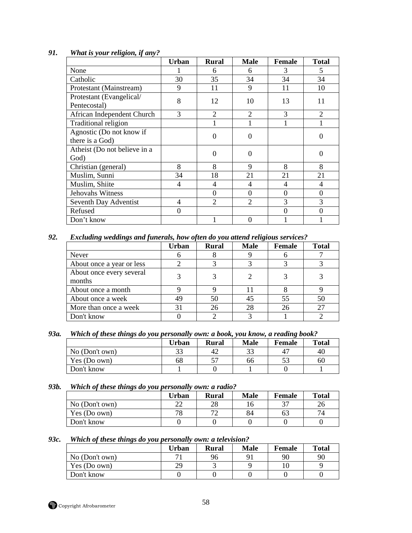|                                             | Urban          | <b>Rural</b>   | <b>Male</b>    | Female         | Total          |
|---------------------------------------------|----------------|----------------|----------------|----------------|----------------|
| None                                        |                | 6              | 6              | 3              | 5              |
| Catholic                                    | 30             | 35             | 34             | 34             | 34             |
| Protestant (Mainstream)                     | 9              | 11             | 9              | 11             | 10             |
| Protestant (Evangelical/<br>Pentecostal)    | 8              | 12             | 10             | 13             | 11             |
| African Independent Church                  | 3              | 2              | $\overline{2}$ | 3              | $\overline{2}$ |
| Traditional religion                        |                |                |                |                |                |
| Agnostic (Do not know if<br>there is a God) |                | $\Omega$       | 0              |                | 0              |
| Atheist (Do not believe in a<br>God)        |                | $\Omega$       | $\Omega$       |                | $\Omega$       |
| Christian (general)                         | 8              | 8              | 9              | 8              | 8              |
| Muslim, Sunni                               | 34             | 18             | 21             | 21             | 21             |
| Muslim, Shiite                              | 4              | 4              | 4              | 4              | 4              |
| Jehovahs Witness                            |                | $\Omega$       | 0              | $\overline{0}$ | $\overline{0}$ |
| Seventh Day Adventist                       | $\overline{4}$ | $\overline{2}$ | $\overline{2}$ | 3              | 3              |
| Refused                                     | $\overline{0}$ |                |                | $\Omega$       | $\Omega$       |
| Don't know                                  |                |                | 0              |                |                |

## *91. What is your religion, if any?*

*92. Excluding weddings and funerals, how often do you attend religious services?* 

|                                    | <b>Urban</b> | <b>Rural</b> | <b>Male</b> | Female | <b>Total</b> |
|------------------------------------|--------------|--------------|-------------|--------|--------------|
| Never                              |              |              |             |        |              |
| About once a year or less          |              |              |             |        |              |
| About once every several<br>months |              |              |             |        |              |
| About once a month                 |              |              |             |        |              |
| About once a week                  | 49           | 50           |             | 55     | 50           |
| More than once a week              | 31           |              |             | 26     | 27           |
| Don't know                         |              |              |             |        |              |

*93a. Which of these things do you personally own: a book, you know, a reading book?* 

|                | Urban | <b>Rural</b> | <b>Male</b> | Female | <b>Total</b> |
|----------------|-------|--------------|-------------|--------|--------------|
| No (Don't own) | 22    | 42           | ົາ          | 47     | 40           |
| Yes (Do own)   | 68    |              | 66          | IJ     | 60           |
| Don't know     |       |              |             |        |              |

# *93b. Which of these things do you personally own: a radio?*

|                | Urban    | <b>Rural</b>             | <b>Male</b> | <b>Female</b> | <b>Total</b> |
|----------------|----------|--------------------------|-------------|---------------|--------------|
| No (Don't own) | າາ<br>∠∠ | 28                       |             | 37            | 26           |
| Yes (Do own)   | 78       | $\overline{\phantom{a}}$ | 84          | 63            |              |
| Don't know     |          |                          |             |               |              |

#### *93c. Which of these things do you personally own: a television?*

|                | Urban | <b>Rural</b> | Male | Female | <b>Total</b> |
|----------------|-------|--------------|------|--------|--------------|
| No (Don't own) |       | 96           |      | 90     | 90           |
| Yes (Do own)   | 29    |              |      |        |              |
| Don't know     |       |              |      |        |              |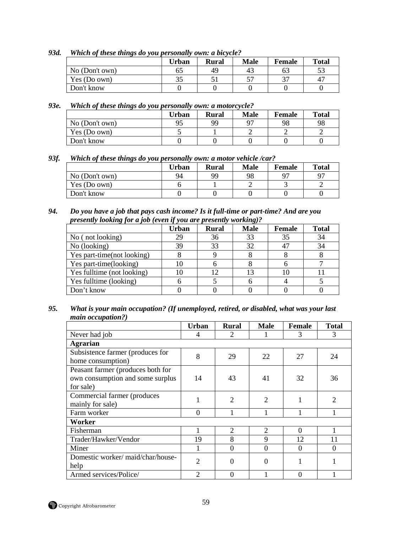*93d. Which of these things do you personally own: a bicycle?* 

|                | Urban | <b>Rural</b> | Male        | Female | <b>Total</b> |
|----------------|-------|--------------|-------------|--------|--------------|
| No (Don't own) | 65    | 49           | $4_{\cdot}$ |        | 53           |
| Yes (Do own)   | 35    |              |             | 37     | 47           |
| Don't know     |       |              |             |        |              |

*93e. Which of these things do you personally own: a motorcycle?* 

|                | Urban | <b>Rural</b> | <b>Male</b> | Female | <b>Total</b> |
|----------------|-------|--------------|-------------|--------|--------------|
| No (Don't own) | 95    | 99           |             | 98     | 98           |
| Yes (Do own)   |       |              |             |        |              |
| Don't know     |       |              |             |        |              |

*93f. Which of these things do you personally own: a motor vehicle /car?* 

|                | Urban | <b>Rural</b> | <b>Male</b> | Female         | <b>Total</b> |
|----------------|-------|--------------|-------------|----------------|--------------|
| No (Don't own) | 94    | 99           | 98          | Q <sub>7</sub> | Q7           |
| Yes (Do own)   |       |              |             |                |              |
| Don't know     |       |              |             |                |              |

*94. Do you have a job that pays cash income? Is it full-time or part-time? And are you presently looking for a job (even if you are presently working)?* 

|                            | Urban | <b>Rural</b> | <b>Male</b> | Female | <b>Total</b> |
|----------------------------|-------|--------------|-------------|--------|--------------|
| No (not looking)           | 29    | 36           | 33          | 35     | 34           |
| No (looking)               | 39    | 33           | 32          | 47     | 34           |
| Yes part-time(not looking) |       |              |             |        |              |
| Yes part-time(looking)     | 10    |              |             |        |              |
| Yes fulltime (not looking) |       |              |             |        |              |
| Yes fulltime (looking)     |       |              |             |        |              |
| Don't know                 |       |              |             |        |              |

*95. What is your main occupation? (If unemployed, retired, or disabled, what was your last main occupation?)* 

|                                                                                    | <b>Urban</b>   | <b>Rural</b>                | <b>Male</b>                 | Female   | <b>Total</b>   |
|------------------------------------------------------------------------------------|----------------|-----------------------------|-----------------------------|----------|----------------|
| Never had job                                                                      | 4              | 2                           | 1                           | 3        | 3              |
| <b>Agrarian</b>                                                                    |                |                             |                             |          |                |
| Subsistence farmer (produces for<br>home consumption)                              | 8              | 29                          | 22                          | 27       | 24             |
| Peasant farmer (produces both for<br>own consumption and some surplus<br>for sale) | 14             | 43                          | 41                          | 32       | 36             |
| Commercial farmer (produces<br>mainly for sale)                                    |                | $\overline{2}$              | $\overline{2}$              |          | $\mathfrak{D}$ |
| Farm worker                                                                        | $\Omega$       |                             |                             |          |                |
| Worker                                                                             |                |                             |                             |          |                |
| Fisherman                                                                          |                | $\mathcal{D}_{\mathcal{L}}$ | $\mathcal{D}_{\mathcal{L}}$ | $\Omega$ |                |
| Trader/Hawker/Vendor                                                               | 19             | 8                           | 9                           | 12       | 11             |
| Miner                                                                              |                | $\Omega$                    | $\Omega$                    | $\Omega$ | $\Omega$       |
| Domestic worker/maid/char/house-<br>help                                           | $\overline{2}$ | 0                           | $\Omega$                    | 1        |                |
| Armed services/Police/                                                             | $\overline{2}$ | 0                           |                             | $\Omega$ |                |

Copyright Afrobarometer 59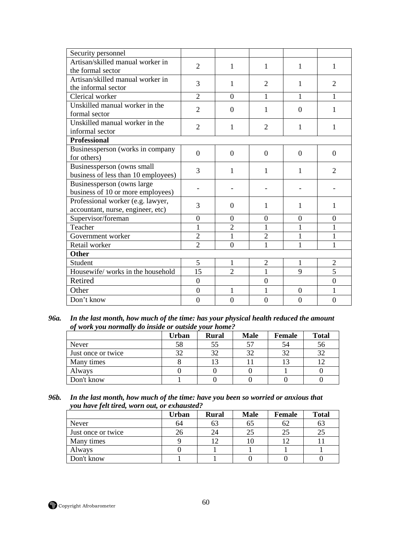| Security personnel                                                     |                  |                |                  |                  |                  |
|------------------------------------------------------------------------|------------------|----------------|------------------|------------------|------------------|
| Artisan/skilled manual worker in<br>the formal sector                  | $\overline{2}$   | 1              | 1                | 1                | 1                |
| Artisan/skilled manual worker in<br>the informal sector                | 3                | $\mathbf{1}$   | $\overline{2}$   | 1                | 2                |
| Clerical worker                                                        | $\overline{2}$   | $\Omega$       | 1                | 1                | 1                |
| Unskilled manual worker in the<br>formal sector                        | $\overline{2}$   | $\overline{0}$ | 1                | $\theta$         | 1                |
| Unskilled manual worker in the<br>informal sector                      | $\overline{2}$   | 1              | $\overline{2}$   | 1                | 1                |
| <b>Professional</b>                                                    |                  |                |                  |                  |                  |
| Businessperson (works in company<br>for others)                        | $\Omega$         | $\Omega$       | $\Omega$         | $\Omega$         | $\Omega$         |
| Businessperson (owns small<br>business of less than 10 employees)      | 3                | 1              | 1                | 1                | $\mathfrak{D}$   |
| Businessperson (owns large<br>business of 10 or more employees)        |                  |                |                  |                  |                  |
| Professional worker (e.g. lawyer,<br>accountant, nurse, engineer, etc) | 3                | $\overline{0}$ | 1                | 1                | 1                |
| Supervisor/foreman                                                     | $\boldsymbol{0}$ | $\theta$       | $\overline{0}$   | $\boldsymbol{0}$ | $\boldsymbol{0}$ |
| Teacher                                                                | 1                | $\overline{2}$ | 1                | $\mathbf{1}$     | 1                |
| Government worker                                                      | $\overline{2}$   | 1              | $\overline{2}$   | $\mathbf{1}$     | 1                |
| Retail worker                                                          | $\overline{2}$   | $\theta$       | 1                | $\mathbf{1}$     | 1                |
| <b>Other</b>                                                           |                  |                |                  |                  |                  |
| Student                                                                | 5                | $\mathbf{1}$   | $\overline{2}$   | $\mathbf{1}$     | $\overline{2}$   |
| Housewife/works in the household                                       | 15               | $\overline{2}$ | 1                | 9                | $\overline{5}$   |
| Retired                                                                | $\overline{0}$   |                | $\boldsymbol{0}$ |                  | $\boldsymbol{0}$ |
| Other                                                                  | $\overline{0}$   | 1              | 1                | $\boldsymbol{0}$ | 1                |
| Don't know                                                             | $\overline{0}$   | $\overline{0}$ | $\overline{0}$   | $\boldsymbol{0}$ | $\theta$         |
|                                                                        |                  |                |                  |                  |                  |

*96a. In the last month, how much of the time: has your physical health reduced the amount of work you normally do inside or outside your home?* 

|                    | Urban | <b>Rural</b> | <b>Male</b> | Female | <b>Total</b> |
|--------------------|-------|--------------|-------------|--------|--------------|
| Never              | 58    |              |             | 54     | 56           |
| Just once or twice | 32    | 37           |             | 32     | 32           |
| Many times         |       |              |             |        |              |
| Always             |       |              |             |        |              |
| Don't know         |       |              |             |        |              |

*96b. In the last month, how much of the time: have you been so worried or anxious that you have felt tired, worn out, or exhausted?* 

|                    | Urban | <b>Rural</b> | <b>Male</b> | Female | <b>Total</b> |
|--------------------|-------|--------------|-------------|--------|--------------|
| Never              | 64    | ნე           |             | 62     | ხა           |
| Just once or twice |       | 24           |             | 25     | 25           |
| Many times         |       |              |             |        |              |
| Always             |       |              |             |        |              |
| Don't know         |       |              |             |        |              |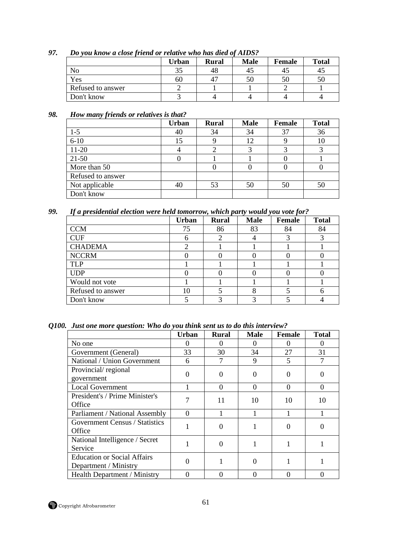|                   | Urban | <b>Rural</b> | <b>Male</b> | <b>Female</b> | <b>Total</b> |
|-------------------|-------|--------------|-------------|---------------|--------------|
| No                | 35    | 48           |             | 4.            | 45           |
| Yes               | 60    |              |             |               | 50           |
| Refused to answer |       |              |             |               |              |
| Don't know        |       |              |             |               |              |

*97. Do you know a close friend or relative who has died of AIDS?* 

## *98. How many friends or relatives is that?*

|                   | <b>Urban</b> | <b>Rural</b> | <b>Male</b> | <b>Female</b> | <b>Total</b> |
|-------------------|--------------|--------------|-------------|---------------|--------------|
| $1-5$             | 40           | 34           | 34          | 37            | 36           |
| $6 - 10$          | 15           |              | 12          |               | 10           |
| $11-20$           |              |              |             |               |              |
| $21 - 50$         |              |              |             |               |              |
| More than 50      |              |              |             |               |              |
| Refused to answer |              |              |             |               |              |
| Not applicable    | 40           | 53           | 50          | 50            | 50           |
| Don't know        |              |              |             |               |              |

*99. If a presidential election were held tomorrow, which party would you vote for?* 

|                   | <b>Urban</b> | <b>Rural</b> | <b>Male</b> | <b>Female</b> | <b>Total</b> |
|-------------------|--------------|--------------|-------------|---------------|--------------|
| <b>CCM</b>        | 75           | 86           | 83          | 84            | 84           |
| <b>CUF</b>        |              |              |             |               |              |
| <b>CHADEMA</b>    |              |              |             |               |              |
| <b>NCCRM</b>      |              |              |             |               |              |
| TLP               |              |              |             |               |              |
| <b>UDP</b>        |              |              |             |               |              |
| Would not vote    |              |              |             |               |              |
| Refused to answer | 10           |              |             |               |              |
| Don't know        |              |              |             |               |              |

*Q100. Just one more question: Who do you think sent us to do this interview?* 

|                                                             | Urban    | <b>Rural</b> | <b>Male</b>       | <b>Female</b> | <b>Total</b> |
|-------------------------------------------------------------|----------|--------------|-------------------|---------------|--------------|
| No one                                                      | $\Omega$ |              | $\mathbf{\Omega}$ |               |              |
| Government (General)                                        | 33       | 30           | 34                | 27            | 31           |
| National / Union Government                                 | 6        |              | 9                 |               |              |
| Provincial/regional<br>government                           |          |              |                   |               |              |
| <b>Local Government</b>                                     |          | $\Omega$     | $\theta$          | $\Omega$      | $\Omega$     |
| President's / Prime Minister's<br>Office                    |          | 11           | 10                | 10            | 10           |
| Parliament / National Assembly                              | $\Omega$ |              |                   |               |              |
| Government Census / Statistics<br>Office                    |          |              |                   |               |              |
| National Intelligence / Secret<br>Service                   |          |              |                   |               |              |
| <b>Education or Social Affairs</b><br>Department / Ministry |          |              | 0                 |               |              |
| Health Department / Ministry                                | $\Omega$ |              | 0                 |               |              |